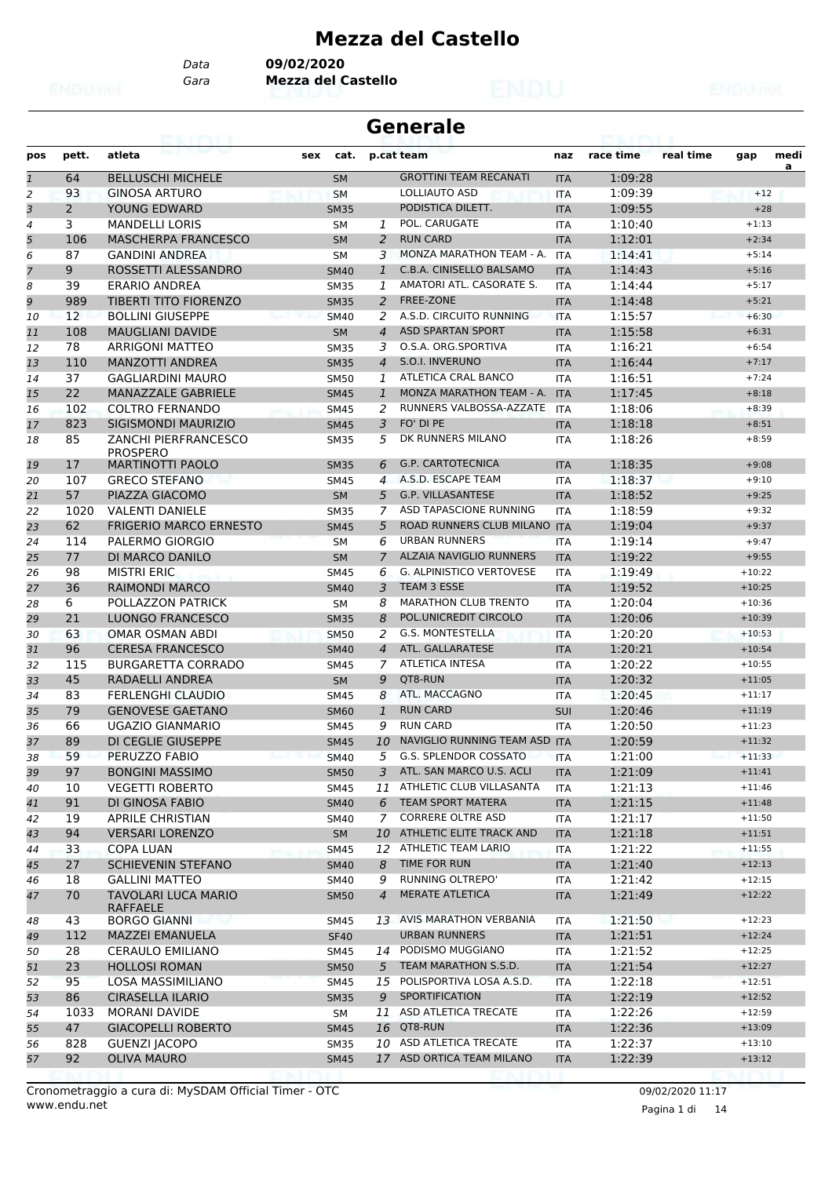# **Mezza del Castello**

*Gara* **Mezza del Castello** *Data* **09/02/2020**

|                |            |                                                    |     |                            |                | <b>Generale</b>                                 |                          |                    |           |                      |           |
|----------------|------------|----------------------------------------------------|-----|----------------------------|----------------|-------------------------------------------------|--------------------------|--------------------|-----------|----------------------|-----------|
| pos            | pett.      | atleta                                             | sex | cat.                       |                | p.cat team                                      | naz                      | race time          | real time | gap                  | medi<br>a |
| $\mathbf{1}$   | 64         | <b>BELLUSCHI MICHELE</b>                           |     | <b>SM</b>                  |                | <b>GROTTINI TEAM RECANATI</b>                   | <b>ITA</b>               | 1:09:28            |           |                      |           |
| $\overline{c}$ | 93         | <b>GINOSA ARTURO</b>                               |     | <b>SM</b>                  |                | LOLLIAUTO ASD                                   | <b>ITA</b>               | 1:09:39            |           | $+12$                |           |
| 3              | 2          | YOUNG EDWARD                                       |     | <b>SM35</b>                |                | PODISTICA DILETT.                               | <b>ITA</b>               | 1:09:55            |           | $+28$                |           |
| 4              | 3          | <b>MANDELLI LORIS</b>                              |     | SΜ                         | 1              | POL. CARUGATE                                   | <b>ITA</b>               | 1:10:40            |           | $+1:13$              |           |
| 5              | 106        | <b>MASCHERPA FRANCESCO</b>                         |     | <b>SM</b>                  | 2              | <b>RUN CARD</b>                                 | <b>ITA</b>               | 1:12:01            |           | $+2:34$              |           |
| 6              | 87         | <b>GANDINI ANDREA</b>                              |     | <b>SM</b>                  | 3              | MONZA MARATHON TEAM - A.                        | <b>ITA</b>               | 1:14:41            |           | $+5:14$              |           |
| $\overline{7}$ | 9          | ROSSETTI ALESSANDRO                                |     | <b>SM40</b>                | 1              | C.B.A. CINISELLO BALSAMO                        | <b>ITA</b>               | 1:14:43            |           | $+5:16$              |           |
| 8              | 39         | <b>ERARIO ANDREA</b>                               |     | <b>SM35</b>                | 1              | AMATORI ATL. CASORATE S.                        | <b>ITA</b>               | 1:14:44            |           | $+5:17$              |           |
| 9              | 989        | <b>TIBERTI TITO FIORENZO</b>                       |     | <b>SM35</b>                | 2              | <b>FREE-ZONE</b>                                | <b>ITA</b>               | 1:14:48            |           | $+5:21$              |           |
| 10             | 12         | <b>BOLLINI GIUSEPPE</b>                            |     | <b>SM40</b>                | 2              | A.S.D. CIRCUITO RUNNING                         | <b>ITA</b>               | 1:15:57            |           | $+6:30$              |           |
| 11             | 108        | <b>MAUGLIANI DAVIDE</b>                            |     | <b>SM</b>                  | $\overline{4}$ | <b>ASD SPARTAN SPORT</b><br>O.S.A. ORG.SPORTIVA | <b>ITA</b>               | 1:15:58            |           | $+6:31$              |           |
| 12             | 78         | <b>ARRIGONI MATTEO</b>                             |     | <b>SM35</b>                | 3              | S.O.I. INVERUNO                                 | <b>ITA</b>               | 1:16:21            |           | $+6:54$              |           |
| 13             | 110<br>37  | <b>MANZOTTI ANDREA</b><br><b>GAGLIARDINI MAURO</b> |     | <b>SM35</b>                | 4<br>1         | ATLETICA CRAL BANCO                             | <b>ITA</b>               | 1:16:44<br>1:16:51 |           | $+7:17$<br>$+7:24$   |           |
| 14<br>15       | 22         | <b>MANAZZALE GABRIELE</b>                          |     | <b>SM50</b>                | $\mathbf{1}$   | MONZA MARATHON TEAM - A.                        | <b>ITA</b><br><b>ITA</b> | 1:17:45            |           | $+8:18$              |           |
| 16             | 102        | <b>COLTRO FERNANDO</b>                             |     | <b>SM45</b>                | 2              | RUNNERS VALBOSSA-AZZATE                         | <b>ITA</b>               | 1:18:06            |           | $+8:39$              |           |
| 17             | 823        | SIGISMONDI MAURIZIO                                |     | <b>SM45</b><br><b>SM45</b> | 3              | FO' DI PE                                       | <b>ITA</b>               | 1:18:18            |           | $+8:51$              |           |
| 18             | 85         | <b>ZANCHI PIERFRANCESCO</b>                        |     | <b>SM35</b>                | 5              | DK RUNNERS MILANO                               | <b>ITA</b>               | 1:18:26            |           | $+8:59$              |           |
| 19             | 17         | <b>PROSPERO</b><br><b>MARTINOTTI PAOLO</b>         |     | <b>SM35</b>                | 6              | <b>G.P. CARTOTECNICA</b>                        | <b>ITA</b>               | 1:18:35            |           | $+9:08$              |           |
| 20             | 107        | <b>GRECO STEFANO</b>                               |     | SM45                       | 4              | A.S.D. ESCAPE TEAM                              | <b>ITA</b>               | 1:18:37            |           | $+9:10$              |           |
| 21             | 57         | PIAZZA GIACOMO                                     |     | <b>SM</b>                  | 5              | <b>G.P. VILLASANTESE</b>                        | <b>ITA</b>               | 1:18:52            |           | $+9:25$              |           |
| 22             | 1020       | <b>VALENTI DANIELE</b>                             |     | <b>SM35</b>                | 7              | ASD TAPASCIONE RUNNING                          | <b>ITA</b>               | 1:18:59            |           | $+9:32$              |           |
| 23             | 62         | <b>FRIGERIO MARCO ERNESTO</b>                      |     | <b>SM45</b>                | 5              | ROAD RUNNERS CLUB MILANO ITA                    |                          | 1:19:04            |           | $+9:37$              |           |
| 24             | 114        | PALERMO GIORGIO                                    |     | <b>SM</b>                  | 6              | <b>URBAN RUNNERS</b>                            | <b>ITA</b>               | 1:19:14            |           | $+9:47$              |           |
| 25             | 77         | DI MARCO DANILO                                    |     | <b>SM</b>                  | 7              | ALZAIA NAVIGLIO RUNNERS                         | <b>ITA</b>               | 1:19:22            |           | $+9:55$              |           |
| 26             | 98         | <b>MISTRI ERIC</b>                                 |     | <b>SM45</b>                | 6              | <b>G. ALPINISTICO VERTOVESE</b>                 | <b>ITA</b>               | 1:19:49            |           | $+10:22$             |           |
| 27             | 36         | <b>RAIMONDI MARCO</b>                              |     | <b>SM40</b>                | 3              | <b>TEAM 3 ESSE</b>                              | <b>ITA</b>               | 1:19:52            |           | $+10:25$             |           |
| 28             | 6          | POLLAZZON PATRICK                                  |     | <b>SM</b>                  | 8              | <b>MARATHON CLUB TRENTO</b>                     | <b>ITA</b>               | 1:20:04            |           | $+10:36$             |           |
| 29             | 21         | <b>LUONGO FRANCESCO</b>                            |     | <b>SM35</b>                | 8              | POL.UNICREDIT CIRCOLO                           | <b>ITA</b>               | 1:20:06            |           | $+10:39$             |           |
| 30             | 63         | <b>OMAR OSMAN ABDI</b>                             |     | <b>SM50</b>                | 2              | <b>G.S. MONTESTELLA</b>                         | <b>ITA</b>               | 1:20:20            |           | $+10:53$             |           |
| 31             | 96         | <b>CERESA FRANCESCO</b>                            |     | <b>SM40</b>                | $\overline{4}$ | ATL. GALLARATESE                                | <b>ITA</b>               | 1:20:21            |           | $+10:54$             |           |
| 32             | 115        | <b>BURGARETTA CORRADO</b>                          |     | <b>SM45</b>                | 7              | <b>ATLETICA INTESA</b>                          | <b>ITA</b>               | 1:20:22            |           | $+10:55$             |           |
| 33             | 45         | RADAELLI ANDREA                                    |     | <b>SM</b>                  | 9              | QT8-RUN                                         | <b>ITA</b>               | 1:20:32            |           | $+11:05$             |           |
| 34             | 83         | <b>FERLENGHI CLAUDIO</b>                           |     | SM45                       | 8              | ATL. MACCAGNO                                   | <b>ITA</b>               | 1:20:45            |           | $+11:17$             |           |
| 35             | 79         | <b>GENOVESE GAETANO</b>                            |     | SM60                       | $\mathbf{1}$   | <b>RUN CARD</b>                                 | <b>SUI</b>               | 1:20:46            |           | $+11:19$             |           |
| 36             | 66         | UGAZIO GIANMARIO                                   |     | <b>SM45</b>                | 9              | <b>RUN CARD</b>                                 | <b>ITA</b>               | 1:20:50            |           | $+11:23$             |           |
| 37             | 89         | DI CEGLIE GIUSEPPE                                 |     | <b>SM45</b>                |                | 10 NAVIGLIO RUNNING TEAM ASD ITA                |                          | 1:20:59            |           | $+11:32$             |           |
| 38             | 59         | PERUZZO FABIO                                      |     | <b>SM40</b>                | 5              | G.S. SPLENDOR COSSATO                           | <b>ITA</b>               | 1:21:00            |           | $+11:33$             |           |
| 39             | 97         | <b>BONGINI MASSIMO</b>                             |     | <b>SM50</b>                | 3              | ATL. SAN MARCO U.S. ACLI                        | <b>ITA</b>               | 1:21:09            |           | $+11:41$             |           |
| 40             | 10         | <b>VEGETTI ROBERTO</b>                             |     | <b>SM45</b>                | 11             | ATHLETIC CLUB VILLASANTA                        | ITA                      | 1:21:13            |           | $+11:46$             |           |
| 41             | 91         | DI GINOSA FABIO                                    |     | <b>SM40</b>                | 6              | <b>TEAM SPORT MATERA</b>                        | <b>ITA</b>               | 1:21:15            |           | $+11:48$             |           |
| 42             | 19         | <b>APRILE CHRISTIAN</b>                            |     | SM40                       | 7              | <b>CORRERE OLTRE ASD</b>                        | ITA                      | 1:21:17            |           | $+11:50$             |           |
| 43             | 94         | <b>VERSARI LORENZO</b>                             |     | SM                         | 10             | ATHLETIC ELITE TRACK AND                        | <b>ITA</b>               | 1:21:18            |           | $+11:51$             |           |
| 44             | 33         | <b>COPA LUAN</b>                                   |     | <b>SM45</b>                | 12             | ATHLETIC TEAM LARIO                             | ITA                      | 1:21:22            |           | $+11:55$             |           |
| 45             | 27         | <b>SCHIEVENIN STEFANO</b>                          |     | <b>SM40</b>                | 8              | TIME FOR RUN                                    | <b>ITA</b>               | 1:21:40            |           | $+12:13$             |           |
| 46             | 18         | <b>GALLINI MATTEO</b>                              |     | SM40                       | 9              | RUNNING OLTREPO'                                | ITA                      | 1:21:42            |           | $+12:15$             |           |
| 47             | 70         | TAVOLARI LUCA MARIO<br><b>RAFFAELE</b>             |     | <b>SM50</b>                | $\overline{4}$ | <b>MERATE ATLETICA</b>                          | <b>ITA</b>               | 1:21:49            |           | $+12:22$             |           |
| 48             | 43         | <b>BORGO GIANNI</b>                                |     | <b>SM45</b>                |                | 13 AVIS MARATHON VERBANIA                       | ITA                      | 1:21:50            |           | $+12:23$             |           |
| 49             | 112        | <b>MAZZEI EMANUELA</b>                             |     | <b>SF40</b>                |                | <b>URBAN RUNNERS</b>                            | <b>ITA</b>               | 1:21:51            |           | $+12:24$             |           |
| 50             | 28         | <b>CERAULO EMILIANO</b>                            |     | <b>SM45</b>                |                | 14 PODISMO MUGGIANO                             | ITA                      | 1:21:52            |           | $+12:25$             |           |
| 51             | 23         | <b>HOLLOSI ROMAN</b>                               |     | <b>SM50</b>                | 5              | TEAM MARATHON S.S.D.                            | <b>ITA</b>               | 1:21:54            |           | $+12:27$             |           |
| 52             | 95         | LOSA MASSIMILIANO                                  |     | <b>SM45</b>                | 15             | POLISPORTIVA LOSA A.S.D.                        | <b>ITA</b>               | 1:22:18            |           | $+12:51$             |           |
| 53             | 86         | <b>CIRASELLA ILARIO</b>                            |     | <b>SM35</b>                | 9              | SPORTIFICATION<br>ASD ATLETICA TRECATE          | <b>ITA</b>               | 1:22:19            |           | $+12:52$             |           |
| 54             | 1033<br>47 | MORANI DAVIDE                                      |     | SM                         | 11             | <b>16 QT8-RUN</b>                               | ITA                      | 1:22:26            |           | $+12:59$<br>$+13:09$ |           |
| 55             | 828        | <b>GIACOPELLI ROBERTO</b><br><b>GUENZI JACOPO</b>  |     | <b>SM45</b>                | 10             | ASD ATLETICA TRECATE                            | <b>ITA</b>               | 1:22:36<br>1:22:37 |           | $+13:10$             |           |
| 56<br>57       | 92         | <b>OLIVA MAURO</b>                                 |     | <b>SM35</b><br><b>SM45</b> |                | 17 ASD ORTICA TEAM MILANO                       | ITA<br><b>ITA</b>        | 1:22:39            |           | $+13:12$             |           |
|                |            |                                                    |     |                            |                |                                                 |                          |                    |           |                      |           |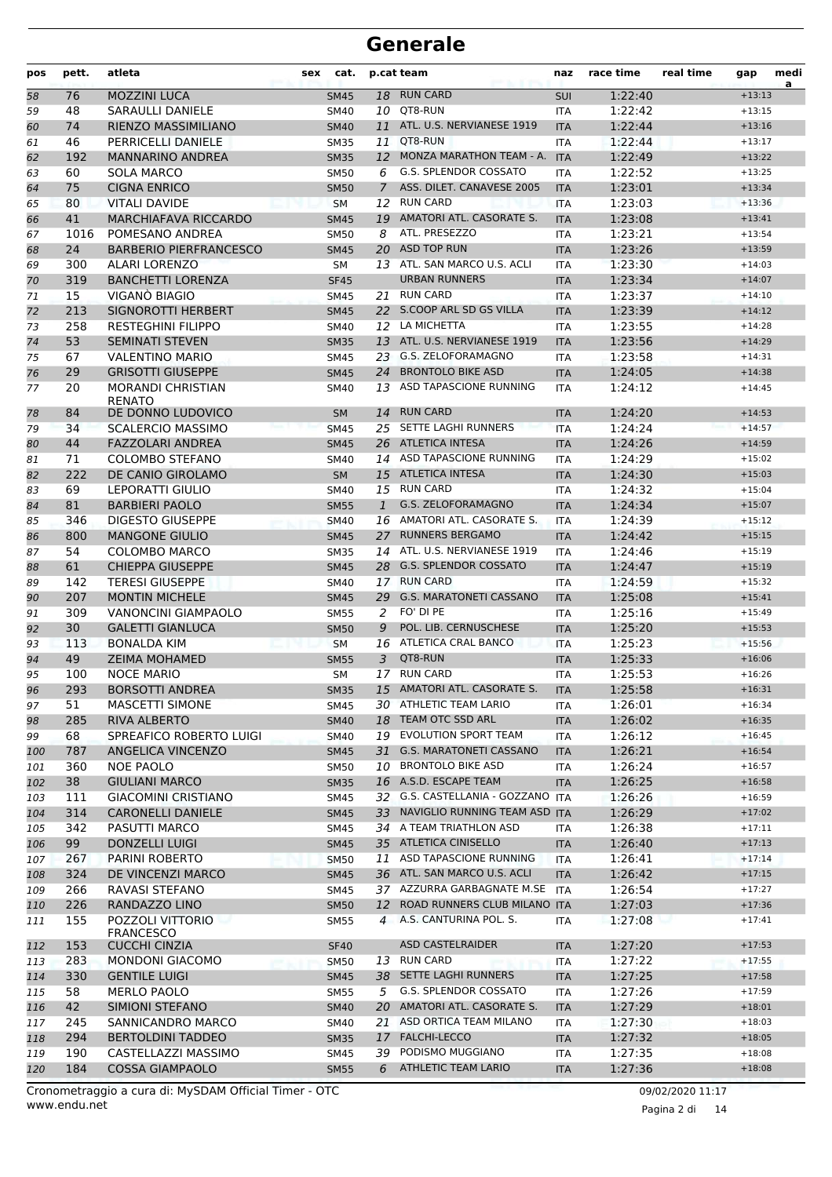| pos        | pett. | atleta                                   | cat.<br>sex |              | p.cat team                        | naz        | race time | real time | gap      | medi<br>a |
|------------|-------|------------------------------------------|-------------|--------------|-----------------------------------|------------|-----------|-----------|----------|-----------|
| 58         | 76    | <b>MOZZINI LUCA</b>                      | <b>SM45</b> |              | 18 RUN CARD                       | SUI        | 1:22:40   |           | $+13:13$ |           |
| 59         | 48    | SARAULLI DANIELE                         | <b>SM40</b> |              | 10 QT8-RUN                        | ITA        | 1:22:42   |           | $+13:15$ |           |
| 60         | 74    | RIENZO MASSIMILIANO                      | <b>SM40</b> | 11           | ATL. U.S. NERVIANESE 1919         | <b>ITA</b> | 1:22:44   |           | $+13:16$ |           |
| 61         | 46    | PERRICELLI DANIELE                       | <b>SM35</b> | 11           | QT8-RUN                           | <b>ITA</b> | 1:22:44   |           | $+13:17$ |           |
| 62         | 192   | <b>MANNARINO ANDREA</b>                  | <b>SM35</b> |              | 12 MONZA MARATHON TEAM - A.       | <b>ITA</b> | 1:22:49   |           | $+13:22$ |           |
| 63         | 60    | <b>SOLA MARCO</b>                        | <b>SM50</b> | 6            | <b>G.S. SPLENDOR COSSATO</b>      | <b>ITA</b> | 1:22:52   |           | $+13:25$ |           |
| 64         | 75    | <b>CIGNA ENRICO</b>                      | <b>SM50</b> | $7^{\circ}$  | ASS. DILET. CANAVESE 2005         | <b>ITA</b> | 1:23:01   |           | $+13:34$ |           |
| 65         | 80    | <b>VITALI DAVIDE</b>                     | <b>SM</b>   |              | 12 RUN CARD                       | <b>ITA</b> | 1:23:03   |           | $+13:36$ |           |
| 66         | 41    | <b>MARCHIAFAVA RICCARDO</b>              | <b>SM45</b> |              | 19 AMATORI ATL. CASORATE S.       | <b>ITA</b> | 1:23:08   |           | $+13:41$ |           |
| 67         | 1016  | POMESANO ANDREA                          | <b>SM50</b> | 8            | ATL. PRESEZZO                     | <b>ITA</b> | 1:23:21   |           | $+13:54$ |           |
| 68         | 24    | <b>BARBERIO PIERFRANCESCO</b>            | <b>SM45</b> | 20           | <b>ASD TOP RUN</b>                | <b>ITA</b> | 1:23:26   |           | $+13:59$ |           |
| 69         | 300   | <b>ALARI LORENZO</b>                     | <b>SM</b>   |              | 13 ATL. SAN MARCO U.S. ACLI       | <b>ITA</b> | 1:23:30   |           | $+14:03$ |           |
| 70         | 319   | <b>BANCHETTI LORENZA</b>                 | <b>SF45</b> |              | <b>URBAN RUNNERS</b>              | <b>ITA</b> | 1:23:34   |           | $+14:07$ |           |
| 71         | 15    | VIGANO BIAGIO                            | <b>SM45</b> |              | 21 RUN CARD                       | <b>ITA</b> | 1:23:37   |           | $+14:10$ |           |
| 72         | 213   | SIGNOROTTI HERBERT                       | <b>SM45</b> |              | 22 S.COOP ARL SD GS VILLA         | <b>ITA</b> | 1:23:39   |           | $+14:12$ |           |
| 73         | 258   | <b>RESTEGHINI FILIPPO</b>                | <b>SM40</b> |              | 12 LA MICHETTA                    | <b>ITA</b> | 1:23:55   |           | $+14:28$ |           |
| 74         | 53    | <b>SEMINATI STEVEN</b>                   | <b>SM35</b> |              | 13 ATL. U.S. NERVIANESE 1919      | <b>ITA</b> | 1:23:56   |           | $+14:29$ |           |
| 75         | 67    | <b>VALENTINO MARIO</b>                   | <b>SM45</b> |              | 23 G.S. ZELOFORAMAGNO             | <b>ITA</b> | 1:23:58   |           | $+14:31$ |           |
| 76         | 29    | <b>GRISOTTI GIUSEPPE</b>                 | <b>SM45</b> |              | 24 BRONTOLO BIKE ASD              | <b>ITA</b> | 1:24:05   |           | $+14:38$ |           |
| 77         | 20    | <b>MORANDI CHRISTIAN</b>                 | SM40        |              | 13 ASD TAPASCIONE RUNNING         | <b>ITA</b> | 1:24:12   |           | $+14:45$ |           |
|            |       | <b>RENATO</b>                            |             |              |                                   |            |           |           |          |           |
| 78         | 84    | DE DONNO LUDOVICO                        | <b>SM</b>   | 14           | <b>RUN CARD</b>                   | <b>ITA</b> | 1:24:20   |           | $+14:53$ |           |
| 79         | 34    | <b>SCALERCIO MASSIMO</b>                 | <b>SM45</b> | 25           | SETTE LAGHI RUNNERS               | <b>ITA</b> | 1:24:24   |           | $+14:57$ |           |
| 80         | 44    | <b>FAZZOLARI ANDREA</b>                  | <b>SM45</b> |              | 26 ATLETICA INTESA                | <b>ITA</b> | 1:24:26   |           | $+14:59$ |           |
| 81         | 71    | <b>COLOMBO STEFANO</b>                   | SM40        |              | 14 ASD TAPASCIONE RUNNING         | <b>ITA</b> | 1:24:29   |           | $+15:02$ |           |
| 82         | 222   | DE CANIO GIROLAMO                        | <b>SM</b>   |              | 15 ATLETICA INTESA                | <b>ITA</b> | 1:24:30   |           | $+15:03$ |           |
| 83         | 69    | <b>LEPORATTI GIULIO</b>                  | SM40        |              | 15 RUN CARD                       | <b>ITA</b> | 1:24:32   |           | $+15:04$ |           |
| 84         | 81    | <b>BARBIERI PAOLO</b>                    | <b>SM55</b> | $\mathbf{1}$ | G.S. ZELOFORAMAGNO                | <b>ITA</b> | 1:24:34   |           | $+15:07$ |           |
| 85         | 346   | <b>DIGESTO GIUSEPPE</b>                  | <b>SM40</b> |              | 16 AMATORI ATL. CASORATE S.       | <b>ITA</b> | 1:24:39   |           | $+15:12$ |           |
| 86         | 800   | <b>MANGONE GIULIO</b>                    | <b>SM45</b> | 27           | <b>RUNNERS BERGAMO</b>            | <b>ITA</b> | 1:24:42   |           | $+15:15$ |           |
| 87         | 54    | COLOMBO MARCO                            | <b>SM35</b> |              | 14 ATL. U.S. NERVIANESE 1919      | <b>ITA</b> | 1:24:46   |           | $+15:19$ |           |
| 88         | 61    | <b>CHIEPPA GIUSEPPE</b>                  | <b>SM45</b> |              | 28 G.S. SPLENDOR COSSATO          | <b>ITA</b> | 1:24:47   |           | $+15:19$ |           |
| 89         | 142   | <b>TERESI GIUSEPPE</b>                   | <b>SM40</b> |              | 17 RUN CARD                       | <b>ITA</b> | 1:24:59   |           | $+15:32$ |           |
| 90         | 207   | <b>MONTIN MICHELE</b>                    | <b>SM45</b> |              | 29 G.S. MARATONETI CASSANO        | <b>ITA</b> | 1:25:08   |           | $+15:41$ |           |
| 91         | 309   | <b>VANONCINI GIAMPAOLO</b>               | <b>SM55</b> | 2            | FO' DI PE                         | <b>ITA</b> | 1:25:16   |           | $+15:49$ |           |
| 92         | 30    | <b>GALETTI GIANLUCA</b>                  | <b>SM50</b> | 9            | POL. LIB. CERNUSCHESE             | <b>ITA</b> | 1:25:20   |           | $+15:53$ |           |
| 93         | 113   | <b>BONALDA KIM</b>                       | <b>SM</b>   |              | 16 ATLETICA CRAL BANCO            | <b>ITA</b> | 1:25:23   |           | $+15:56$ |           |
| 94         | 49    | <b>ZEIMA MOHAMED</b>                     | <b>SM55</b> | 3            | QT8-RUN                           | <b>ITA</b> | 1:25:33   |           | $+16:06$ |           |
| 95         | 100   | <b>NOCE MARIO</b>                        | SΜ          |              | 17 RUN CARD                       | <b>ITA</b> | 1:25:53   |           | $+16:26$ |           |
| 96         | 293   | <b>BORSOTTI ANDREA</b>                   | <b>SM35</b> |              | 15 AMATORI ATL. CASORATE S.       | <b>ITA</b> | 1:25:58   |           | $+16:31$ |           |
| 97         | 51    | <b>MASCETTI SIMONE</b>                   | SM45        |              | 30 ATHLETIC TEAM LARIO            | ITA        | 1:26:01   |           | $+16:34$ |           |
| 98         | 285   | RIVA ALBERTO                             | <b>SM40</b> |              | 18 TEAM OTC SSD ARL               | <b>ITA</b> | 1:26:02   |           | $+16:35$ |           |
| 99         | 68    | SPREAFICO ROBERTO LUIGI                  | SM40        |              | 19 EVOLUTION SPORT TEAM           | ITA        | 1:26:12   |           | $+16:45$ |           |
| 100        | 787   | <b>ANGELICA VINCENZO</b>                 | <b>SM45</b> | 31           | <b>G.S. MARATONETI CASSANO</b>    | <b>ITA</b> | 1:26:21   |           | $+16:54$ |           |
| 101        | 360   | NOE PAOLO                                | <b>SM50</b> |              | 10 BRONTOLO BIKE ASD              | ITA        | 1:26:24   |           | $+16:57$ |           |
| 102        | 38    | <b>GIULIANI MARCO</b>                    | <b>SM35</b> |              | 16 A.S.D. ESCAPE TEAM             | <b>ITA</b> | 1:26:25   |           | $+16:58$ |           |
| 103        | 111   | <b>GIACOMINI CRISTIANO</b>               | SM45        |              | 32 G.S. CASTELLANIA - GOZZANO ITA |            | 1:26:26   |           | $+16:59$ |           |
| 104        | 314   | <b>CARONELLI DANIELE</b>                 | <b>SM45</b> |              | 33 NAVIGLIO RUNNING TEAM ASD ITA  |            | 1:26:29   |           | $+17:02$ |           |
| 105        | 342   | PASUTTI MARCO                            | SM45        |              | 34 A TEAM TRIATHLON ASD           | ITA        | 1:26:38   |           | $+17:11$ |           |
| 106        | 99    | <b>DONZELLI LUIGI</b>                    | <b>SM45</b> |              | 35 ATLETICA CINISELLO             | <b>ITA</b> | 1:26:40   |           | $+17:13$ |           |
| 107        | 267   | PARINI ROBERTO                           | <b>SM50</b> |              | 11 ASD TAPASCIONE RUNNING         | <b>ITA</b> | 1:26:41   |           | $+17:14$ |           |
| 108        | 324   | DE VINCENZI MARCO                        | <b>SM45</b> |              | 36 ATL. SAN MARCO U.S. ACLI       | <b>ITA</b> | 1:26:42   |           | $+17:15$ |           |
| 109        | 266   | RAVASI STEFANO                           | <b>SM45</b> |              | 37 AZZURRA GARBAGNATE M.SE ITA    |            | 1:26:54   |           | $+17:27$ |           |
| 110        | 226   | RANDAZZO LINO                            | <b>SM50</b> | 12           | ROAD RUNNERS CLUB MILANO ITA      |            | 1:27:03   |           | $+17:36$ |           |
| 111        | 155   | POZZOLI VITTORIO                         | SM55        |              | 4 A.S. CANTURINA POL. S.          | ITA        | 1:27:08   |           | $+17:41$ |           |
| 112        | 153   | <b>FRANCESCO</b><br><b>CUCCHI CINZIA</b> | <b>SF40</b> |              | <b>ASD CASTELRAIDER</b>           | <b>ITA</b> | 1:27:20   |           | $+17:53$ |           |
|            | 283   | <b>MONDONI GIACOMO</b>                   | <b>SM50</b> |              | 13 RUN CARD                       | ITA        | 1:27:22   |           | $+17:55$ |           |
| 113<br>114 | 330   | <b>GENTILE LUIGI</b>                     | <b>SM45</b> |              | 38 SETTE LAGHI RUNNERS            | <b>ITA</b> | 1:27:25   |           | $+17:58$ |           |
| 115        | 58    | MERLO PAOLO                              | SM55        |              | 5 G.S. SPLENDOR COSSATO           | ITA        | 1:27:26   |           | $+17:59$ |           |
| 116        | 42    | SIMIONI STEFANO                          | <b>SM40</b> |              | 20 AMATORI ATL. CASORATE S.       | <b>ITA</b> | 1:27:29   |           | $+18:01$ |           |
| 117        | 245   | SANNICANDRO MARCO                        | SM40        |              | 21 ASD ORTICA TEAM MILANO         | ITA        | 1:27:30   |           | $+18:03$ |           |
| 118        | 294   | <b>BERTOLDINI TADDEO</b>                 | <b>SM35</b> | 17           | <b>FALCHI-LECCO</b>               | <b>ITA</b> | 1:27:32   |           | $+18:05$ |           |
|            | 190   | CASTELLAZZI MASSIMO                      |             |              | 39 PODISMO MUGGIANO               |            | 1:27:35   |           | $+18:08$ |           |
| 119        | 184   | <b>COSSA GIAMPAOLO</b>                   | SM45        | 6            | ATHLETIC TEAM LARIO               | ITA        |           |           | $+18:08$ |           |
| 120        |       |                                          | <b>SM55</b> |              |                                   | <b>ITA</b> | 1:27:36   |           |          |           |

www.endu.net Cronometraggio a cura di: MySDAM Official Timer - OTC 09/02/2020 11:17

Pagina 2 di 14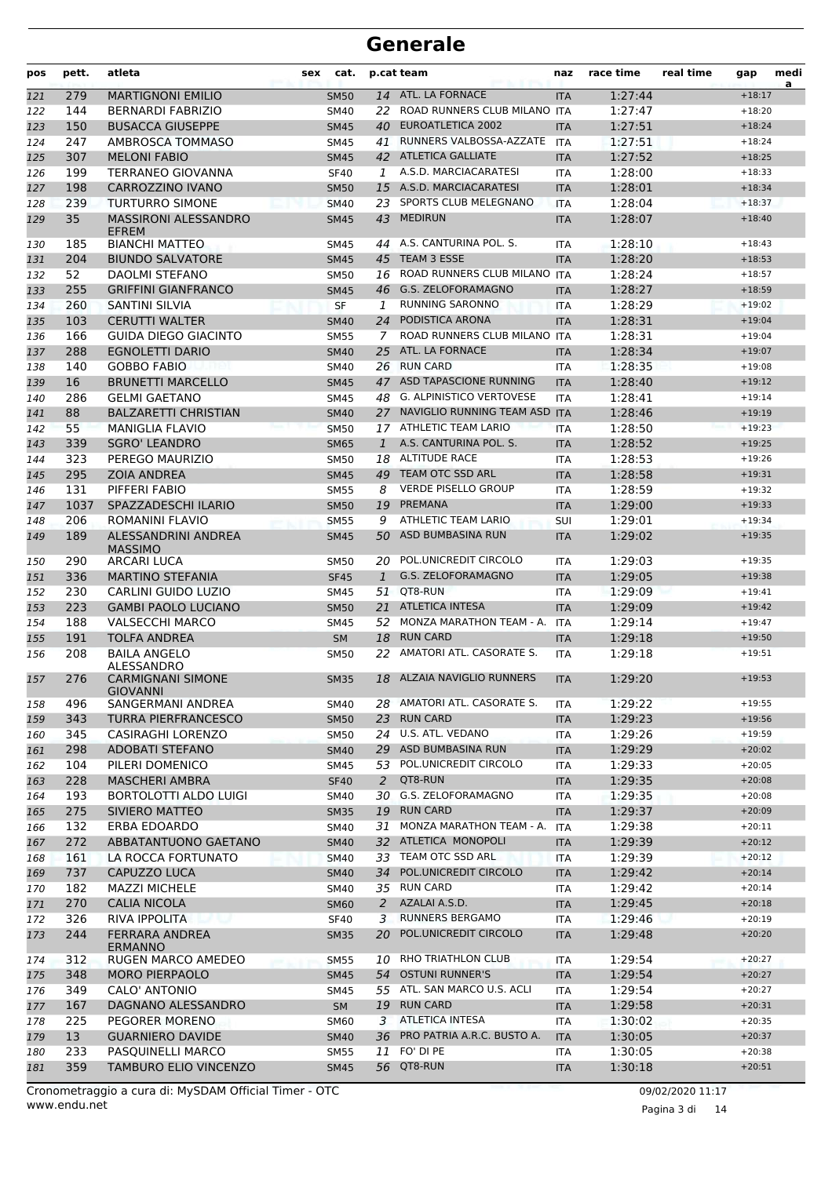| pos | pett. | atleta                                      | <b>sex</b> | cat.        |              | p.cat team                       | naz        | race time | real time | gap      | medi<br>a |
|-----|-------|---------------------------------------------|------------|-------------|--------------|----------------------------------|------------|-----------|-----------|----------|-----------|
| 121 | 279   | <b>MARTIGNONI EMILIO</b>                    |            | <b>SM50</b> | 14           | ATL. LA FORNACE                  | <b>ITA</b> | 1:27:44   |           | $+18:17$ |           |
| 122 | 144   | <b>BERNARDI FABRIZIO</b>                    |            | <b>SM40</b> | 22           | ROAD RUNNERS CLUB MILANO ITA     |            | 1:27:47   |           | $+18:20$ |           |
| 123 | 150   | <b>BUSACCA GIUSEPPE</b>                     |            | <b>SM45</b> | 40           | EUROATLETICA 2002                | <b>ITA</b> | 1:27:51   |           | $+18:24$ |           |
| 124 | 247   | AMBROSCA TOMMASO                            |            | <b>SM45</b> | 41           | RUNNERS VALBOSSA-AZZATE          | <b>ITA</b> | 1:27:51   |           | $+18:24$ |           |
| 125 | 307   | <b>MELONI FABIO</b>                         |            | <b>SM45</b> |              | 42 ATLETICA GALLIATE             | <b>ITA</b> | 1:27:52   |           | $+18:25$ |           |
| 126 | 199   | TERRANEO GIOVANNA                           |            | <b>SF40</b> | 1            | A.S.D. MARCIACARATESI            | <b>ITA</b> | 1:28:00   |           | $+18:33$ |           |
| 127 | 198   | CARROZZINO IVANO                            |            | <b>SM50</b> |              | 15 A.S.D. MARCIACARATESI         | <b>ITA</b> | 1:28:01   |           | $+18:34$ |           |
| 128 | 239   | <b>TURTURRO SIMONE</b>                      |            | <b>SM40</b> |              | 23 SPORTS CLUB MELEGNANO         | <b>ITA</b> | 1:28:04   |           | $+18:37$ |           |
| 129 | 35    | <b>MASSIRONI ALESSANDRO</b><br><b>EFREM</b> |            | <b>SM45</b> |              | 43 MEDIRUN                       | <b>ITA</b> | 1:28:07   |           | $+18:40$ |           |
| 130 | 185   | <b>BIANCHI MATTEO</b>                       |            | <b>SM45</b> | 44           | A.S. CANTURINA POL. S.           | <b>ITA</b> | 1:28:10   |           | $+18:43$ |           |
| 131 | 204   | <b>BIUNDO SALVATORE</b>                     |            | <b>SM45</b> | 45           | <b>TEAM 3 ESSE</b>               | <b>ITA</b> | 1:28:20   |           | $+18:53$ |           |
| 132 | 52    | <b>DAOLMI STEFANO</b>                       |            | <b>SM50</b> | 16           | ROAD RUNNERS CLUB MILANO         | <b>ITA</b> | 1:28:24   |           | $+18:57$ |           |
| 133 | 255   | <b>GRIFFINI GIANFRANCO</b>                  |            | <b>SM45</b> | 46           | <b>G.S. ZELOFORAMAGNO</b>        | <b>ITA</b> | 1:28:27   |           | $+18:59$ |           |
| 134 | 260   | <b>SANTINI SILVIA</b>                       |            | SF          | 1            | <b>RUNNING SARONNO</b>           | <b>ITA</b> | 1:28:29   |           | $+19:02$ |           |
| 135 | 103   | <b>CERUTTI WALTER</b>                       |            | <b>SM40</b> | 24           | PODISTICA ARONA                  | <b>ITA</b> | 1:28:31   |           | $+19:04$ |           |
| 136 | 166   | <b>GUIDA DIEGO GIACINTO</b>                 |            | <b>SM55</b> | 7            | ROAD RUNNERS CLUB MILANO         | <b>ITA</b> | 1:28:31   |           | $+19:04$ |           |
| 137 | 288   | <b>EGNOLETTI DARIO</b>                      |            | <b>SM40</b> | 25           | ATL. LA FORNACE                  | <b>ITA</b> | 1:28:34   |           | $+19:07$ |           |
| 138 | 140   | <b>GOBBO FABIO</b>                          |            | SM40        |              | 26 RUN CARD                      | <b>ITA</b> | 1:28:35   |           | $+19:08$ |           |
| 139 | 16    | <b>BRUNETTI MARCELLO</b>                    |            | <b>SM45</b> | 47           | ASD TAPASCIONE RUNNING           | <b>ITA</b> | 1:28:40   |           | $+19:12$ |           |
| 140 | 286   | <b>GELMI GAETANO</b>                        |            | <b>SM45</b> | 48           | <b>G. ALPINISTICO VERTOVESE</b>  | <b>ITA</b> | 1:28:41   |           | $+19:14$ |           |
| 141 | 88    | <b>BALZARETTI CHRISTIAN</b>                 |            | <b>SM40</b> |              | 27 NAVIGLIO RUNNING TEAM ASD ITA |            | 1:28:46   |           | $+19:19$ |           |
| 142 | 55    | <b>MANIGLIA FLAVIO</b>                      |            | <b>SM50</b> |              | 17 ATHLETIC TEAM LARIO           | <b>ITA</b> | 1:28:50   |           | $+19:23$ |           |
| 143 | 339   | <b>SGRO' LEANDRO</b>                        |            | SM65        | $\mathbf{1}$ | A.S. CANTURINA POL. S.           | <b>ITA</b> | 1:28:52   |           | $+19:25$ |           |
| 144 | 323   | PEREGO MAURIZIO                             |            | SM50        |              | 18 ALTITUDE RACE                 | <b>ITA</b> | 1:28:53   |           | $+19:26$ |           |
| 145 | 295   | <b>ZOIA ANDREA</b>                          |            | <b>SM45</b> | 49           | TEAM OTC SSD ARL                 | <b>ITA</b> | 1:28:58   |           | $+19:31$ |           |
| 146 | 131   | PIFFERI FABIO                               |            | <b>SM55</b> | 8            | <b>VERDE PISELLO GROUP</b>       | <b>ITA</b> | 1:28:59   |           | $+19:32$ |           |
| 147 | 1037  | SPAZZADESCHI ILARIO                         |            | <b>SM50</b> | 19           | PREMANA                          | <b>ITA</b> | 1:29:00   |           | $+19:33$ |           |
| 148 | 206   | ROMANINI FLAVIO                             |            | <b>SM55</b> | 9            | <b>ATHLETIC TEAM LARIO</b>       | SUI        | 1:29:01   |           | $+19:34$ |           |
| 149 | 189   | ALESSANDRINI ANDREA<br><b>MASSIMO</b>       |            | <b>SM45</b> | 50           | ASD BUMBASINA RUN                | <b>ITA</b> | 1:29:02   |           | $+19:35$ |           |
| 150 | 290   | <b>ARCARI LUCA</b>                          |            | <b>SM50</b> | 20           | POL.UNICREDIT CIRCOLO            | <b>ITA</b> | 1:29:03   |           | $+19:35$ |           |
| 151 | 336   | <b>MARTINO STEFANIA</b>                     |            | <b>SF45</b> | $\mathbf{1}$ | G.S. ZELOFORAMAGNO               | <b>ITA</b> | 1:29:05   |           | $+19:38$ |           |
| 152 | 230   | CARLINI GUIDO LUZIO                         |            | <b>SM45</b> | 51           | QT8-RUN                          | <b>ITA</b> | 1:29:09   |           | $+19:41$ |           |
| 153 | 223   | <b>GAMBI PAOLO LUCIANO</b>                  |            | <b>SM50</b> | 21           | <b>ATLETICA INTESA</b>           | <b>ITA</b> | 1:29:09   |           | $+19:42$ |           |
| 154 | 188   | <b>VALSECCHI MARCO</b>                      |            | SM45        | 52           | MONZA MARATHON TEAM - A.         | ITA        | 1:29:14   |           | $+19:47$ |           |
| 155 | 191   | <b>TOLFA ANDREA</b>                         |            | <b>SM</b>   | 18           | <b>RUN CARD</b>                  | <b>ITA</b> | 1:29:18   |           | $+19:50$ |           |
| 156 | 208   | <b>BAILA ANGELO</b>                         |            | <b>SM50</b> | 22           | AMATORI ATL. CASORATE S.         | <b>ITA</b> | 1:29:18   |           | $+19:51$ |           |
| 157 | 276   | ALESSANDRO<br><b>CARMIGNANI SIMONE</b>      |            | <b>SM35</b> | 18           | ALZAIA NAVIGLIO RUNNERS          | <b>ITA</b> | 1:29:20   |           | $+19:53$ |           |
| 158 | 496   | GIOVANNI<br>SANGERMANI ANDREA               |            | SM40        |              | 28 AMATORI ATL. CASORATE S.      | <b>ITA</b> | 1:29:22   |           | $+19:55$ |           |
| 159 | 343   | TURRA PIERFRANCESCO                         |            | <b>SM50</b> | 23           | <b>RUN CARD</b>                  | <b>ITA</b> | 1:29:23   |           | $+19:56$ |           |
| 160 | 345   | CASIRAGHI LORENZO                           |            | <b>SM50</b> |              | 24 U.S. ATL. VEDANO              | ITA        | 1:29:26   |           | $+19:59$ |           |
| 161 | 298   | <b>ADOBATI STEFANO</b>                      |            | <b>SM40</b> |              | 29 ASD BUMBASINA RUN             | <b>ITA</b> | 1:29:29   |           | $+20:02$ |           |
| 162 | 104   | PILERI DOMENICO                             |            | SM45        |              | 53 POL.UNICREDIT CIRCOLO         | ITA        | 1:29:33   |           | $+20:05$ |           |
| 163 | 228   | <b>MASCHERI AMBRA</b>                       |            | <b>SF40</b> | 2            | QT8-RUN                          | <b>ITA</b> | 1:29:35   |           | $+20:08$ |           |
| 164 | 193   | <b>BORTOLOTTI ALDO LUIGI</b>                |            | SM40        | 30           | G.S. ZELOFORAMAGNO               | <b>ITA</b> | 1:29:35   |           | $+20:08$ |           |
| 165 | 275   | SIVIERO MATTEO                              |            | <b>SM35</b> |              | 19 RUN CARD                      | <b>ITA</b> | 1:29:37   |           | $+20:09$ |           |
| 166 | 132   | ERBA EDOARDO                                |            | SM40        | 31           | MONZA MARATHON TEAM - A.         | <b>ITA</b> | 1:29:38   |           | $+20:11$ |           |
| 167 | 272   | ABBATANTUONO GAETANO                        |            | <b>SM40</b> |              | 32 ATLETICA MONOPOLI             | <b>ITA</b> | 1:29:39   |           | $+20:12$ |           |
| 168 | 161   | LA ROCCA FORTUNATO                          |            | <b>SM40</b> |              | 33 TEAM OTC SSD ARL              | ITA        | 1:29:39   |           | $+20:12$ |           |
| 169 | 737   | CAPUZZO LUCA                                |            | <b>SM40</b> | 34           | POL.UNICREDIT CIRCOLO            | <b>ITA</b> | 1:29:42   |           | $+20:14$ |           |
| 170 | 182   | <b>MAZZI MICHELE</b>                        |            | SM40        |              | 35 RUN CARD                      | <b>ITA</b> | 1:29:42   |           | $+20:14$ |           |
| 171 | 270   | <b>CALIA NICOLA</b>                         |            | <b>SM60</b> | 2            | AZALAI A.S.D.                    | <b>ITA</b> | 1:29:45   |           | $+20:18$ |           |
| 172 | 326   | RIVA IPPOLITA                               |            | <b>SF40</b> | 3            | <b>RUNNERS BERGAMO</b>           | ITA        | 1:29:46   |           | $+20:19$ |           |
| 173 | 244   | <b>FERRARA ANDREA</b><br><b>ERMANNO</b>     |            | <b>SM35</b> |              | 20 POL.UNICREDIT CIRCOLO         | <b>ITA</b> | 1:29:48   |           | $+20:20$ |           |
| 174 | 312   | RUGEN MARCO AMEDEO                          |            | SM55        |              | 10 RHO TRIATHLON CLUB            | ITA        | 1:29:54   |           | $+20:27$ |           |
| 175 | 348   | <b>MORO PIERPAOLO</b>                       |            | <b>SM45</b> |              | 54 OSTUNI RUNNER'S               | <b>ITA</b> | 1:29:54   |           | $+20:27$ |           |
| 176 | 349   | CALO' ANTONIO                               |            | SM45        |              | 55 ATL. SAN MARCO U.S. ACLI      | ITA        | 1:29:54   |           | $+20:27$ |           |
| 177 | 167   | DAGNANO ALESSANDRO                          |            | <b>SM</b>   |              | 19 RUN CARD                      | <b>ITA</b> | 1:29:58   |           | $+20:31$ |           |
| 178 | 225   | PEGORER MORENO                              |            | <b>SM60</b> |              | 3 ATLETICA INTESA                | ITA        | 1:30:02   |           | $+20:35$ |           |
| 179 | 13    | <b>GUARNIERO DAVIDE</b>                     |            | <b>SM40</b> |              | 36 PRO PATRIA A.R.C. BUSTO A.    | <b>ITA</b> | 1:30:05   |           | $+20:37$ |           |
| 180 | 233   | PASQUINELLI MARCO                           |            | SM55        |              | 11 FO' DI PE                     | <b>ITA</b> | 1:30:05   |           | $+20:38$ |           |
| 181 | 359   | TAMBURO ELIO VINCENZO                       |            | <b>SM45</b> |              | 56 QT8-RUN                       | <b>ITA</b> | 1:30:18   |           | $+20:51$ |           |

Pagina 3 di 14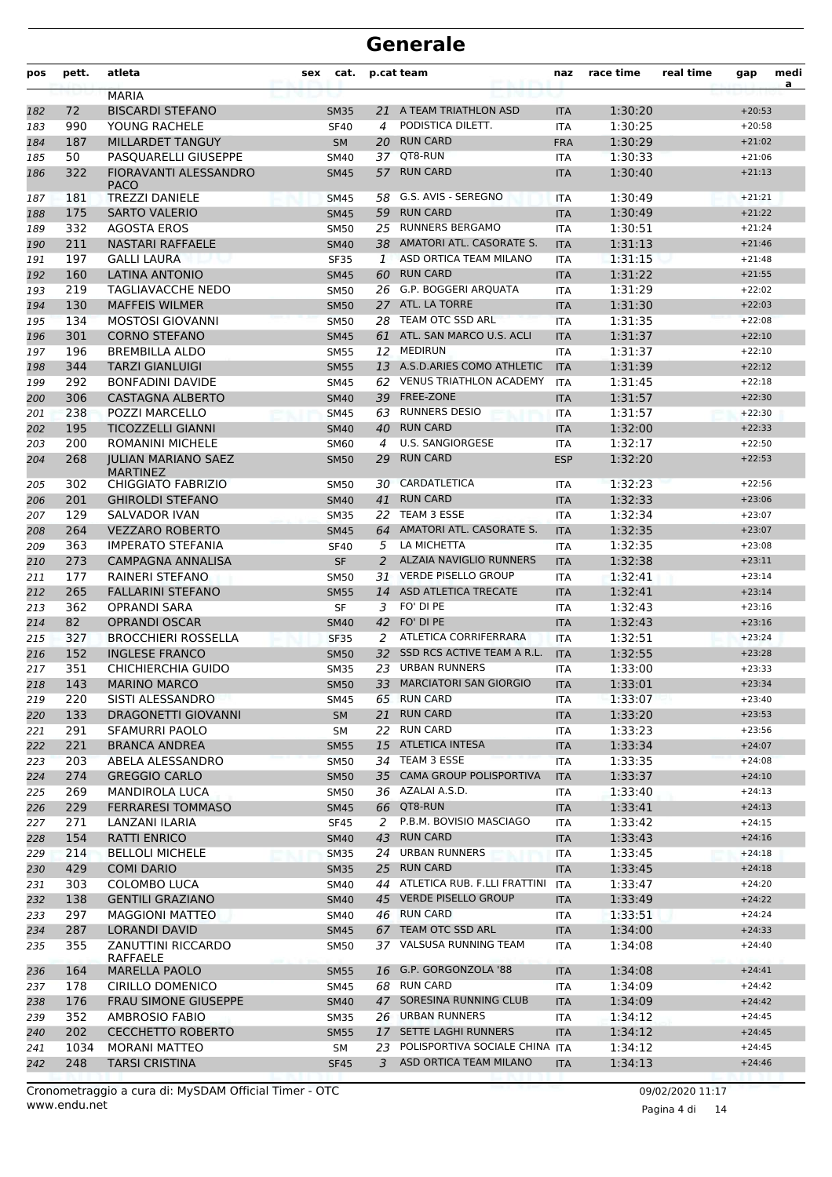| pos | pett. | atleta                                       | <b>sex</b> | cat.        |              | p.cat team                        | naz        | race time | real time | gap      | medi<br>a |
|-----|-------|----------------------------------------------|------------|-------------|--------------|-----------------------------------|------------|-----------|-----------|----------|-----------|
|     |       | <b>MARIA</b>                                 |            |             |              |                                   |            |           |           |          |           |
| 182 | 72    | <b>BISCARDI STEFANO</b>                      |            | <b>SM35</b> | 21           | A TEAM TRIATHLON ASD              | <b>ITA</b> | 1:30:20   |           | $+20:53$ |           |
| 183 | 990   | YOUNG RACHELE                                |            | <b>SF40</b> | 4            | PODISTICA DILETT.                 | ITA        | 1:30:25   |           | $+20:58$ |           |
| 184 | 187   | MILLARDET TANGUY                             |            | <b>SM</b>   | 20           | <b>RUN CARD</b>                   | <b>FRA</b> | 1:30:29   |           | $+21:02$ |           |
| 185 | 50    | PASQUARELLI GIUSEPPE                         |            | SM40        | 37           | QT8-RUN                           | ITA        | 1:30:33   |           | $+21:06$ |           |
| 186 | 322   | FIORAVANTI ALESSANDRO<br><b>PACO</b>         |            | <b>SM45</b> | 57           | <b>RUN CARD</b>                   | <b>ITA</b> | 1:30:40   |           | $+21:13$ |           |
| 187 | 181   | <b>TREZZI DANIELE</b>                        |            | <b>SM45</b> | 58           | G.S. AVIS - SEREGNO               | <b>ITA</b> | 1:30:49   |           | $+21:21$ |           |
| 188 | 175   | <b>SARTO VALERIO</b>                         |            | <b>SM45</b> |              | 59 RUN CARD                       | <b>ITA</b> | 1:30:49   |           | $+21:22$ |           |
| 189 | 332   | <b>AGOSTA EROS</b>                           |            | <b>SM50</b> |              | 25 RUNNERS BERGAMO                | <b>ITA</b> | 1:30:51   |           | $+21:24$ |           |
| 190 | 211   | <b>NASTARI RAFFAELE</b>                      |            | <b>SM40</b> |              | 38 AMATORI ATL. CASORATE S.       | <b>ITA</b> | 1:31:13   |           | $+21:46$ |           |
| 191 | 197   | <b>GALLI LAURA</b>                           |            | <b>SF35</b> | $\mathbf{1}$ | ASD ORTICA TEAM MILANO            | <b>ITA</b> | 1:31:15   |           | $+21:48$ |           |
| 192 | 160   | <b>LATINA ANTONIO</b>                        |            | <b>SM45</b> | 60           | <b>RUN CARD</b>                   | <b>ITA</b> | 1:31:22   |           | $+21:55$ |           |
| 193 | 219   | TAGLIAVACCHE NEDO                            |            | SM50        |              | 26 G.P. BOGGERI ARQUATA           | <b>ITA</b> | 1:31:29   |           | $+22:02$ |           |
| 194 | 130   | <b>MAFFEIS WILMER</b>                        |            | <b>SM50</b> |              | 27 ATL. LA TORRE                  | <b>ITA</b> | 1:31:30   |           | $+22:03$ |           |
| 195 | 134   | <b>MOSTOSI GIOVANNI</b>                      |            | <b>SM50</b> |              | 28 TEAM OTC SSD ARL               | <b>ITA</b> | 1:31:35   |           | $+22:08$ |           |
| 196 | 301   | <b>CORNO STEFANO</b>                         |            | <b>SM45</b> |              | 61 ATL. SAN MARCO U.S. ACLI       | <b>ITA</b> | 1:31:37   |           | $+22:10$ |           |
| 197 | 196   | <b>BREMBILLA ALDO</b>                        |            | <b>SM55</b> |              | 12 MEDIRUN                        | <b>ITA</b> | 1:31:37   |           | $+22:10$ |           |
| 198 | 344   | <b>TARZI GIANLUIGI</b>                       |            | <b>SM55</b> |              | 13 A.S.D.ARIES COMO ATHLETIC      | <b>ITA</b> | 1:31:39   |           | $+22:12$ |           |
| 199 | 292   | <b>BONFADINI DAVIDE</b>                      |            | <b>SM45</b> |              | 62 VENUS TRIATHLON ACADEMY        | <b>ITA</b> | 1:31:45   |           | $+22:18$ |           |
| 200 | 306   | <b>CASTAGNA ALBERTO</b>                      |            | <b>SM40</b> |              | 39 FREE-ZONE                      | <b>ITA</b> | 1:31:57   |           | $+22:30$ |           |
| 201 | 238   | POZZI MARCELLO                               |            | <b>SM45</b> | 63           | <b>RUNNERS DESIO</b>              | <b>ITA</b> | 1:31:57   |           | $+22:30$ |           |
| 202 | 195   | <b>TICOZZELLI GIANNI</b>                     |            | <b>SM40</b> |              | 40 RUN CARD                       | <b>ITA</b> | 1:32:00   |           | $+22:33$ |           |
| 203 | 200   | <b>ROMANINI MICHELE</b>                      |            | <b>SM60</b> | 4            | U.S. SANGIORGESE                  | <b>ITA</b> | 1:32:17   |           | $+22:50$ |           |
| 204 | 268   | <b>JULIAN MARIANO SAEZ</b>                   |            | <b>SM50</b> | 29           | <b>RUN CARD</b>                   | <b>ESP</b> | 1:32:20   |           | $+22:53$ |           |
| 205 | 302   | <b>MARTINEZ</b><br><b>CHIGGIATO FABRIZIO</b> |            | <b>SM50</b> | 30           | CARDATLETICA                      | <b>ITA</b> | 1:32:23   |           | $+22:56$ |           |
| 206 | 201   | <b>GHIROLDI STEFANO</b>                      |            | <b>SM40</b> | 41           | <b>RUN CARD</b>                   | <b>ITA</b> | 1:32:33   |           | $+23:06$ |           |
| 207 | 129   | SALVADOR IVAN                                |            | <b>SM35</b> | 22           | TEAM 3 ESSE                       | <b>ITA</b> | 1:32:34   |           | $+23:07$ |           |
| 208 | 264   | <b>VEZZARO ROBERTO</b>                       |            | <b>SM45</b> | 64           | AMATORI ATL. CASORATE S.          | <b>ITA</b> | 1:32:35   |           | $+23:07$ |           |
| 209 | 363   | <b>IMPERATO STEFANIA</b>                     |            | <b>SF40</b> | 5            | LA MICHETTA                       | <b>ITA</b> | 1:32:35   |           | $+23:08$ |           |
| 210 | 273   | <b>CAMPAGNA ANNALISA</b>                     |            | <b>SF</b>   | 2            | ALZAIA NAVIGLIO RUNNERS           | <b>ITA</b> | 1:32:38   |           | $+23:11$ |           |
| 211 | 177   | RAINERI STEFANO                              |            | <b>SM50</b> | 31           | <b>VERDE PISELLO GROUP</b>        | <b>ITA</b> | 1:32:41   |           | $+23:14$ |           |
| 212 | 265   | <b>FALLARINI STEFANO</b>                     |            | <b>SM55</b> |              | 14 ASD ATLETICA TRECATE           | <b>ITA</b> | 1:32:41   |           | $+23:14$ |           |
| 213 | 362   | <b>OPRANDI SARA</b>                          |            | <b>SF</b>   | 3            | FO' DI PE                         | <b>ITA</b> | 1:32:43   |           | $+23:16$ |           |
| 214 | 82    | <b>OPRANDI OSCAR</b>                         |            | <b>SM40</b> |              | 42 FO' DI PE                      | <b>ITA</b> | 1:32:43   |           | $+23:16$ |           |
| 215 | 327   | <b>BROCCHIERI ROSSELLA</b>                   |            | <b>SF35</b> | 2            | ATLETICA CORRIFERRARA             | <b>ITA</b> | 1:32:51   |           | $+23:24$ |           |
| 216 | 152   | <b>INGLESE FRANCO</b>                        |            | <b>SM50</b> | 32           | SSD RCS ACTIVE TEAM A R.L.        | <b>ITA</b> | 1:32:55   |           | $+23:28$ |           |
| 217 | 351   | CHICHIERCHIA GUIDO                           |            | <b>SM35</b> | 23           | <b>URBAN RUNNERS</b>              | <b>ITA</b> | 1:33:00   |           | $+23:33$ |           |
| 218 | 143   | <b>MARINO MARCO</b>                          |            | <b>SM50</b> | 33           | <b>MARCIATORI SAN GIORGIO</b>     | <b>ITA</b> | 1:33:01   |           | $+23:34$ |           |
| 219 | 220   | SISTI ALESSANDRO                             |            | SM45        |              | 65 RUN CARD                       | ITA        | 1:33:07   |           | $+23:40$ |           |
| 220 | 133   | DRAGONETTI GIOVANNI                          |            | <b>SM</b>   | 21           | <b>RUN CARD</b>                   | <b>ITA</b> | 1:33:20   |           | $+23:53$ |           |
| 221 | 291   | SFAMURRI PAOLO                               |            | SM          |              | 22 RUN CARD                       | ITA        | 1:33:23   |           | $+23:56$ |           |
| 222 | 221   | <b>BRANCA ANDREA</b>                         |            | <b>SM55</b> |              | 15 ATLETICA INTESA                | <b>ITA</b> | 1:33:34   |           | $+24:07$ |           |
| 223 | 203   | ABELA ALESSANDRO                             |            | <b>SM50</b> |              | 34 TEAM 3 ESSE                    | <b>ITA</b> | 1:33:35   |           | $+24:08$ |           |
| 224 | 274   | <b>GREGGIO CARLO</b>                         |            | <b>SM50</b> |              | 35 CAMA GROUP POLISPORTIVA        | <b>ITA</b> | 1:33:37   |           | $+24:10$ |           |
| 225 | 269   | <b>MANDIROLA LUCA</b>                        |            | SM50        |              | 36 AZALAI A.S.D.                  | ITA        | 1:33:40   |           | $+24:13$ |           |
| 226 | 229   | <b>FERRARESI TOMMASO</b>                     |            | <b>SM45</b> |              | 66 QT8-RUN                        | <b>ITA</b> | 1:33:41   |           | $+24:13$ |           |
| 227 | 271   | LANZANI ILARIA                               |            | <b>SF45</b> | 2            | P.B.M. BOVISIO MASCIAGO           | ITA        | 1:33:42   |           | $+24:15$ |           |
| 228 | 154   | <b>RATTI ENRICO</b>                          |            | <b>SM40</b> | 43           | <b>RUN CARD</b>                   | <b>ITA</b> | 1:33:43   |           | $+24:16$ |           |
| 229 | 214   | <b>BELLOLI MICHELE</b>                       |            | <b>SM35</b> |              | 24 URBAN RUNNERS                  | ITA        | 1:33:45   |           | $+24:18$ |           |
| 230 | 429   | <b>COMI DARIO</b>                            |            | <b>SM35</b> |              | 25 RUN CARD                       | <b>ITA</b> | 1:33:45   |           | $+24:18$ |           |
| 231 | 303   | COLOMBO LUCA                                 |            | SM40        |              | 44 ATLETICA RUB. F.LLI FRATTINI   | <b>ITA</b> | 1:33:47   |           | $+24:20$ |           |
| 232 | 138   | <b>GENTILI GRAZIANO</b>                      |            | <b>SM40</b> |              | 45 VERDE PISELLO GROUP            | <b>ITA</b> | 1:33:49   |           | $+24:22$ |           |
| 233 | 297   | <b>MAGGIONI MATTEO</b>                       |            | SM40        |              | 46 RUN CARD                       | ITA        | 1:33:51   |           | $+24:24$ |           |
| 234 | 287   | <b>LORANDI DAVID</b>                         |            | <b>SM45</b> |              | 67 TEAM OTC SSD ARL               | <b>ITA</b> | 1:34:00   |           | $+24:33$ |           |
| 235 | 355   | ZANUTTINI RICCARDO                           |            | SM50        |              | 37 VALSUSA RUNNING TEAM           | ITA        | 1:34:08   |           | $+24:40$ |           |
| 236 | 164   | RAFFAELE<br><b>MARELLA PAOLO</b>             |            | <b>SM55</b> |              | 16 G.P. GORGONZOLA '88            | ITA        | 1:34:08   |           | $+24:41$ |           |
| 237 | 178   | CIRILLO DOMENICO                             |            | SM45        |              | 68 RUN CARD                       | ITA        | 1:34:09   |           | $+24:42$ |           |
| 238 | 176   | <b>FRAU SIMONE GIUSEPPE</b>                  |            | <b>SM40</b> |              | 47 SORESINA RUNNING CLUB          | <b>ITA</b> | 1:34:09   |           | $+24:42$ |           |
| 239 | 352   | <b>AMBROSIO FABIO</b>                        |            | <b>SM35</b> |              | 26 URBAN RUNNERS                  | ITA        | 1:34:12   |           | $+24:45$ |           |
| 240 | 202   | <b>CECCHETTO ROBERTO</b>                     |            | <b>SM55</b> |              | 17 SETTE LAGHI RUNNERS            | <b>ITA</b> | 1:34:12   |           | $+24:45$ |           |
| 241 | 1034  | <b>MORANI MATTEO</b>                         |            | SM          |              | 23 POLISPORTIVA SOCIALE CHINA ITA |            | 1:34:12   |           | $+24:45$ |           |
| 242 | 248   | <b>TARSI CRISTINA</b>                        |            | <b>SF45</b> | 3            | ASD ORTICA TEAM MILANO            | ITA        | 1:34:13   |           | $+24:46$ |           |
|     |       |                                              |            |             |              |                                   |            |           |           |          |           |

Pagina 4 di 14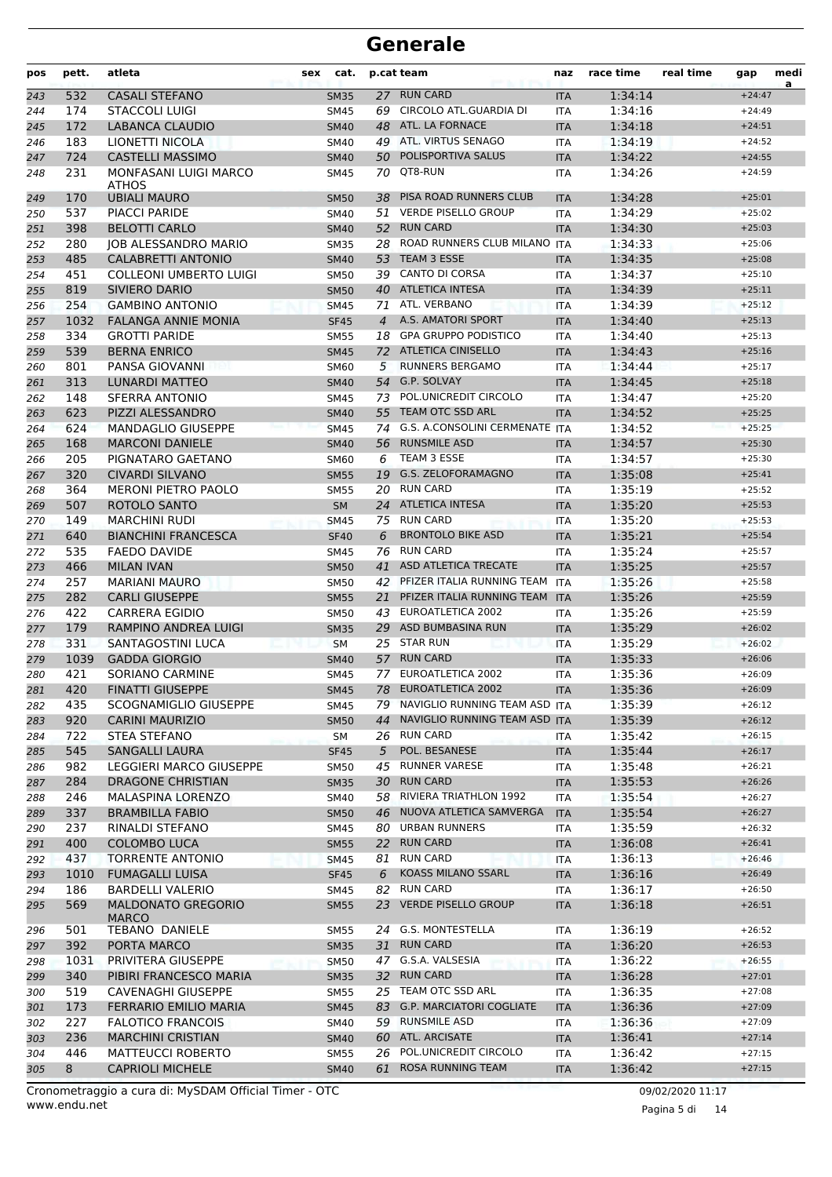| pos        | pett.      | atleta                                                   | cat.<br>sex                |                      | p.cat team                                         | naz                      | race time          | real time | gap                  | medi<br>a |
|------------|------------|----------------------------------------------------------|----------------------------|----------------------|----------------------------------------------------|--------------------------|--------------------|-----------|----------------------|-----------|
| 243        | 532        | <b>CASALI STEFANO</b>                                    | <b>SM35</b>                |                      | 27 RUN CARD                                        | <b>ITA</b>               | 1:34:14            |           | $+24:47$             |           |
| 244        | 174        | <b>STACCOLI LUIGI</b>                                    | <b>SM45</b>                | 69                   | CIRCOLO ATL.GUARDIA DI                             | <b>ITA</b>               | 1:34:16            |           | $+24:49$             |           |
| 245        | 172        | LABANCA CLAUDIO                                          | <b>SM40</b>                |                      | 48 ATL. LA FORNACE                                 | <b>ITA</b>               | 1:34:18            |           | $+24:51$             |           |
| 246        | 183        | LIONETTI NICOLA                                          | SM40                       |                      | 49 ATL. VIRTUS SENAGO                              | <b>ITA</b>               | 1:34:19            |           | $+24:52$             |           |
| 247        | 724        | <b>CASTELLI MASSIMO</b>                                  | <b>SM40</b>                | 50                   | POLISPORTIVA SALUS                                 | <b>ITA</b>               | 1:34:22            |           | $+24:55$             |           |
| 248        | 231        | MONFASANI LUIGI MARCO<br><b>ATHOS</b>                    | SM45                       |                      | 70 QT8-RUN                                         | <b>ITA</b>               | 1:34:26            |           | $+24:59$             |           |
| 249        | 170        | <b>UBIALI MAURO</b>                                      | <b>SM50</b>                | 38                   | PISA ROAD RUNNERS CLUB                             | <b>ITA</b>               | 1:34:28            |           | $+25:01$             |           |
| 250        | 537        | <b>PIACCI PARIDE</b>                                     | SM40                       | 51                   | <b>VERDE PISELLO GROUP</b>                         | <b>ITA</b>               | 1:34:29            |           | $+25:02$             |           |
| 251        | 398        | <b>BELOTTI CARLO</b>                                     | <b>SM40</b>                | 52                   | <b>RUN CARD</b>                                    | <b>ITA</b>               | 1:34:30            |           | $+25:03$             |           |
| 252        | 280        | <b>JOB ALESSANDRO MARIO</b>                              | <b>SM35</b>                | 28                   | ROAD RUNNERS CLUB MILANO ITA                       |                          | 1:34:33            |           | $+25:06$             |           |
| 253        | 485        | <b>CALABRETTI ANTONIO</b>                                | <b>SM40</b>                | 53                   | <b>TEAM 3 ESSE</b>                                 | <b>ITA</b>               | 1:34:35            |           | $+25:08$             |           |
| 254        | 451        | <b>COLLEONI UMBERTO LUIGI</b>                            | <b>SM50</b>                | 39                   | <b>CANTO DI CORSA</b>                              | ITA                      | 1:34:37            |           | $+25:10$             |           |
| 255        | 819<br>254 | SIVIERO DARIO<br><b>GAMBINO ANTONIO</b>                  | <b>SM50</b>                |                      | 40 ATLETICA INTESA<br>ATL. VERBANO                 | <b>ITA</b>               | 1:34:39<br>1:34:39 |           | $+25:11$<br>$+25:12$ |           |
| 256<br>257 | 1032       | <b>FALANGA ANNIE MONIA</b>                               | <b>SM45</b><br><b>SF45</b> | 71<br>$\overline{4}$ | A.S. AMATORI SPORT                                 | <b>ITA</b><br><b>ITA</b> | 1:34:40            |           | $+25:13$             |           |
| 258        | 334        | <b>GROTTI PARIDE</b>                                     | <b>SM55</b>                |                      | 18 GPA GRUPPO PODISTICO                            | <b>ITA</b>               | 1:34:40            |           | $+25:13$             |           |
| 259        | 539        | <b>BERNA ENRICO</b>                                      | <b>SM45</b>                |                      | 72 ATLETICA CINISELLO                              | <b>ITA</b>               | 1:34:43            |           | $+25:16$             |           |
| 260        | 801        | PANSA GIOVANNI                                           | <b>SM60</b>                | 5                    | <b>RUNNERS BERGAMO</b>                             | <b>ITA</b>               | 1:34:44            |           | $+25:17$             |           |
| 261        | 313        | <b>LUNARDI MATTEO</b>                                    | <b>SM40</b>                |                      | 54 G.P. SOLVAY                                     | <b>ITA</b>               | 1:34:45            |           | $+25:18$             |           |
| 262        | 148        | <b>SFERRA ANTONIO</b>                                    | SM45                       | 73                   | POL.UNICREDIT CIRCOLO                              | <b>ITA</b>               | 1:34:47            |           | $+25:20$             |           |
| 263        | 623        | PIZZI ALESSANDRO                                         | <b>SM40</b>                | 55                   | TEAM OTC SSD ARL                                   | <b>ITA</b>               | 1:34:52            |           | $+25:25$             |           |
| 264        | 624        | <b>MANDAGLIO GIUSEPPE</b>                                | <b>SM45</b>                |                      | 74 G.S. A.CONSOLINI CERMENATE ITA                  |                          | 1:34:52            |           | $+25:25$             |           |
| 265        | 168        | <b>MARCONI DANIELE</b>                                   | <b>SM40</b>                | 56                   | <b>RUNSMILE ASD</b>                                | <b>ITA</b>               | 1:34:57            |           | $+25:30$             |           |
| 266        | 205        | PIGNATARO GAETANO                                        | <b>SM60</b>                | 6                    | TEAM 3 ESSE                                        | ITA                      | 1:34:57            |           | $+25:30$             |           |
| 267        | 320        | <b>CIVARDI SILVANO</b>                                   | <b>SM55</b>                | 19                   | G.S. ZELOFORAMAGNO                                 | <b>ITA</b>               | 1:35:08            |           | $+25:41$             |           |
| 268        | 364        | <b>MERONI PIETRO PAOLO</b>                               | <b>SM55</b>                | 20                   | <b>RUN CARD</b>                                    | <b>ITA</b>               | 1:35:19            |           | $+25:52$             |           |
| 269        | 507        | ROTOLO SANTO                                             | <b>SM</b>                  |                      | 24 ATLETICA INTESA                                 | <b>ITA</b>               | 1:35:20            |           | $+25:53$             |           |
| 270        | 149        | <b>MARCHINI RUDI</b>                                     | <b>SM45</b>                |                      | 75 RUN CARD                                        | <b>ITA</b>               | 1:35:20            |           | $+25:53$             |           |
| 271        | 640        | <b>BIANCHINI FRANCESCA</b>                               | <b>SF40</b>                | 6                    | <b>BRONTOLO BIKE ASD</b>                           | <b>ITA</b>               | 1:35:21            |           | $+25:54$             |           |
| 272        | 535        | <b>FAEDO DAVIDE</b>                                      | SM45                       | 76                   | <b>RUN CARD</b>                                    | <b>ITA</b>               | 1:35:24            |           | $+25:57$             |           |
| 273        | 466        | <b>MILAN IVAN</b>                                        | <b>SM50</b>                | 41                   | ASD ATLETICA TRECATE                               | <b>ITA</b>               | 1:35:25            |           | $+25:57$             |           |
| 274        | 257        | <b>MARIANI MAURO</b>                                     | SM50                       | 42                   | PFIZER ITALIA RUNNING TEAM                         | <b>ITA</b>               | 1:35:26            |           | $+25:58$             |           |
| 275        | 282        | <b>CARLI GIUSEPPE</b>                                    | <b>SM55</b>                | 21                   | PFIZER ITALIA RUNNING TEAM                         | <b>ITA</b>               | 1:35:26            |           | $+25:59$             |           |
| 276        | 422        | <b>CARRERA EGIDIO</b>                                    | <b>SM50</b>                |                      | 43 EUROATLETICA 2002<br>29 ASD BUMBASINA RUN       | <b>ITA</b>               | 1:35:26            |           | $+25:59$             |           |
| 277        | 179<br>331 | <b>RAMPINO ANDREA LUIGI</b><br>SANTAGOSTINI LUCA         | <b>SM35</b>                |                      | 25 STAR RUN                                        | <b>ITA</b>               | 1:35:29<br>1:35:29 |           | $+26:02$<br>$+26:02$ |           |
| 278<br>279 | 1039       | <b>GADDA GIORGIO</b>                                     | <b>SM</b><br><b>SM40</b>   |                      | 57 RUN CARD                                        | ITA<br><b>ITA</b>        | 1:35:33            |           | $+26:06$             |           |
| 280        | 421        | <b>SORIANO CARMINE</b>                                   | <b>SM45</b>                |                      | 77 EUROATLETICA 2002                               | <b>ITA</b>               | 1:35:36            |           | $+26:09$             |           |
| 281        | 420        | <b>FINATTI GIUSEPPE</b>                                  | SM45                       |                      | 78 EUROATLETICA 2002                               | <b>ITA</b>               | 1:35:36            |           | $+26:09$             |           |
| 282        | 435        | SCOGNAMIGLIO GIUSEPPE                                    | SM45                       |                      | 79 NAVIGLIO RUNNING TEAM ASD ITA                   |                          | 1:35:39            |           | $+26:12$             |           |
| 283        | 920        | <b>CARINI MAURIZIO</b>                                   | <b>SM50</b>                | 44                   | NAVIGLIO RUNNING TEAM ASD ITA                      |                          | 1:35:39            |           | $+26:12$             |           |
| 284        | 722        | STEA STEFANO                                             | SM                         |                      | 26 RUN CARD                                        | ITA.                     | 1:35:42            |           | $+26:15$             |           |
| 285        | 545        | SANGALLI LAURA                                           | <b>SF45</b>                | 5                    | POL. BESANESE                                      | <b>ITA</b>               | 1:35:44            |           | $+26:17$             |           |
| 286        | 982        | <b>LEGGIERI MARCO GIUSEPPE</b>                           | SM50                       |                      | 45 RUNNER VARESE                                   | ITA                      | 1:35:48            |           | $+26:21$             |           |
| 287        | 284        | <b>DRAGONE CHRISTIAN</b>                                 | <b>SM35</b>                |                      | 30 RUN CARD                                        | <b>ITA</b>               | 1:35:53            |           | $+26:26$             |           |
| 288        | 246        | MALASPINA LORENZO                                        | SM40                       |                      | 58 RIVIERA TRIATHLON 1992                          | ITA                      | 1:35:54            |           | $+26:27$             |           |
| 289        | 337        | <b>BRAMBILLA FABIO</b>                                   | <b>SM50</b>                |                      | 46 NUOVA ATLETICA SAMVERGA                         | <b>ITA</b>               | 1:35:54            |           | $+26:27$             |           |
| 290        | 237        | RINALDI STEFANO                                          | SM45                       | 80                   | <b>URBAN RUNNERS</b>                               | ITA                      | 1:35:59            |           | $+26:32$             |           |
| 291        | 400        | <b>COLOMBO LUCA</b>                                      | <b>SM55</b>                |                      | 22 RUN CARD                                        | <b>ITA</b>               | 1:36:08            |           | $+26:41$             |           |
| 292        | 437        | <b>TORRENTE ANTONIO</b>                                  | <b>SM45</b>                | 81                   | <b>RUN CARD</b>                                    | ITA                      | 1:36:13            |           | $+26:46$             |           |
| 293        | 1010       | <b>FUMAGALLI LUISA</b>                                   | <b>SF45</b>                | 6                    | KOASS MILANO SSARL                                 | <b>ITA</b>               | 1:36:16            |           | $+26:49$             |           |
| 294        | 186        | <b>BARDELLI VALERIO</b>                                  | SM45                       |                      | 82 RUN CARD                                        | ITA                      | 1:36:17            |           | $+26:50$             |           |
| 295        | 569        | <b>MALDONATO GREGORIO</b><br><b>MARCO</b>                | <b>SM55</b>                |                      | 23 VERDE PISELLO GROUP                             | <b>ITA</b>               | 1:36:18            |           | $+26:51$             |           |
| 296        | 501        | <b>TEBANO DANIELE</b>                                    | <b>SM55</b>                |                      | 24 G.S. MONTESTELLA                                | ITA                      | 1:36:19            |           | $+26:52$             |           |
| 297        | 392        | PORTA MARCO                                              | <b>SM35</b>                |                      | 31 RUN CARD                                        | <b>ITA</b>               | 1:36:20            |           | $+26:53$             |           |
| 298        | 1031       | PRIVITERA GIUSEPPE                                       | <b>SM50</b>                |                      | 47 G.S.A. VALSESIA                                 | ITA                      | 1:36:22            |           | $+26:55$             |           |
| 299        | 340        | PIBIRI FRANCESCO MARIA                                   | <b>SM35</b>                |                      | 32 RUN CARD                                        | <b>ITA</b>               | 1:36:28            |           | $+27:01$             |           |
| 300        | 519        | <b>CAVENAGHI GIUSEPPE</b>                                | SM55                       |                      | 25 TEAM OTC SSD ARL<br>83 G.P. MARCIATORI COGLIATE | ITA                      | 1:36:35            |           | $+27:08$<br>$+27:09$ |           |
| 301<br>302 | 173<br>227 | <b>FERRARIO EMILIO MARIA</b><br><b>FALOTICO FRANCOIS</b> | <b>SM45</b><br>SM40        |                      | 59 RUNSMILE ASD                                    | <b>ITA</b><br>ITA        | 1:36:36<br>1:36:36 |           | $+27:09$             |           |
| 303        | 236        | <b>MARCHINI CRISTIAN</b>                                 | <b>SM40</b>                |                      | 60 ATL. ARCISATE                                   | <b>ITA</b>               | 1:36:41            |           | $+27:14$             |           |
| 304        | 446        | <b>MATTEUCCI ROBERTO</b>                                 | SM55                       |                      | 26 POL.UNICREDIT CIRCOLO                           | ITA                      | 1:36:42            |           | $+27:15$             |           |
| 305        | 8          | <b>CAPRIOLI MICHELE</b>                                  | <b>SM40</b>                |                      | 61 ROSA RUNNING TEAM                               | <b>ITA</b>               | 1:36:42            |           | $+27:15$             |           |
|            |            |                                                          |                            |                      |                                                    |                          |                    |           |                      |           |

Pagina 5 di 14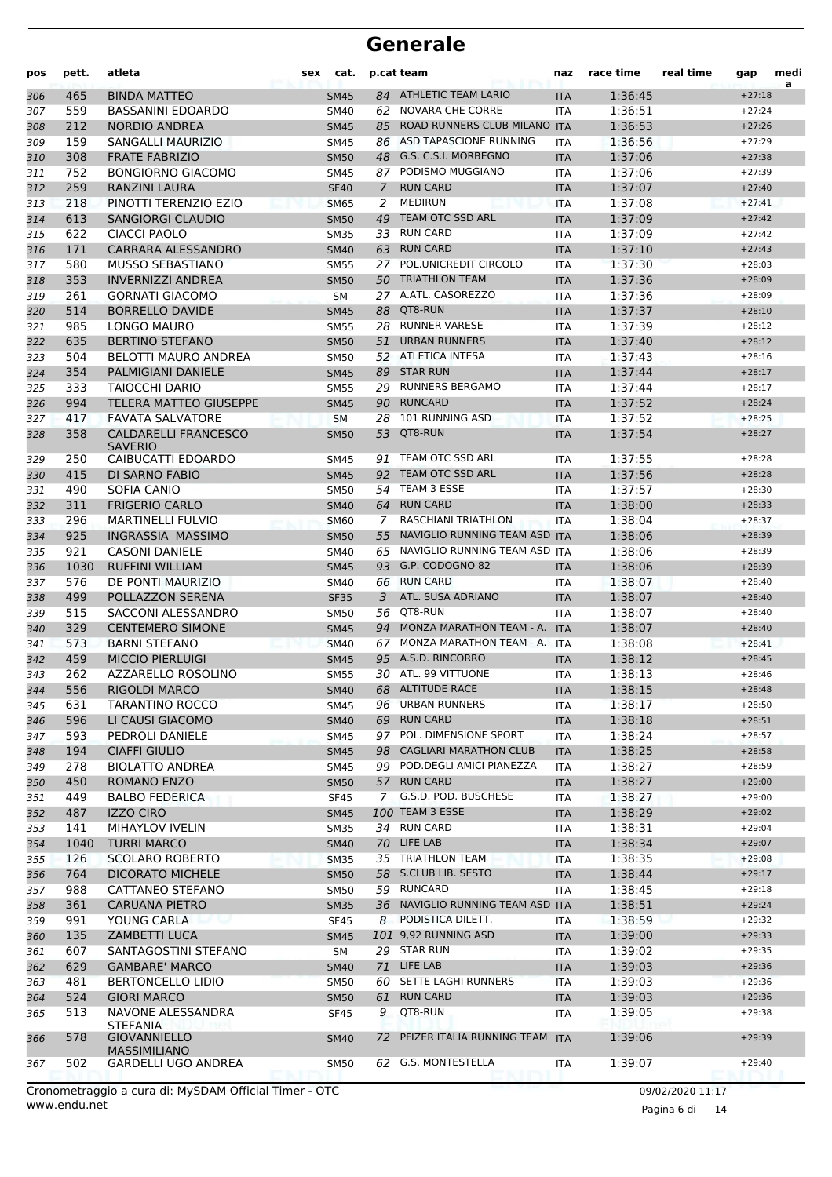| pos        | pett.      | atleta                                          | sex | cat.                       |             | p.cat team                             | naz                      | race time          | real time | gap                  | medi<br>a |
|------------|------------|-------------------------------------------------|-----|----------------------------|-------------|----------------------------------------|--------------------------|--------------------|-----------|----------------------|-----------|
| 306        | 465        | <b>BINDA MATTEO</b>                             |     | <b>SM45</b>                |             | 84 ATHLETIC TEAM LARIO                 | <b>ITA</b>               | 1:36:45            |           | $+27:18$             |           |
| 307        | 559        | <b>BASSANINI EDOARDO</b>                        |     | SM40                       |             | 62 NOVARA CHE CORRE                    | ITA                      | 1:36:51            |           | $+27:24$             |           |
| 308        | 212        | <b>NORDIO ANDREA</b>                            |     | <b>SM45</b>                | 85          | ROAD RUNNERS CLUB MILANO               | <b>ITA</b>               | 1:36:53            |           | $+27:26$             |           |
| 309        | 159        | <b>SANGALLI MAURIZIO</b>                        |     | <b>SM45</b>                | 86          | ASD TAPASCIONE RUNNING                 | <b>ITA</b>               | 1:36:56            |           | $+27:29$             |           |
| 310        | 308        | <b>FRATE FABRIZIO</b>                           |     | <b>SM50</b>                |             | 48 G.S. C.S.I. MORBEGNO                | <b>ITA</b>               | 1:37:06            |           | $+27:38$             |           |
| 311        | 752        | <b>BONGIORNO GIACOMO</b>                        |     | <b>SM45</b>                |             | 87 PODISMO MUGGIANO                    | <b>ITA</b>               | 1:37:06            |           | $+27:39$             |           |
| 312        | 259        | RANZINI LAURA                                   |     | <b>SF40</b>                | 7           | <b>RUN CARD</b>                        | <b>ITA</b>               | 1:37:07            |           | $+27:40$             |           |
| 313        | 218        | PINOTTI TERENZIO EZIO                           |     | <b>SM65</b>                | 2           | <b>MEDIRUN</b>                         | <b>ITA</b>               | 1:37:08            |           | $+27:41$             |           |
| 314        | 613        | <b>SANGIORGI CLAUDIO</b>                        |     | <b>SM50</b>                | 49          | TEAM OTC SSD ARL                       | <b>ITA</b>               | 1:37:09            |           | $+27:42$             |           |
| 315        | 622        | <b>CIACCI PAOLO</b>                             |     | <b>SM35</b>                | 33          | <b>RUN CARD</b><br><b>RUN CARD</b>     | ITA                      | 1:37:09            |           | $+27:42$             |           |
| 316        | 171<br>580 | CARRARA ALESSANDRO<br><b>MUSSO SEBASTIANO</b>   |     | <b>SM40</b>                | 63<br>27    | POL.UNICREDIT CIRCOLO                  | <b>ITA</b>               | 1:37:10<br>1:37:30 |           | $+27:43$<br>$+28:03$ |           |
| 317        | 353        | <b>INVERNIZZI ANDREA</b>                        |     | <b>SM55</b>                | 50          | <b>TRIATHLON TEAM</b>                  | <b>ITA</b>               | 1:37:36            |           | $+28:09$             |           |
| 318<br>319 | 261        | <b>GORNATI GIACOMO</b>                          |     | <b>SM50</b><br>SM          |             | 27 A.ATL. CASOREZZO                    | <b>ITA</b><br>ITA        | 1:37:36            |           | $+28:09$             |           |
| 320        | 514        | <b>BORRELLO DAVIDE</b>                          |     | <b>SM45</b>                | 88          | QT8-RUN                                | <b>ITA</b>               | 1:37:37            |           | $+28:10$             |           |
| 321        | 985        | LONGO MAURO                                     |     | <b>SM55</b>                | 28          | <b>RUNNER VARESE</b>                   | ITA                      | 1:37:39            |           | $+28:12$             |           |
| 322        | 635        | <b>BERTINO STEFANO</b>                          |     | <b>SM50</b>                | 51          | <b>URBAN RUNNERS</b>                   | <b>ITA</b>               | 1:37:40            |           | $+28:12$             |           |
| 323        | 504        | <b>BELOTTI MAURO ANDREA</b>                     |     | <b>SM50</b>                |             | 52 ATLETICA INTESA                     | <b>ITA</b>               | 1:37:43            |           | $+28:16$             |           |
| 324        | 354        | PALMIGIANI DANIELE                              |     | <b>SM45</b>                |             | 89 STAR RUN                            | <b>ITA</b>               | 1:37:44            |           | $+28:17$             |           |
| 325        | 333        | <b>TAIOCCHI DARIO</b>                           |     | <b>SM55</b>                |             | 29 RUNNERS BERGAMO                     | ITA                      | 1:37:44            |           | $+28:17$             |           |
| 326        | 994        | <b>TELERA MATTEO GIUSEPPE</b>                   |     | <b>SM45</b>                | 90          | <b>RUNCARD</b>                         | <b>ITA</b>               | 1:37:52            |           | $+28:24$             |           |
| 327        | 417        | <b>FAVATA SALVATORE</b>                         |     | <b>SM</b>                  | 28          | <b>101 RUNNING ASD</b>                 | <b>ITA</b>               | 1:37:52            |           | $+28:25$             |           |
| 328        | 358        | <b>CALDARELLI FRANCESCO</b>                     |     | <b>SM50</b>                | 53          | QT8-RUN                                | <b>ITA</b>               | 1:37:54            |           | $+28:27$             |           |
|            |            | <b>SAVERIO</b>                                  |     |                            |             |                                        |                          |                    |           |                      |           |
| 329        | 250        | CAIBUCATTI EDOARDO                              |     | SM45                       | 91          | TEAM OTC SSD ARL                       | ITA                      | 1:37:55            |           | $+28:28$             |           |
| 330        | 415        | DI SARNO FABIO                                  |     | <b>SM45</b>                | 92          | TEAM OTC SSD ARL                       | <b>ITA</b>               | 1:37:56            |           | $+28:28$             |           |
| 331        | 490        | SOFIA CANIO                                     |     | <b>SM50</b>                | 54          | TEAM 3 ESSE                            | <b>ITA</b>               | 1:37:57            |           | $+28:30$             |           |
| 332        | 311        | <b>FRIGERIO CARLO</b>                           |     | <b>SM40</b>                |             | 64 RUN CARD                            | <b>ITA</b>               | 1:38:00            |           | $+28:33$             |           |
| 333        | 296        | <b>MARTINELLI FULVIO</b>                        |     | <b>SM60</b>                | $7^{\circ}$ | <b>RASCHIANI TRIATHLON</b>             | <b>ITA</b>               | 1:38:04            |           | $+28:37$             |           |
| 334        | 925        | INGRASSIA MASSIMO                               |     | <b>SM50</b>                | 55          | NAVIGLIO RUNNING TEAM ASD              | <b>ITA</b>               | 1:38:06            |           | $+28:39$             |           |
| 335        | 921        | <b>CASONI DANIELE</b>                           |     | SM40                       | 65          | NAVIGLIO RUNNING TEAM ASD ITA          |                          | 1:38:06            |           | $+28:39$             |           |
| 336        | 1030       | <b>RUFFINI WILLIAM</b>                          |     | <b>SM45</b>                |             | 93 G.P. CODOGNO 82                     | <b>ITA</b>               | 1:38:06            |           | $+28:39$             |           |
| 337        | 576        | DE PONTI MAURIZIO                               |     | SM40                       |             | 66 RUN CARD                            | ITA                      | 1:38:07            |           | $+28:40$             |           |
| 338        | 499        | POLLAZZON SERENA                                |     | <b>SF35</b>                | 3           | ATL. SUSA ADRIANO                      | <b>ITA</b>               | 1:38:07            |           | $+28:40$             |           |
| 339        | 515<br>329 | SACCONI ALESSANDRO                              |     | <b>SM50</b>                | 94          | 56 QT8-RUN<br>MONZA MARATHON TEAM - A. | <b>ITA</b>               | 1:38:07            |           | $+28:40$             |           |
| 340<br>341 | 573        | <b>CENTEMERO SIMONE</b><br><b>BARNI STEFANO</b> |     | <b>SM45</b><br><b>SM40</b> | 67          | MONZA MARATHON TEAM - A.               | <b>ITA</b><br><b>ITA</b> | 1:38:07<br>1:38:08 |           | $+28:40$<br>$+28:41$ |           |
| 342        | 459        | <b>MICCIO PIERLUIGI</b>                         |     | <b>SM45</b>                |             | 95 A.S.D. RINCORRO                     | <b>ITA</b>               | 1:38:12            |           | $+28:45$             |           |
| 343        | 262        | AZZARELLO ROSOLINO                              |     | <b>SM55</b>                |             | 30 ATL. 99 VITTUONE                    | <b>ITA</b>               | 1:38:13            |           | $+28:46$             |           |
| 344        | 556        | RIGOLDI MARCO                                   |     | <b>SM40</b>                |             | 68 ALTITUDE RACE                       | <b>ITA</b>               | 1:38:15            |           | $+28:48$             |           |
| 345        | 631        | TARANTINO ROCCO                                 |     | SM45                       |             | 96 URBAN RUNNERS                       | ITA                      | 1:38:17            |           | $+28:50$             |           |
| 346        | 596        | LI CAUSI GIACOMO                                |     | <b>SM40</b>                |             | 69 RUN CARD                            | <b>ITA</b>               | 1:38:18            |           | $+28:51$             |           |
| 347        | 593        | PEDROLI DANIELE                                 |     | <b>SM45</b>                |             | 97 POL. DIMENSIONE SPORT               | ITA                      | 1:38:24            |           | $+28:57$             |           |
| 348        | 194        | <b>CIAFFI GIULIO</b>                            |     | <b>SM45</b>                |             | 98 CAGLIARI MARATHON CLUB              | <b>ITA</b>               | 1:38:25            |           | $+28:58$             |           |
| 349        | 278        | <b>BIOLATTO ANDREA</b>                          |     | SM45                       |             | 99 POD.DEGLI AMICI PIANEZZA            | <b>ITA</b>               | 1:38:27            |           | $+28:59$             |           |
| 350        | 450        | ROMANO ENZO                                     |     | <b>SM50</b>                |             | 57 RUN CARD                            | <b>ITA</b>               | 1:38:27            |           | $+29:00$             |           |
| 351        | 449        | <b>BALBO FEDERICA</b>                           |     | <b>SF45</b>                |             | 7 G.S.D. POD. BUSCHESE                 | ITA                      | 1:38:27            |           | $+29:00$             |           |
| 352        | 487        | <b>IZZO CIRO</b>                                |     | <b>SM45</b>                |             | 100 TEAM 3 ESSE                        | <b>ITA</b>               | 1:38:29            |           | $+29:02$             |           |
| 353        | 141        | <b>MIHAYLOV IVELIN</b>                          |     | <b>SM35</b>                |             | 34 RUN CARD                            | ITA                      | 1:38:31            |           | $+29:04$             |           |
| 354        | 1040       | <b>TURRI MARCO</b>                              |     | <b>SM40</b>                |             | 70 LIFE LAB                            | <b>ITA</b>               | 1:38:34            |           | $+29:07$             |           |
| 355        | 126        | <b>SCOLARO ROBERTO</b>                          |     | <b>SM35</b>                |             | 35 TRIATHLON TEAM                      | ITA                      | 1:38:35            |           | $+29:08$             |           |
| 356        | 764        | <b>DICORATO MICHELE</b>                         |     | <b>SM50</b>                |             | 58 S.CLUB LIB. SESTO                   | <b>ITA</b>               | 1:38:44            |           | $+29:17$             |           |
| 357        | 988        | CATTANEO STEFANO                                |     | SM50                       |             | 59 RUNCARD                             | ITA                      | 1:38:45            |           | $+29:18$             |           |
| 358        | 361        | <b>CARUANA PIETRO</b>                           |     | <b>SM35</b>                |             | 36 NAVIGLIO RUNNING TEAM ASD ITA       |                          | 1:38:51            |           | $+29:24$             |           |
| 359        | 991        | YOUNG CARLA                                     |     | <b>SF45</b>                |             | 8 PODISTICA DILETT.                    | ITA                      | 1:38:59            |           | $+29:32$             |           |
| 360        | 135        | <b>ZAMBETTI LUCA</b>                            |     | <b>SM45</b>                |             | 101 9,92 RUNNING ASD                   | <b>ITA</b>               | 1:39:00            |           | $+29:33$             |           |
| 361        | 607        | SANTAGOSTINI STEFANO                            |     | SM                         |             | 29 STAR RUN                            | ITA                      | 1:39:02            |           | $+29:35$             |           |
| 362        | 629        | <b>GAMBARE' MARCO</b>                           |     | <b>SM40</b>                |             | 71 LIFE LAB                            | <b>ITA</b>               | 1:39:03            |           | $+29:36$             |           |
| 363        | 481        | <b>BERTONCELLO LIDIO</b>                        |     | <b>SM50</b>                |             | 60 SETTE LAGHI RUNNERS                 | <b>ITA</b>               | 1:39:03            |           | $+29:36$             |           |
| 364        | 524        | <b>GIORI MARCO</b>                              |     | <b>SM50</b>                | 61          | <b>RUN CARD</b>                        | <b>ITA</b>               | 1:39:03            |           | $+29:36$             |           |
| 365        | 513        | NAVONE ALESSANDRA                               |     | <b>SF45</b>                | 9           | QT8-RUN                                | <b>ITA</b>               | 1:39:05            |           | $+29:38$             |           |
| 366        | 578        | <b>STEFANIA</b><br><b>GIOVANNIELLO</b>          |     | <b>SM40</b>                |             | 72 PFIZER ITALIA RUNNING TEAM          | <b>ITA</b>               | 1:39:06            |           | $+29:39$             |           |
|            |            | <b>MASSIMILIANO</b>                             |     |                            |             |                                        |                          |                    |           |                      |           |
| 367        | 502        | <b>GARDELLI UGO ANDREA</b>                      |     | SM50                       |             | 62 G.S. MONTESTELLA                    | <b>ITA</b>               | 1:39:07            |           | $+29:40$             |           |
|            |            |                                                 |     |                            |             |                                        |                          |                    |           |                      |           |

www.endu.net Cronometraggio a cura di: MySDAM Official Timer - OTC 09/02/2020 11:17

Pagina 6 di 14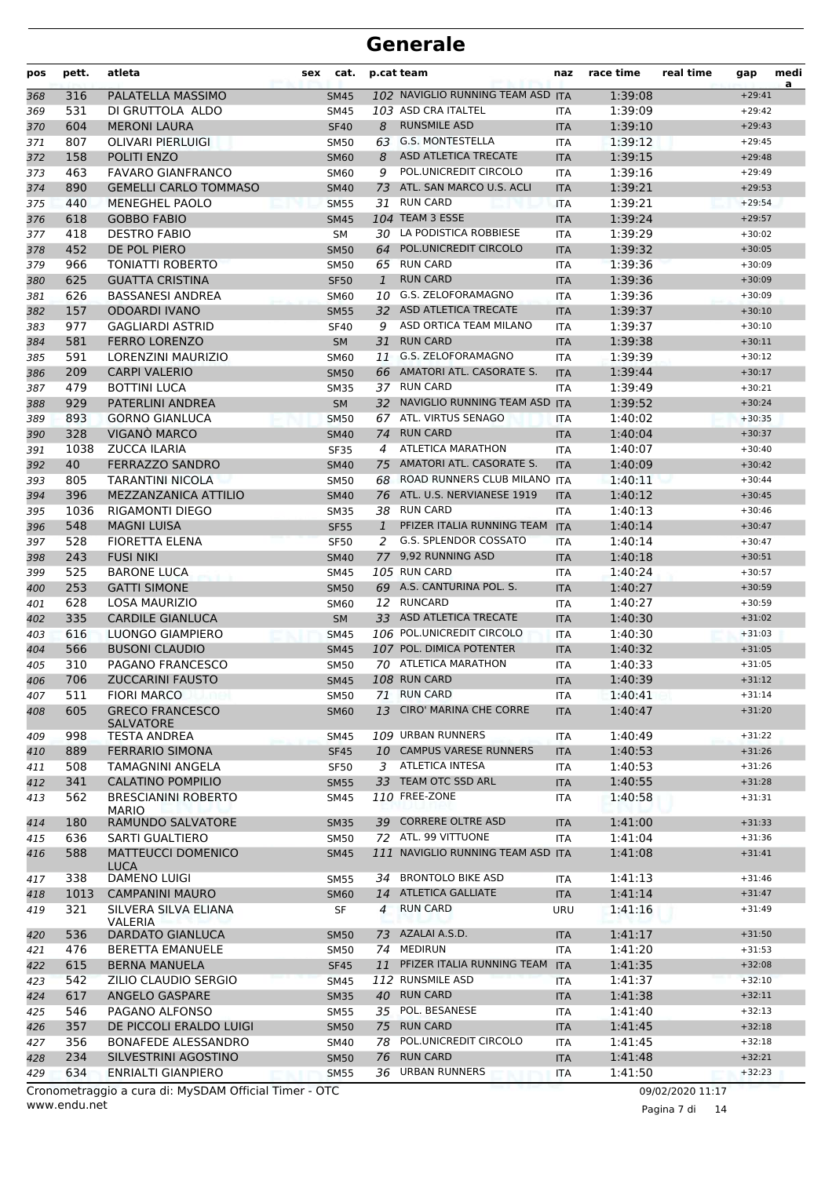| pos        | pett.      | atleta                                  | sex | cat.                       |              | p.cat team                        | naz               | race time          | real time | gap      | medi<br>a |
|------------|------------|-----------------------------------------|-----|----------------------------|--------------|-----------------------------------|-------------------|--------------------|-----------|----------|-----------|
| 368        | 316        | PALATELLA MASSIMO                       |     | <b>SM45</b>                |              | 102 NAVIGLIO RUNNING TEAM ASD ITA |                   | 1:39:08            |           | $+29:41$ |           |
| 369        | 531        | DI GRUTTOLA ALDO                        |     | SM45                       |              | 103 ASD CRA ITALTEL               | ITA               | 1:39:09            |           | $+29:42$ |           |
| 370        | 604        | <b>MERONI LAURA</b>                     |     | <b>SF40</b>                | 8            | <b>RUNSMILE ASD</b>               | <b>ITA</b>        | 1:39:10            |           | $+29:43$ |           |
| 371        | 807        | <b>OLIVARI PIERLUIGI</b>                |     | <b>SM50</b>                |              | 63 G.S. MONTESTELLA               | <b>ITA</b>        | 1:39:12            |           | $+29:45$ |           |
| 372        | 158        | POLITI ENZO                             |     | <b>SM60</b>                | 8            | ASD ATLETICA TRECATE              | <b>ITA</b>        | 1:39:15            |           | $+29:48$ |           |
| 373        | 463        | <b>FAVARO GIANFRANCO</b>                |     | <b>SM60</b>                | 9            | POL.UNICREDIT CIRCOLO             | <b>ITA</b>        | 1:39:16            |           | $+29:49$ |           |
| 374        | 890        | <b>GEMELLI CARLO TOMMASO</b>            |     | <b>SM40</b>                | 73           | ATL. SAN MARCO U.S. ACLI          | <b>ITA</b>        | 1:39:21            |           | $+29:53$ |           |
| 375        | 440        | MENEGHEL PAOLO                          |     | <b>SM55</b>                | 31           | <b>RUN CARD</b>                   | <b>ITA</b>        | 1:39:21            |           | $+29:54$ |           |
| 376        | 618        | <b>GOBBO FABIO</b>                      |     | <b>SM45</b>                |              | <b>104 TEAM 3 ESSE</b>            | <b>ITA</b>        | 1:39:24            |           | $+29:57$ |           |
| 377        | 418        | <b>DESTRO FABIO</b>                     |     | <b>SM</b>                  |              | 30 LA PODISTICA ROBBIESE          | <b>ITA</b>        | 1:39:29            |           | $+30:02$ |           |
| 378        | 452        | DE POL PIERO                            |     | <b>SM50</b>                | 64           | POL.UNICREDIT CIRCOLO             | <b>ITA</b>        | 1:39:32            |           | $+30:05$ |           |
| 379        | 966        | <b>TONIATTI ROBERTO</b>                 |     | <b>SM50</b>                |              | 65 RUN CARD                       | ITA               | 1:39:36            |           | $+30:09$ |           |
| 380        | 625        | <b>GUATTA CRISTINA</b>                  |     | <b>SF50</b>                | $\mathbf{1}$ | <b>RUN CARD</b>                   | <b>ITA</b>        | 1:39:36            |           | $+30:09$ |           |
| 381        | 626        | <b>BASSANESI ANDREA</b>                 |     | <b>SM60</b>                |              | 10 G.S. ZELOFORAMAGNO             | <b>ITA</b>        | 1:39:36            |           | $+30:09$ |           |
| 382        | 157        | <b>ODOARDI IVANO</b>                    |     | <b>SM55</b>                |              | 32 ASD ATLETICA TRECATE           | <b>ITA</b>        | 1:39:37            |           | $+30:10$ |           |
| 383        | 977        | <b>GAGLIARDI ASTRID</b>                 |     | <b>SF40</b>                | 9            | ASD ORTICA TEAM MILANO            | <b>ITA</b>        | 1:39:37            |           | $+30:10$ |           |
| 384        | 581        | <b>FERRO LORENZO</b>                    |     | <b>SM</b>                  | 31           | <b>RUN CARD</b>                   | <b>ITA</b>        | 1:39:38            |           | $+30:11$ |           |
| 385        | 591        | LORENZINI MAURIZIO                      |     | <b>SM60</b>                | 11           | <b>G.S. ZELOFORAMAGNO</b>         | <b>ITA</b>        | 1:39:39            |           | $+30:12$ |           |
| 386        | 209        | <b>CARPI VALERIO</b>                    |     | <b>SM50</b>                |              | 66 AMATORI ATL. CASORATE S.       | <b>ITA</b>        | 1:39:44            |           | $+30:17$ |           |
| 387        | 479        | <b>BOTTINI LUCA</b>                     |     | <b>SM35</b>                |              | 37 RUN CARD                       | <b>ITA</b>        | 1:39:49            |           | $+30:21$ |           |
| 388        | 929        | <b>PATERLINI ANDREA</b>                 |     | <b>SM</b>                  |              | 32 NAVIGLIO RUNNING TEAM ASD ITA  |                   | 1:39:52            |           | $+30:24$ |           |
| 389        | 893        | <b>GORNO GIANLUCA</b>                   |     | <b>SM50</b>                |              | 67 ATL. VIRTUS SENAGO             | <b>ITA</b>        | 1:40:02            |           | $+30:35$ |           |
| 390        | 328        | VIGANÒ MARCO                            |     | <b>SM40</b>                | 74           | <b>RUN CARD</b>                   | <b>ITA</b>        | 1:40:04            |           | $+30:37$ |           |
| 391        | 1038       | <b>ZUCCA ILARIA</b>                     |     | <b>SF35</b>                | 4            | <b>ATLETICA MARATHON</b>          | <b>ITA</b>        | 1:40:07            |           | $+30:40$ |           |
| 392        | 40         | <b>FERRAZZO SANDRO</b>                  |     | <b>SM40</b>                | 75           | AMATORI ATL. CASORATE S.          | <b>ITA</b>        | 1:40:09            |           | $+30:42$ |           |
| 393        | 805        | TARANTINI NICOLA                        |     | <b>SM50</b>                | 68           | ROAD RUNNERS CLUB MILANO ITA      |                   | 1:40:11            |           | $+30:44$ |           |
| 394        | 396        | MEZZANZANICA ATTILIO                    |     | <b>SM40</b>                |              | 76 ATL. U.S. NERVIANESE 1919      | <b>ITA</b>        | 1:40:12            |           | $+30:45$ |           |
| 395        | 1036       | <b>RIGAMONTI DIEGO</b>                  |     | <b>SM35</b>                |              | 38 RUN CARD                       | <b>ITA</b>        | 1:40:13            |           | $+30:46$ |           |
| 396        | 548        | <b>MAGNI LUISA</b>                      |     | <b>SF55</b>                | 1            | PFIZER ITALIA RUNNING TEAM        | <b>ITA</b>        | 1:40:14            |           | $+30:47$ |           |
| 397        | 528        | <b>FIORETTA ELENA</b>                   |     | <b>SF50</b>                | 2            | <b>G.S. SPLENDOR COSSATO</b>      | <b>ITA</b>        | 1:40:14            |           | $+30:47$ |           |
| 398        | 243        | <b>FUSI NIKI</b>                        |     | <b>SM40</b>                |              | 77 9,92 RUNNING ASD               | <b>ITA</b>        | 1:40:18            |           | $+30:51$ |           |
| 399        | 525        | <b>BARONE LUCA</b>                      |     | <b>SM45</b>                |              | 105 RUN CARD                      | ITA               | 1:40:24            |           | $+30:57$ |           |
| 400        | 253        | <b>GATTI SIMONE</b>                     |     | <b>SM50</b>                |              | 69 A.S. CANTURINA POL. S.         | <b>ITA</b>        | 1:40:27            |           | $+30:59$ |           |
| 401        | 628        | <b>LOSA MAURIZIO</b>                    |     | <b>SM60</b>                |              | 12 RUNCARD                        | <b>ITA</b>        | 1:40:27            |           | $+30:59$ |           |
| 402        | 335        | <b>CARDILE GIANLUCA</b>                 |     | <b>SM</b>                  |              | 33 ASD ATLETICA TRECATE           | <b>ITA</b>        | 1:40:30            |           | $+31:02$ |           |
| 403        | 616        | LUONGO GIAMPIERO                        |     | <b>SM45</b>                |              | 106 POL.UNICREDIT CIRCOLO         | <b>ITA</b>        | 1:40:30            |           | $+31:03$ |           |
| 404        | 566        | <b>BUSONI CLAUDIO</b>                   |     | <b>SM45</b>                |              | 107 POL. DIMICA POTENTER          | <b>ITA</b>        | 1:40:32            |           | $+31:05$ |           |
| 405        | 310        | PAGANO FRANCESCO                        |     | <b>SM50</b>                |              | 70 ATLETICA MARATHON              | <b>ITA</b>        | 1:40:33            |           | $+31:05$ |           |
| 406        | 706        | <b>ZUCCARINI FAUSTO</b>                 |     | <b>SM45</b>                |              | 108 RUN CARD                      | <b>ITA</b>        | 1:40:39            |           | $+31:12$ |           |
| 407        | 511        | <b>FIORI MARCO</b>                      |     | SM50                       |              | 71 RUN CARD                       | ITA               | 1:40:41            |           | $+31:14$ |           |
| 408        | 605        | <b>GRECO FRANCESCO</b>                  |     | <b>SM60</b>                | 13           | <b>CIRO' MARINA CHE CORRE</b>     | <b>ITA</b>        | 1:40:47            |           | $+31:20$ |           |
|            | 998        | <b>SALVATORE</b><br><b>TESTA ANDREA</b> |     |                            |              | 109 URBAN RUNNERS                 |                   | 1:40:49            |           | $+31:22$ |           |
| 409        |            | <b>FERRARIO SIMONA</b>                  |     | SM45                       |              | 10 CAMPUS VARESE RUNNERS          | ITA               |                    |           | $+31:26$ |           |
| 410        | 889<br>508 | TAMAGNINI ANGELA                        |     | <b>SF45</b><br><b>SF50</b> |              | 3 ATLETICA INTESA                 | <b>ITA</b>        | 1:40:53<br>1:40:53 |           | $+31:26$ |           |
| 411<br>412 | 341        | <b>CALATINO POMPILIO</b>                |     | <b>SM55</b>                |              | 33 TEAM OTC SSD ARL               | ITA<br><b>ITA</b> | 1:40:55            |           | $+31:28$ |           |
|            | 562        | <b>BRESCIANINI ROBERTO</b>              |     | SM45                       |              | 110 FREE-ZONE                     |                   | 1:40:58            |           | $+31:31$ |           |
| 413        |            | <b>MARIO</b>                            |     |                            |              |                                   | ITA               |                    |           |          |           |
| 414        | 180        | RAMUNDO SALVATORE                       |     | <b>SM35</b>                |              | 39 CORRERE OLTRE ASD              | <b>ITA</b>        | 1:41:00            |           | $+31:33$ |           |
| 415        | 636        | SARTI GUALTIERO                         |     | SM50                       |              | 72 ATL. 99 VITTUONE               | ITA               | 1:41:04            |           | $+31:36$ |           |
| 416        | 588        | <b>MATTEUCCI DOMENICO</b>               |     | <b>SM45</b>                |              | 111 NAVIGLIO RUNNING TEAM ASD ITA |                   | 1:41:08            |           | $+31:41$ |           |
|            |            | <b>LUCA</b>                             |     |                            |              |                                   |                   |                    |           |          |           |
| 417        | 338        | <b>DAMENO LUIGI</b>                     |     | SM55                       | 34           | <b>BRONTOLO BIKE ASD</b>          | ITA               | 1:41:13            |           | $+31:46$ |           |
| 418        | 1013       | <b>CAMPANINI MAURO</b>                  |     | <b>SM60</b>                |              | 14 ATLETICA GALLIATE              | <b>ITA</b>        | 1:41:14            |           | $+31:47$ |           |
| 419        | 321        | SILVERA SILVA ELIANA                    |     | SF                         | 4            | <b>RUN CARD</b>                   | URU               | 1:41:16            |           | $+31:49$ |           |
| 420        | 536        | VALERIA<br><b>DARDATO GIANLUCA</b>      |     | <b>SM50</b>                |              | 73 AZALAI A.S.D.                  | <b>ITA</b>        | 1:41:17            |           | $+31:50$ |           |
| 421        | 476        | <b>BERETTA EMANUELE</b>                 |     | SM50                       |              | 74 MEDIRUN                        | ITA               | 1:41:20            |           | $+31:53$ |           |
| 422        | 615        | <b>BERNA MANUELA</b>                    |     | <b>SF45</b>                | 11           | PFIZER ITALIA RUNNING TEAM ITA    |                   | 1:41:35            |           | $+32:08$ |           |
| 423        | 542        | ZILIO CLAUDIO SERGIO                    |     | SM45                       |              | 112 RUNSMILE ASD                  | ITA               | 1:41:37            |           | $+32:10$ |           |
| 424        | 617        | ANGELO GASPARE                          |     | <b>SM35</b>                |              | 40 RUN CARD                       | <b>ITA</b>        | 1:41:38            |           | $+32:11$ |           |
| 425        | 546        | PAGANO ALFONSO                          |     | SM55                       |              | 35 POL. BESANESE                  | ITA               | 1:41:40            |           | $+32:13$ |           |
| 426        | 357        | DE PICCOLI ERALDO LUIGI                 |     | <b>SM50</b>                |              | 75 RUN CARD                       | <b>ITA</b>        | 1:41:45            |           | $+32:18$ |           |
| 427        | 356        | BONAFEDE ALESSANDRO                     |     | SM40                       |              | 78 POL.UNICREDIT CIRCOLO          | ITA               | 1:41:45            |           | $+32:18$ |           |
| 428        | 234        | SILVESTRINI AGOSTINO                    |     | <b>SM50</b>                | 76           | <b>RUN CARD</b>                   | <b>ITA</b>        | 1:41:48            |           | $+32:21$ |           |
| 429        | 634        | <b>ENRIALTI GIANPIERO</b>               |     | <b>SM55</b>                |              | 36 URBAN RUNNERS                  | ITA               | 1:41:50            |           | $+32:23$ |           |
|            |            |                                         |     |                            |              |                                   |                   |                    |           |          |           |

www.endu.net Cronometraggio a cura di: MySDAM Official Timer - OTC 09/02/2020 11:17

Pagina 7 di 14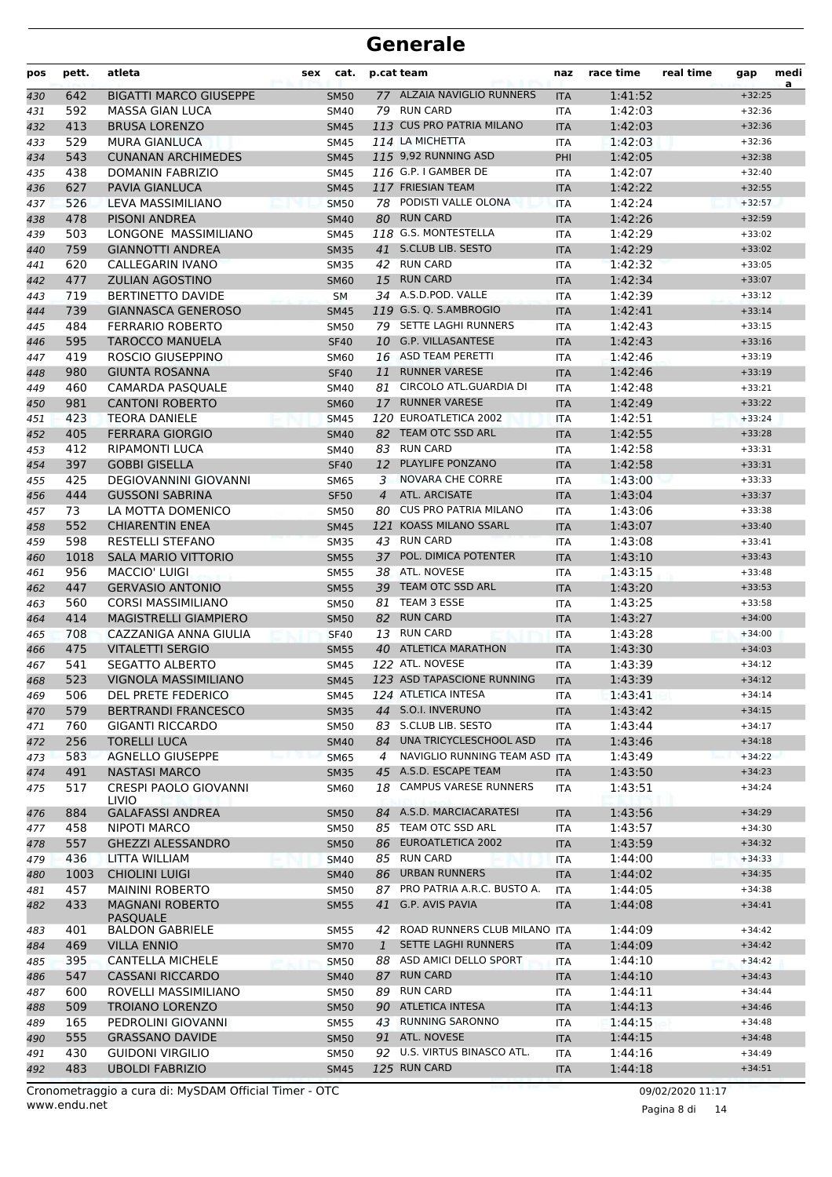| pos | pett. | atleta                                    | <b>sex</b> | cat.        |                | p.cat team                    | naz        | race time | real time | gap      | medi<br>a |
|-----|-------|-------------------------------------------|------------|-------------|----------------|-------------------------------|------------|-----------|-----------|----------|-----------|
| 430 | 642   | <b>BIGATTI MARCO GIUSEPPE</b>             |            | <b>SM50</b> |                | 77 ALZAIA NAVIGLIO RUNNERS    | <b>ITA</b> | 1:41:52   |           | $+32:25$ |           |
| 431 | 592   | MASSA GIAN LUCA                           |            | <b>SM40</b> |                | 79 RUN CARD                   | <b>ITA</b> | 1:42:03   |           | $+32:36$ |           |
| 432 | 413   | <b>BRUSA LORENZO</b>                      |            | <b>SM45</b> |                | 113 CUS PRO PATRIA MILANO     | <b>ITA</b> | 1:42:03   |           | $+32:36$ |           |
| 433 | 529   | <b>MURA GIANLUCA</b>                      |            | <b>SM45</b> |                | 114 LA MICHETTA               | ITA        | 1:42:03   |           | $+32:36$ |           |
| 434 | 543   | <b>CUNANAN ARCHIMEDES</b>                 |            | <b>SM45</b> |                | 115 9,92 RUNNING ASD          | PHI        | 1:42:05   |           | $+32:38$ |           |
| 435 | 438   | DOMANIN FABRIZIO                          |            | <b>SM45</b> |                | 116 G.P. I GAMBER DE          | <b>ITA</b> | 1:42:07   |           | $+32:40$ |           |
| 436 | 627   | <b>PAVIA GIANLUCA</b>                     |            | <b>SM45</b> |                | 117 FRIESIAN TEAM             | <b>ITA</b> | 1:42:22   |           | $+32:55$ |           |
| 437 | 526   | LEVA MASSIMILIANO                         |            | <b>SM50</b> |                | 78 PODISTI VALLE OLONA        | <b>ITA</b> | 1:42:24   |           | $+32:57$ |           |
| 438 | 478   | <b>PISONI ANDREA</b>                      |            | <b>SM40</b> |                | 80 RUN CARD                   | <b>ITA</b> | 1:42:26   |           | $+32:59$ |           |
| 439 | 503   | LONGONE MASSIMILIANO                      |            | <b>SM45</b> |                | 118 G.S. MONTESTELLA          | ITA        | 1:42:29   |           | $+33:02$ |           |
| 440 | 759   | <b>GIANNOTTI ANDREA</b>                   |            | <b>SM35</b> |                | 41 S.CLUB LIB. SESTO          | <b>ITA</b> | 1:42:29   |           | $+33:02$ |           |
| 441 | 620   | CALLEGARIN IVANO                          |            | <b>SM35</b> |                | 42 RUN CARD                   | <b>ITA</b> | 1:42:32   |           | $+33:05$ |           |
| 442 | 477   | <b>ZULIAN AGOSTINO</b>                    |            | <b>SM60</b> |                | 15 RUN CARD                   | <b>ITA</b> | 1:42:34   |           | $+33:07$ |           |
| 443 | 719   | BERTINETTO DAVIDE                         |            | <b>SM</b>   |                | 34 A.S.D.POD. VALLE           | ITA        | 1:42:39   |           | $+33:12$ |           |
| 444 | 739   | <b>GIANNASCA GENEROSO</b>                 |            | <b>SM45</b> |                | 119 G.S. Q. S.AMBROGIO        | <b>ITA</b> | 1:42:41   |           | $+33:14$ |           |
| 445 | 484   | <b>FERRARIO ROBERTO</b>                   |            | <b>SM50</b> |                | 79 SETTE LAGHI RUNNERS        | ITA        | 1:42:43   |           | $+33:15$ |           |
| 446 | 595   | <b>TAROCCO MANUELA</b>                    |            | <b>SF40</b> |                | 10 G.P. VILLASANTESE          | <b>ITA</b> | 1:42:43   |           | $+33:16$ |           |
| 447 | 419   | ROSCIO GIUSEPPINO                         |            | SM60        |                | 16 ASD TEAM PERETTI           | <b>ITA</b> | 1:42:46   |           | $+33:19$ |           |
| 448 | 980   | <b>GIUNTA ROSANNA</b>                     |            | <b>SF40</b> | 11             | <b>RUNNER VARESE</b>          | <b>ITA</b> | 1:42:46   |           | $+33:19$ |           |
| 449 | 460   | <b>CAMARDA PASOUALE</b>                   |            | SM40        |                | 81 CIRCOLO ATL.GUARDIA DI     | <b>ITA</b> | 1:42:48   |           | $+33:21$ |           |
| 450 | 981   | <b>CANTONI ROBERTO</b>                    |            | <b>SM60</b> |                | 17 RUNNER VARESE              | <b>ITA</b> | 1:42:49   |           | $+33:22$ |           |
| 451 | 423   | <b>TEORA DANIELE</b>                      |            | <b>SM45</b> |                | 120 EUROATLETICA 2002         | <b>ITA</b> | 1:42:51   |           | $+33:24$ |           |
| 452 | 405   | <b>FERRARA GIORGIO</b>                    |            | <b>SM40</b> |                | 82 TEAM OTC SSD ARL           | <b>ITA</b> | 1:42:55   |           | $+33:28$ |           |
| 453 | 412   | <b>RIPAMONTI LUCA</b>                     |            | SM40        |                | 83 RUN CARD                   | <b>ITA</b> | 1:42:58   |           | $+33:31$ |           |
| 454 | 397   | <b>GOBBI GISELLA</b>                      |            | <b>SF40</b> | 12             | PLAYLIFE PONZANO              | <b>ITA</b> | 1:42:58   |           | $+33:31$ |           |
| 455 | 425   | <b>DEGIOVANNINI GIOVANNI</b>              |            | <b>SM65</b> | 3              | NOVARA CHE CORRE              | <b>ITA</b> | 1:43:00   |           | $+33:33$ |           |
| 456 | 444   | <b>GUSSONI SABRINA</b>                    |            | <b>SF50</b> | $\overline{4}$ | ATL. ARCISATE                 | <b>ITA</b> | 1:43:04   |           | $+33:37$ |           |
| 457 | 73    | LA MOTTA DOMENICO                         |            | <b>SM50</b> | 80             | <b>CUS PRO PATRIA MILANO</b>  | ITA        | 1:43:06   |           | $+33:38$ |           |
| 458 | 552   | <b>CHIARENTIN ENEA</b>                    |            | <b>SM45</b> |                | 121 KOASS MILANO SSARL        | <b>ITA</b> | 1:43:07   |           | $+33:40$ |           |
| 459 | 598   | <b>RESTELLI STEFANO</b>                   |            | <b>SM35</b> |                | 43 RUN CARD                   | <b>ITA</b> | 1:43:08   |           | $+33:41$ |           |
| 460 | 1018  | <b>SALA MARIO VITTORIO</b>                |            | <b>SM55</b> |                | 37 POL. DIMICA POTENTER       | <b>ITA</b> | 1:43:10   |           | $+33:43$ |           |
| 461 | 956   | <b>MACCIO' LUIGI</b>                      |            | <b>SM55</b> |                | 38 ATL. NOVESE                | <b>ITA</b> | 1:43:15   |           | $+33:48$ |           |
| 462 | 447   | <b>GERVASIO ANTONIO</b>                   |            | <b>SM55</b> |                | 39 TEAM OTC SSD ARL           | <b>ITA</b> | 1:43:20   |           | $+33:53$ |           |
| 463 | 560   | <b>CORSI MASSIMILIANO</b>                 |            | <b>SM50</b> | 81             | TEAM 3 ESSE                   | ITA        | 1:43:25   |           | $+33:58$ |           |
| 464 | 414   | MAGISTRELLI GIAMPIERO                     |            | <b>SM50</b> |                | 82 RUN CARD                   | <b>ITA</b> | 1:43:27   |           | $+34:00$ |           |
| 465 | 708   | CAZZANIGA ANNA GIULIA                     |            | <b>SF40</b> | 13             | <b>RUN CARD</b>               | <b>ITA</b> | 1:43:28   |           | $+34:00$ |           |
| 466 | 475   | <b>VITALETTI SERGIO</b>                   |            | <b>SM55</b> |                | 40 ATLETICA MARATHON          | <b>ITA</b> | 1:43:30   |           | $+34:03$ |           |
| 467 | 541   | <b>SEGATTO ALBERTO</b>                    |            | <b>SM45</b> |                | 122 ATL. NOVESE               | ITA        | 1:43:39   |           | $+34:12$ |           |
| 468 | 523   | VIGNOLA MASSIMILIANO                      |            | <b>SM45</b> |                | 123 ASD TAPASCIONE RUNNING    | <b>ITA</b> | 1:43:39   |           | $+34:12$ |           |
| 469 | 506   | DEL PRETE FEDERICO                        |            | <b>SM45</b> |                | 124 ATLETICA INTESA           | <b>ITA</b> | 1:43:41   |           | $+34:14$ |           |
| 470 | 579   | <b>BERTRANDI FRANCESCO</b>                |            | <b>SM35</b> |                | 44 S.O.I. INVERUNO            | <b>ITA</b> | 1:43:42   |           | $+34:15$ |           |
| 471 | 760   | <b>GIGANTI RICCARDO</b>                   |            | SM50        |                | 83 S.CLUB LIB. SESTO          | ITA        | 1:43:44   |           | $+34:17$ |           |
| 472 | 256   | <b>TORELLI LUCA</b>                       |            | <b>SM40</b> |                | 84 UNA TRICYCLESCHOOL ASD     | <b>ITA</b> | 1:43:46   |           | $+34:18$ |           |
| 473 | 583   | <b>AGNELLO GIUSEPPE</b>                   |            | <b>SM65</b> | 4              | NAVIGLIO RUNNING TEAM ASD ITA |            | 1:43:49   |           | $+34:22$ |           |
| 474 | 491   | <b>NASTASI MARCO</b>                      |            | <b>SM35</b> |                | 45 A.S.D. ESCAPE TEAM         | <b>ITA</b> | 1:43:50   |           | $+34:23$ |           |
| 475 | 517   | <b>CRESPI PAOLO GIOVANNI</b><br>LIVIO     |            | SM60        | 18             | <b>CAMPUS VARESE RUNNERS</b>  | <b>ITA</b> | 1:43:51   |           | $+34:24$ |           |
| 476 | 884   | <b>GALAFASSI ANDREA</b>                   |            | <b>SM50</b> |                | 84 A.S.D. MARCIACARATESI      | <b>ITA</b> | 1:43:56   |           | $+34:29$ |           |
| 477 | 458   | NIPOTI MARCO                              |            | SM50        |                | 85 TEAM OTC SSD ARL           | ITA        | 1:43:57   |           | $+34:30$ |           |
| 478 | 557   | <b>GHEZZI ALESSANDRO</b>                  |            | <b>SM50</b> |                | 86 EUROATLETICA 2002          | <b>ITA</b> | 1:43:59   |           | $+34:32$ |           |
| 479 | 436   | LITTA WILLIAM                             |            | SM40        |                | 85 RUN CARD                   | <b>ITA</b> | 1:44:00   |           | $+34:33$ |           |
| 480 | 1003  | <b>CHIOLINI LUIGI</b>                     |            | <b>SM40</b> |                | 86 URBAN RUNNERS              | <b>ITA</b> | 1:44:02   |           | $+34:35$ |           |
| 481 | 457   | <b>MAININI ROBERTO</b>                    |            | <b>SM50</b> |                | 87 PRO PATRIA A.R.C. BUSTO A. | ITA        | 1:44:05   |           | $+34:38$ |           |
| 482 | 433   | <b>MAGNANI ROBERTO</b><br><b>PASQUALE</b> |            | <b>SM55</b> |                | 41 G.P. AVIS PAVIA            | <b>ITA</b> | 1:44:08   |           | $+34:41$ |           |
| 483 | 401   | <b>BALDON GABRIELE</b>                    |            | SM55        | 42             | ROAD RUNNERS CLUB MILANO ITA  |            | 1:44:09   |           | $+34:42$ |           |
| 484 | 469   | <b>VILLA ENNIO</b>                        |            | <b>SM70</b> | $\mathbf{1}$   | SETTE LAGHI RUNNERS           | <b>ITA</b> | 1:44:09   |           | $+34:42$ |           |
| 485 | 395   | <b>CANTELLA MICHELE</b>                   |            | <b>SM50</b> |                | 88 ASD AMICI DELLO SPORT      | ITA        | 1:44:10   |           | $+34:42$ |           |
| 486 | 547   | <b>CASSANI RICCARDO</b>                   |            | SM40        |                | 87 RUN CARD                   | <b>ITA</b> | 1:44:10   |           | $+34:43$ |           |
| 487 | 600   | ROVELLI MASSIMILIANO                      |            | <b>SM50</b> |                | 89 RUN CARD                   | <b>ITA</b> | 1:44:11   |           | $+34:44$ |           |
| 488 | 509   | <b>TROIANO LORENZO</b>                    |            | <b>SM50</b> |                | 90 ATLETICA INTESA            | <b>ITA</b> | 1:44:13   |           | $+34:46$ |           |
| 489 | 165   | PEDROLINI GIOVANNI                        |            | SM55        |                | 43 RUNNING SARONNO            | <b>ITA</b> | 1:44:15   |           | $+34:48$ |           |
| 490 | 555   | <b>GRASSANO DAVIDE</b>                    |            | <b>SM50</b> |                | 91 ATL. NOVESE                | <b>ITA</b> | 1:44:15   |           | $+34:48$ |           |
| 491 | 430   | <b>GUIDONI VIRGILIO</b>                   |            | SM50        |                | 92 U.S. VIRTUS BINASCO ATL.   | ITA        | 1:44:16   |           | $+34:49$ |           |
| 492 | 483   | <b>UBOLDI FABRIZIO</b>                    |            | <b>SM45</b> |                | 125 RUN CARD                  | <b>ITA</b> | 1:44:18   |           | $+34:51$ |           |
|     |       |                                           |            |             |                |                               |            |           |           |          |           |

Pagina 8 di 14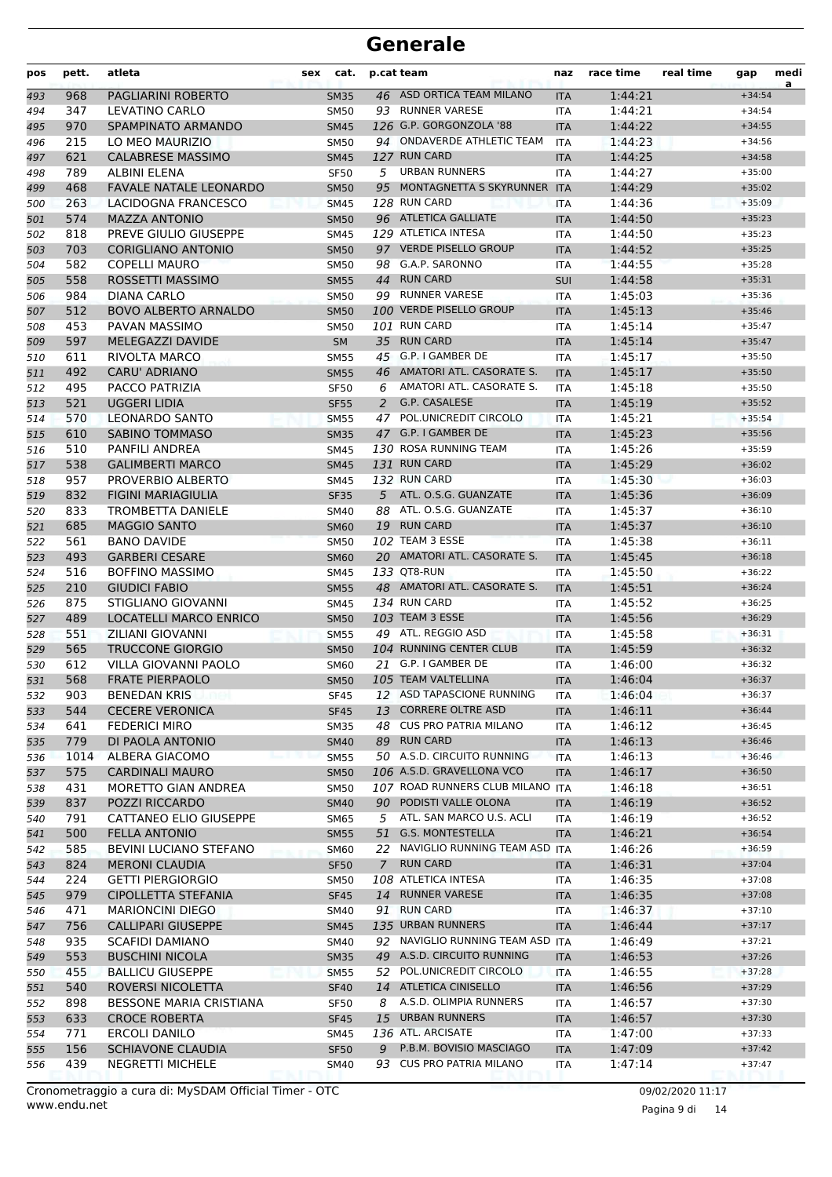| pos        | pett.      | atleta                                            | <b>sex</b> | cat.                       |             | p.cat team                                       | naz                      | race time          | real time | gap                  | medi<br>a |
|------------|------------|---------------------------------------------------|------------|----------------------------|-------------|--------------------------------------------------|--------------------------|--------------------|-----------|----------------------|-----------|
| 493        | 968        | <b>PAGLIARINI ROBERTO</b>                         |            | <b>SM35</b>                |             | 46 ASD ORTICA TEAM MILANO                        | <b>ITA</b>               | 1:44:21            |           | $+34:54$             |           |
| 494        | 347        | LEVATINO CARLO                                    |            | <b>SM50</b>                |             | 93 RUNNER VARESE                                 | ITA                      | 1:44:21            |           | $+34:54$             |           |
| 495        | 970        | SPAMPINATO ARMANDO                                |            | <b>SM45</b>                |             | 126 G.P. GORGONZOLA '88                          | <b>ITA</b>               | 1:44:22            |           | $+34:55$             |           |
| 496        | 215        | LO MEO MAURIZIO                                   |            | <b>SM50</b>                |             | 94 ONDAVERDE ATHLETIC TEAM                       | <b>ITA</b>               | 1:44:23            |           | $+34:56$             |           |
| 497        | 621        | <b>CALABRESE MASSIMO</b>                          |            | <b>SM45</b>                |             | 127 RUN CARD                                     | <b>ITA</b>               | 1:44:25            |           | $+34:58$             |           |
| 498        | 789        | ALBINI ELENA                                      |            | <b>SF50</b>                | 5           | <b>URBAN RUNNERS</b>                             | <b>ITA</b>               | 1:44:27            |           | $+35:00$             |           |
| 499        | 468        | <b>FAVALE NATALE LEONARDO</b>                     |            | <b>SM50</b>                | 95          | MONTAGNETTA S SKYRUNNER ITA                      |                          | 1:44:29            |           | $+35:02$             |           |
| 500        | 263        | LACIDOGNA FRANCESCO                               |            | <b>SM45</b>                |             | 128 RUN CARD                                     | <b>ITA</b>               | 1:44:36            |           | $+35:09$             |           |
| 501        | 574        | <b>MAZZA ANTONIO</b>                              |            | <b>SM50</b>                |             | 96 ATLETICA GALLIATE                             | <b>ITA</b>               | 1:44:50            |           | $+35:23$             |           |
| 502        | 818        | PREVE GIULIO GIUSEPPE                             |            | <b>SM45</b>                |             | 129 ATLETICA INTESA<br>97 VERDE PISELLO GROUP    | <b>ITA</b>               | 1:44:50            |           | $+35:23$             |           |
| 503        | 703<br>582 | <b>CORIGLIANO ANTONIO</b><br><b>COPELLI MAURO</b> |            | <b>SM50</b><br><b>SM50</b> |             | 98 G.A.P. SARONNO                                | <b>ITA</b><br><b>ITA</b> | 1:44:52<br>1:44:55 |           | $+35:25$<br>$+35:28$ |           |
| 504        | 558        | ROSSETTI MASSIMO                                  |            | <b>SM55</b>                |             | 44 RUN CARD                                      | SUI                      | 1:44:58            |           | $+35:31$             |           |
| 505<br>506 | 984        | DIANA CARLO                                       |            | <b>SM50</b>                |             | 99 RUNNER VARESE                                 | ITA                      | 1:45:03            |           | $+35:36$             |           |
| 507        | 512        | <b>BOVO ALBERTO ARNALDO</b>                       |            | <b>SM50</b>                |             | 100 VERDE PISELLO GROUP                          | <b>ITA</b>               | 1:45:13            |           | $+35:46$             |           |
| 508        | 453        | PAVAN MASSIMO                                     |            | <b>SM50</b>                |             | 101 RUN CARD                                     | <b>ITA</b>               | 1:45:14            |           | $+35:47$             |           |
| 509        | 597        | MELEGAZZI DAVIDE                                  |            | <b>SM</b>                  |             | 35 RUN CARD                                      | <b>ITA</b>               | 1:45:14            |           | $+35:47$             |           |
| 510        | 611        | RIVOLTA MARCO                                     |            | <b>SM55</b>                |             | 45 G.P. I GAMBER DE                              | <b>ITA</b>               | 1:45:17            |           | $+35:50$             |           |
| 511        | 492        | <b>CARU' ADRIANO</b>                              |            | <b>SM55</b>                |             | 46 AMATORI ATL. CASORATE S.                      | <b>ITA</b>               | 1:45:17            |           | $+35:50$             |           |
| 512        | 495        | PACCO PATRIZIA                                    |            | <b>SF50</b>                |             | 6 AMATORI ATL. CASORATE S.                       | <b>ITA</b>               | 1:45:18            |           | $+35:50$             |           |
| 513        | 521        | <b>UGGERI LIDIA</b>                               |            | <b>SF55</b>                | 2           | G.P. CASALESE                                    | <b>ITA</b>               | 1:45:19            |           | $+35:52$             |           |
| 514        | 570        | <b>LEONARDO SANTO</b>                             |            | <b>SM55</b>                | 47          | POL.UNICREDIT CIRCOLO                            | <b>ITA</b>               | 1:45:21            |           | $+35:54$             |           |
| 515        | 610        | SABINO TOMMASO                                    |            | <b>SM35</b>                |             | 47 G.P. I GAMBER DE                              | <b>ITA</b>               | 1:45:23            |           | $+35:56$             |           |
| 516        | 510        | <b>PANFILI ANDREA</b>                             |            | <b>SM45</b>                |             | 130 ROSA RUNNING TEAM                            | <b>ITA</b>               | 1:45:26            |           | $+35:59$             |           |
| 517        | 538        | <b>GALIMBERTI MARCO</b>                           |            | <b>SM45</b>                |             | 131 RUN CARD                                     | <b>ITA</b>               | 1:45:29            |           | $+36:02$             |           |
| 518        | 957        | PROVERBIO ALBERTO                                 |            | SM45                       |             | 132 RUN CARD                                     | <b>ITA</b>               | 1:45:30            |           | $+36:03$             |           |
| 519        | 832        | <b>FIGINI MARIAGIULIA</b>                         |            | <b>SF35</b>                |             | 5 ATL. O.S.G. GUANZATE                           | <b>ITA</b>               | 1:45:36            |           | $+36:09$             |           |
| 520        | 833        | <b>TROMBETTA DANIELE</b>                          |            | <b>SM40</b>                | 88          | ATL. O.S.G. GUANZATE                             | <b>ITA</b>               | 1:45:37            |           | $+36:10$             |           |
| 521        | 685        | <b>MAGGIO SANTO</b>                               |            | <b>SM60</b>                |             | 19 RUN CARD                                      | <b>ITA</b>               | 1:45:37            |           | $+36:10$             |           |
| 522        | 561        | <b>BANO DAVIDE</b>                                |            | <b>SM50</b>                |             | 102 TEAM 3 ESSE                                  | <b>ITA</b>               | 1:45:38            |           | $+36:11$             |           |
| 523        | 493        | <b>GARBERI CESARE</b>                             |            | <b>SM60</b>                |             | 20 AMATORI ATL. CASORATE S.                      | <b>ITA</b>               | 1:45:45            |           | $+36:18$             |           |
| 524        | 516        | <b>BOFFINO MASSIMO</b>                            |            | SM45                       |             | 133 QT8-RUN                                      | ITA                      | 1:45:50            |           | $+36:22$             |           |
| 525        | 210        | <b>GIUDICI FABIO</b>                              |            | <b>SM55</b>                |             | 48 AMATORI ATL. CASORATE S.                      | <b>ITA</b>               | 1:45:51            |           | $+36:24$             |           |
| 526        | 875        | STIGLIANO GIOVANNI                                |            | <b>SM45</b>                |             | 134 RUN CARD                                     | <b>ITA</b>               | 1:45:52            |           | $+36:25$             |           |
| 527        | 489        | LOCATELLI MARCO ENRICO                            |            | <b>SM50</b>                |             | 103 TEAM 3 ESSE                                  | <b>ITA</b>               | 1:45:56            |           | $+36:29$             |           |
| 528        | 551        | <b>ZILIANI GIOVANNI</b>                           |            | <b>SM55</b>                |             | 49 ATL. REGGIO ASD                               | <b>ITA</b>               | 1:45:58            |           | $+36:31$             |           |
| 529        | 565        | <b>TRUCCONE GIORGIO</b>                           |            | <b>SM50</b>                |             | 104 RUNNING CENTER CLUB                          | <b>ITA</b>               | 1:45:59            |           | $+36:32$             |           |
| 530        | 612        | VILLA GIOVANNI PAOLO                              |            | <b>SM60</b>                |             | 21 G.P. I GAMBER DE                              | <b>ITA</b>               | 1:46:00            |           | $+36:32$             |           |
| 531        | 568        | <b>FRATE PIERPAOLO</b>                            |            | <b>SM50</b>                |             | 105 TEAM VALTELLINA<br>12 ASD TAPASCIONE RUNNING | <b>ITA</b>               | 1:46:04            |           | $+36:37$             |           |
| 532        | 903<br>544 | <b>BENEDAN KRIS</b><br><b>CECERE VERONICA</b>     |            | <b>SF45</b>                |             | 13 CORRERE OLTRE ASD                             | ITA                      | 1:46:04<br>1:46:11 |           | $+36:37$<br>$+36:44$ |           |
| 533        | 641        | <b>FEDERICI MIRO</b>                              |            | <b>SF45</b><br><b>SM35</b> | 48          | <b>CUS PRO PATRIA MILANO</b>                     | <b>ITA</b><br>ITA        | 1:46:12            |           | $+36:45$             |           |
| 534<br>535 | 779        | DI PAOLA ANTONIO                                  |            | <b>SM40</b>                |             | 89 RUN CARD                                      | <b>ITA</b>               | 1:46:13            |           | $+36:46$             |           |
| 536        | 1014       | ALBERA GIACOMO                                    |            | <b>SM55</b>                |             | 50 A.S.D. CIRCUITO RUNNING                       | <b>ITA</b>               | 1:46:13            |           | $+36:46$             |           |
| 537        | 575        | <b>CARDINALI MAURO</b>                            |            | <b>SM50</b>                |             | 106 A.S.D. GRAVELLONA VCO                        | <b>ITA</b>               | 1:46:17            |           | $+36:50$             |           |
| 538        | 431        | MORETTO GIAN ANDREA                               |            | <b>SM50</b>                |             | 107 ROAD RUNNERS CLUB MILANO                     | <b>ITA</b>               | 1:46:18            |           | $+36:51$             |           |
| 539        | 837        | POZZI RICCARDO                                    |            | <b>SM40</b>                |             | 90 PODISTI VALLE OLONA                           | <b>ITA</b>               | 1:46:19            |           | $+36:52$             |           |
| 540        | 791        | CATTANEO ELIO GIUSEPPE                            |            | SM65                       | 5           | ATL. SAN MARCO U.S. ACLI                         | ITA                      | 1:46:19            |           | $+36:52$             |           |
| 541        | 500        | <b>FELLA ANTONIO</b>                              |            | <b>SM55</b>                | 51          | <b>G.S. MONTESTELLA</b>                          | <b>ITA</b>               | 1:46:21            |           | $+36:54$             |           |
| 542        | 585        | BEVINI LUCIANO STEFANO                            |            | <b>SM60</b>                |             | 22 NAVIGLIO RUNNING TEAM ASD ITA                 |                          | 1:46:26            |           | $+36:59$             |           |
| 543        | 824        | <b>MERONI CLAUDIA</b>                             |            | <b>SF50</b>                | $7^{\circ}$ | <b>RUN CARD</b>                                  | <b>ITA</b>               | 1:46:31            |           | $+37:04$             |           |
| 544        | 224        | <b>GETTI PIERGIORGIO</b>                          |            | SM50                       |             | 108 ATLETICA INTESA                              | ITA                      | 1:46:35            |           | $+37:08$             |           |
| 545        | 979        | <b>CIPOLLETTA STEFANIA</b>                        |            | <b>SF45</b>                |             | 14 RUNNER VARESE                                 | <b>ITA</b>               | 1:46:35            |           | $+37:08$             |           |
| 546        | 471        | <b>MARIONCINI DIEGO</b>                           |            | SM40                       |             | 91 RUN CARD                                      | ITA                      | 1:46:37            |           | $+37:10$             |           |
| 547        | 756        | <b>CALLIPARI GIUSEPPE</b>                         |            | <b>SM45</b>                |             | 135 URBAN RUNNERS                                | <b>ITA</b>               | 1:46:44            |           | $+37:17$             |           |
| 548        | 935        | <b>SCAFIDI DAMIANO</b>                            |            | SM40                       |             | 92 NAVIGLIO RUNNING TEAM ASD ITA                 |                          | 1:46:49            |           | $+37:21$             |           |
| 549        | 553        | <b>BUSCHINI NICOLA</b>                            |            | <b>SM35</b>                |             | 49 A.S.D. CIRCUITO RUNNING                       | <b>ITA</b>               | 1:46:53            |           | $+37:26$             |           |
| 550        | 455        | <b>BALLICU GIUSEPPE</b>                           |            | SM55                       | 52          | POL.UNICREDIT CIRCOLO                            | ITA                      | 1:46:55            |           | $+37:28$             |           |
| 551        | 540        | ROVERSI NICOLETTA                                 |            | <b>SF40</b>                |             | 14 ATLETICA CINISELLO                            | <b>ITA</b>               | 1:46:56            |           | $+37:29$             |           |
| 552        | 898        | <b>BESSONE MARIA CRISTIANA</b>                    |            | <b>SF50</b>                | 8           | A.S.D. OLIMPIA RUNNERS                           | ITA                      | 1:46:57            |           | $+37:30$             |           |
| 553        | 633        | <b>CROCE ROBERTA</b>                              |            | <b>SF45</b>                |             | 15 URBAN RUNNERS                                 | <b>ITA</b>               | 1:46:57            |           | $+37:30$             |           |
| 554        | 771        | <b>ERCOLI DANILO</b>                              |            | SM45                       |             | 136 ATL. ARCISATE                                | ITA                      | 1:47:00            |           | $+37:33$             |           |
| 555        | 156        | SCHIAVONE CLAUDIA                                 |            | <b>SF50</b>                | 9           | P.B.M. BOVISIO MASCIAGO                          | <b>ITA</b>               | 1:47:09            |           | $+37:42$             |           |
| 556        | 439        | <b>NEGRETTI MICHELE</b>                           |            | SM40                       |             | 93 CUS PRO PATRIA MILANO                         | ITA                      | 1:47:14            |           | $+37:47$             |           |

Pagina 9 di 14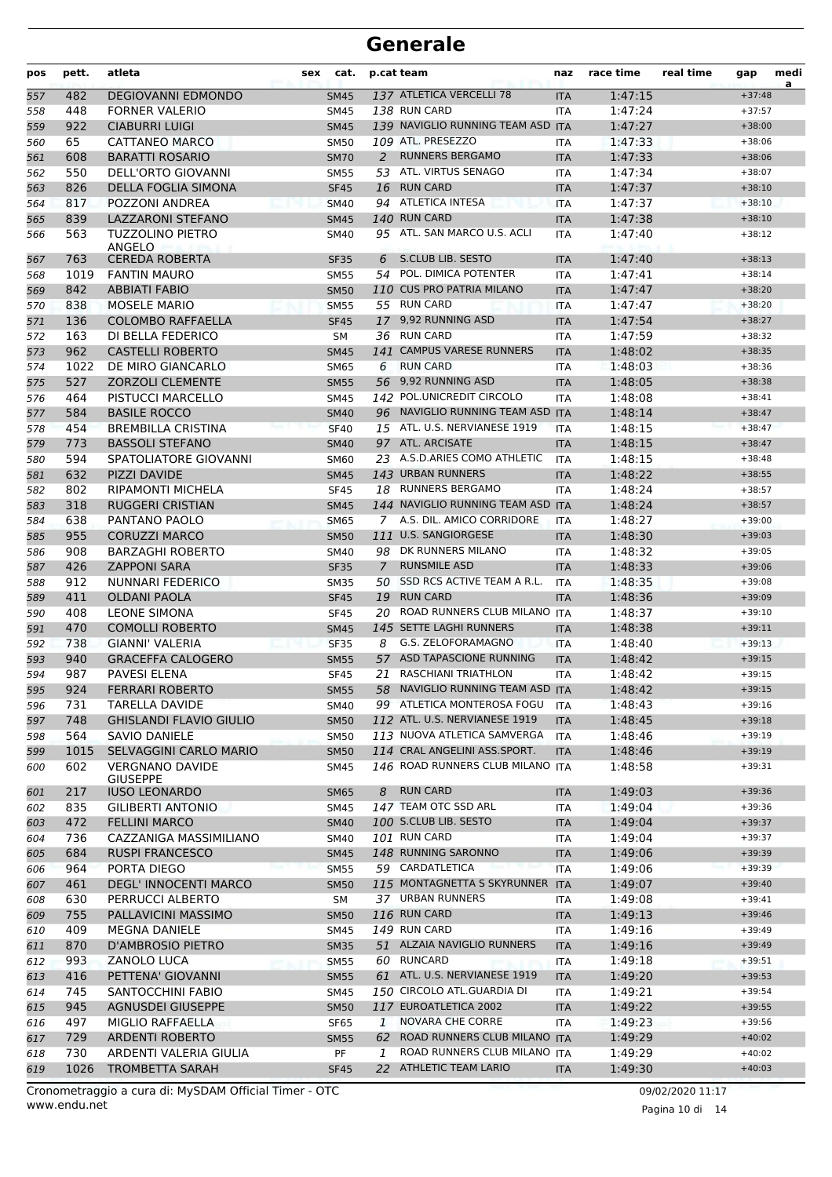| pos | pett. | atleta                                    | sex | cat.        |    | p.cat team                        | naz        | race time | real time | gap      | medi<br>a |
|-----|-------|-------------------------------------------|-----|-------------|----|-----------------------------------|------------|-----------|-----------|----------|-----------|
| 557 | 482   | <b>DEGIOVANNI EDMONDO</b>                 |     | <b>SM45</b> |    | 137 ATLETICA VERCELLI 78          | <b>ITA</b> | 1:47:15   |           | $+37:48$ |           |
| 558 | 448   | <b>FORNER VALERIO</b>                     |     | <b>SM45</b> |    | 138 RUN CARD                      | <b>ITA</b> | 1:47:24   |           | $+37:57$ |           |
| 559 | 922   | <b>CIABURRI LUIGI</b>                     |     | <b>SM45</b> |    | 139 NAVIGLIO RUNNING TEAM ASD ITA |            | 1:47:27   |           | $+38:00$ |           |
| 560 | 65    | <b>CATTANEO MARCO</b>                     |     | <b>SM50</b> |    | 109 ATL. PRESEZZO                 | <b>ITA</b> | 1:47:33   |           | $+38:06$ |           |
| 561 | 608   | <b>BARATTI ROSARIO</b>                    |     | <b>SM70</b> | 2  | <b>RUNNERS BERGAMO</b>            | <b>ITA</b> | 1:47:33   |           | $+38:06$ |           |
| 562 | 550   | DELL'ORTO GIOVANNI                        |     | <b>SM55</b> |    | 53 ATL. VIRTUS SENAGO             | <b>ITA</b> | 1:47:34   |           | $+38:07$ |           |
| 563 | 826   | <b>DELLA FOGLIA SIMONA</b>                |     | <b>SF45</b> |    | 16 RUN CARD                       | <b>ITA</b> | 1:47:37   |           | $+38:10$ |           |
| 564 | 817   | POZZONI ANDREA                            |     | <b>SM40</b> |    | 94 ATLETICA INTESA                | <b>ITA</b> | 1:47:37   |           | $+38:10$ |           |
| 565 | 839   | <b>LAZZARONI STEFANO</b>                  |     | <b>SM45</b> |    | 140 RUN CARD                      | <b>ITA</b> | 1:47:38   |           | $+38:10$ |           |
| 566 | 563   | <b>TUZZOLINO PIETRO</b><br>ANGELO         |     | <b>SM40</b> |    | 95 ATL. SAN MARCO U.S. ACLI       | <b>ITA</b> | 1:47:40   |           | $+38:12$ |           |
| 567 | 763   | <b>CEREDA ROBERTA</b>                     |     | <b>SF35</b> | 6  | S.CLUB LIB. SESTO                 | <b>ITA</b> | 1:47:40   |           | $+38:13$ |           |
| 568 | 1019  | <b>FANTIN MAURO</b>                       |     | <b>SM55</b> | 54 | POL. DIMICA POTENTER              | <b>ITA</b> | 1:47:41   |           | $+38:14$ |           |
| 569 | 842   | <b>ABBIATI FABIO</b>                      |     | <b>SM50</b> |    | 110 CUS PRO PATRIA MILANO         | <b>ITA</b> | 1:47:47   |           | $+38:20$ |           |
| 570 | 838   | <b>MOSELE MARIO</b>                       |     | <b>SM55</b> |    | 55 RUN CARD                       | <b>ITA</b> | 1:47:47   |           | $+38:20$ |           |
| 571 | 136   | <b>COLOMBO RAFFAELLA</b>                  |     | <b>SF45</b> |    | 17 9,92 RUNNING ASD               | <b>ITA</b> | 1:47:54   |           | $+38:27$ |           |
| 572 | 163   | DI BELLA FEDERICO                         |     | <b>SM</b>   |    | 36 RUN CARD                       | <b>ITA</b> | 1:47:59   |           | $+38:32$ |           |
| 573 | 962   | <b>CASTELLI ROBERTO</b>                   |     | <b>SM45</b> |    | 141 CAMPUS VARESE RUNNERS         | <b>ITA</b> | 1:48:02   |           | $+38:35$ |           |
| 574 | 1022  | DE MIRO GIANCARLO                         |     | <b>SM65</b> | 6  | <b>RUN CARD</b>                   | <b>ITA</b> | 1:48:03   |           | $+38:36$ |           |
| 575 | 527   | <b>ZORZOLI CLEMENTE</b>                   |     | <b>SM55</b> |    | 56 9,92 RUNNING ASD               | <b>ITA</b> | 1:48:05   |           | $+38:38$ |           |
| 576 | 464   | PISTUCCI MARCELLO                         |     | <b>SM45</b> |    | 142 POL.UNICREDIT CIRCOLO         | <b>ITA</b> | 1:48:08   |           | $+38:41$ |           |
| 577 | 584   | <b>BASILE ROCCO</b>                       |     | <b>SM40</b> |    | 96 NAVIGLIO RUNNING TEAM ASD ITA  |            | 1:48:14   |           | $+38:47$ |           |
| 578 | 454   | <b>BREMBILLA CRISTINA</b>                 |     | <b>SF40</b> |    | 15 ATL. U.S. NERVIANESE 1919      | <b>ITA</b> | 1:48:15   |           | $+38:47$ |           |
| 579 | 773   | <b>BASSOLI STEFANO</b>                    |     | <b>SM40</b> |    | 97 ATL. ARCISATE                  | <b>ITA</b> | 1:48:15   |           | $+38:47$ |           |
| 580 | 594   | SPATOLIATORE GIOVANNI                     |     | <b>SM60</b> |    | 23 A.S.D.ARIES COMO ATHLETIC      | <b>ITA</b> | 1:48:15   |           | $+38:48$ |           |
| 581 | 632   | <b>PIZZI DAVIDE</b>                       |     | <b>SM45</b> |    | 143 URBAN RUNNERS                 | <b>ITA</b> | 1:48:22   |           | $+38:55$ |           |
| 582 | 802   | <b>RIPAMONTI MICHELA</b>                  |     | <b>SF45</b> |    | 18 RUNNERS BERGAMO                | <b>ITA</b> | 1:48:24   |           | $+38:57$ |           |
| 583 | 318   | <b>RUGGERI CRISTIAN</b>                   |     | <b>SM45</b> |    | 144 NAVIGLIO RUNNING TEAM ASD ITA |            | 1:48:24   |           | $+38:57$ |           |
| 584 | 638   | PANTANO PAOLO                             |     | <b>SM65</b> |    | 7 A.S. DIL. AMICO CORRIDORE       | <b>ITA</b> | 1:48:27   |           | $+39:00$ |           |
| 585 | 955   | <b>CORUZZI MARCO</b>                      |     | <b>SM50</b> |    | 111 U.S. SANGIORGESE              | <b>ITA</b> | 1:48:30   |           | $+39:03$ |           |
| 586 | 908   | <b>BARZAGHI ROBERTO</b>                   |     | SM40        |    | 98 DK RUNNERS MILANO              | <b>ITA</b> | 1:48:32   |           | $+39:05$ |           |
| 587 | 426   | <b>ZAPPONI SARA</b>                       |     | <b>SF35</b> | 7  | <b>RUNSMILE ASD</b>               | <b>ITA</b> | 1:48:33   |           | $+39:06$ |           |
| 588 | 912   | NUNNARI FEDERICO                          |     | <b>SM35</b> |    | 50 SSD RCS ACTIVE TEAM A R.L.     | <b>ITA</b> | 1:48:35   |           | $+39:08$ |           |
| 589 | 411   | <b>OLDANI PAOLA</b>                       |     | <b>SF45</b> |    | 19 RUN CARD                       | <b>ITA</b> | 1:48:36   |           | $+39:09$ |           |
| 590 | 408   | <b>LEONE SIMONA</b>                       |     | <b>SF45</b> | 20 | ROAD RUNNERS CLUB MILANO ITA      |            | 1:48:37   |           | $+39:10$ |           |
| 591 | 470   | <b>COMOLLI ROBERTO</b>                    |     | <b>SM45</b> |    | 145 SETTE LAGHI RUNNERS           | <b>ITA</b> | 1:48:38   |           | $+39:11$ |           |
| 592 | 738   | GIANNI' VALERIA                           |     | SF35        | 8  | G.S. ZELOFORAMAGNO                | <b>ITA</b> | 1:48:40   |           | $+39:13$ |           |
| 593 | 940   | <b>GRACEFFA CALOGERO</b>                  |     | <b>SM55</b> |    | 57 ASD TAPASCIONE RUNNING         | <b>ITA</b> | 1:48:42   |           | $+39:15$ |           |
| 594 | 987   | <b>PAVESI ELENA</b>                       |     | <b>SF45</b> |    | 21 RASCHIANI TRIATHLON            | <b>ITA</b> | 1:48:42   |           | $+39:15$ |           |
| 595 | 924   | <b>FERRARI ROBERTO</b>                    |     | <b>SM55</b> |    | 58 NAVIGLIO RUNNING TEAM ASD ITA  |            | 1:48:42   |           | $+39:15$ |           |
| 596 | 731   | <b>TARELLA DAVIDE</b>                     |     | SM40        |    | 99 ATLETICA MONTEROSA FOGU        | <b>ITA</b> | 1:48:43   |           | $+39:16$ |           |
| 597 | 748   | <b>GHISLANDI FLAVIO GIULIO</b>            |     | <b>SM50</b> |    | 112 ATL. U.S. NERVIANESE 1919     | <b>ITA</b> | 1:48:45   |           | $+39:18$ |           |
| 598 | 564   | <b>SAVIO DANIELE</b>                      |     | SM50        |    | 113 NUOVA ATLETICA SAMVERGA       | <b>ITA</b> | 1:48:46   |           | $+39:19$ |           |
| 599 | 1015  | <b>SELVAGGINI CARLO MARIO</b>             |     | <b>SM50</b> |    | 114 CRAL ANGELINI ASS.SPORT.      | <b>ITA</b> | 1:48:46   |           | $+39:19$ |           |
| 600 | 602   | <b>VERGNANO DAVIDE</b><br><b>GIUSEPPE</b> |     | SM45        |    | 146 ROAD RUNNERS CLUB MILANO ITA  |            | 1:48:58   |           | $+39:31$ |           |
| 601 | 217   | <b>IUSO LEONARDO</b>                      |     | <b>SM65</b> | 8  | <b>RUN CARD</b>                   | <b>ITA</b> | 1:49:03   |           | $+39:36$ |           |
| 602 | 835   | GILIBERTI ANTONIO                         |     | SM45        |    | 147 TEAM OTC SSD ARL              | ITA        | 1:49:04   |           | $+39:36$ |           |
| 603 | 472   | <b>FELLINI MARCO</b>                      |     | <b>SM40</b> |    | 100 S.CLUB LIB. SESTO             | <b>ITA</b> | 1:49:04   |           | $+39:37$ |           |
| 604 | 736   | CAZZANIGA MASSIMILIANO                    |     | SM40        |    | 101 RUN CARD                      | ITA        | 1:49:04   |           | $+39:37$ |           |
| 605 | 684   | <b>RUSPI FRANCESCO</b>                    |     | <b>SM45</b> |    | 148 RUNNING SARONNO               | <b>ITA</b> | 1:49:06   |           | $+39:39$ |           |
| 606 | 964   | PORTA DIEGO                               |     | <b>SM55</b> |    | 59 CARDATLETICA                   | <b>ITA</b> | 1:49:06   |           | $+39:39$ |           |
| 607 | 461   | DEGL' INNOCENTI MARCO                     |     | <b>SM50</b> |    | 115 MONTAGNETTA S SKYRUNNER ITA   |            | 1:49:07   |           | $+39:40$ |           |
| 608 | 630   | PERRUCCI ALBERTO                          |     | SM          |    | 37 URBAN RUNNERS                  | ITA        | 1:49:08   |           | $+39:41$ |           |
| 609 | 755   | PALLAVICINI MASSIMO                       |     | <b>SM50</b> |    | 116 RUN CARD                      | <b>ITA</b> | 1:49:13   |           | $+39:46$ |           |
| 610 | 409   | <b>MEGNA DANIELE</b>                      |     | SM45        |    | 149 RUN CARD                      | <b>ITA</b> | 1:49:16   |           | $+39:49$ |           |
| 611 | 870   | <b>D'AMBROSIO PIETRO</b>                  |     | <b>SM35</b> |    | 51 ALZAIA NAVIGLIO RUNNERS        | <b>ITA</b> | 1:49:16   |           | $+39:49$ |           |
| 612 | 993   | ZANOLO LUCA                               |     | <b>SM55</b> |    | 60 RUNCARD                        | ITA        | 1:49:18   |           | $+39:51$ |           |
| 613 | 416   | PETTENA' GIOVANNI                         |     | <b>SM55</b> |    | 61 ATL. U.S. NERVIANESE 1919      | <b>ITA</b> | 1:49:20   |           | $+39:53$ |           |
| 614 | 745   | SANTOCCHINI FABIO                         |     | SM45        |    | 150 CIRCOLO ATL.GUARDIA DI        | ITA        | 1:49:21   |           | $+39:54$ |           |
| 615 | 945   | <b>AGNUSDEI GIUSEPPE</b>                  |     | <b>SM50</b> |    | 117 EUROATLETICA 2002             | <b>ITA</b> | 1:49:22   |           | $+39:55$ |           |
| 616 | 497   | MIGLIO RAFFAELLA                          |     | <b>SF65</b> | 1  | NOVARA CHE CORRE                  | <b>ITA</b> | 1:49:23   |           | $+39:56$ |           |
| 617 | 729   | <b>ARDENTI ROBERTO</b>                    |     | <b>SM55</b> |    | 62 ROAD RUNNERS CLUB MILANO ITA   |            | 1:49:29   |           | $+40:02$ |           |
| 618 | 730   | ARDENTI VALERIA GIULIA                    |     | PF          | 1  | ROAD RUNNERS CLUB MILANO ITA      |            | 1:49:29   |           | $+40:02$ |           |
| 619 | 1026  | <b>TROMBETTA SARAH</b>                    |     | <b>SF45</b> |    | 22 ATHLETIC TEAM LARIO            | <b>ITA</b> | 1:49:30   |           | $+40:03$ |           |
|     |       |                                           |     |             |    |                                   |            |           |           |          |           |

www.endu.net Cronometraggio a cura di: MySDAM Official Timer - OTC 09/02/2020 11:17

Pagina 10 di 14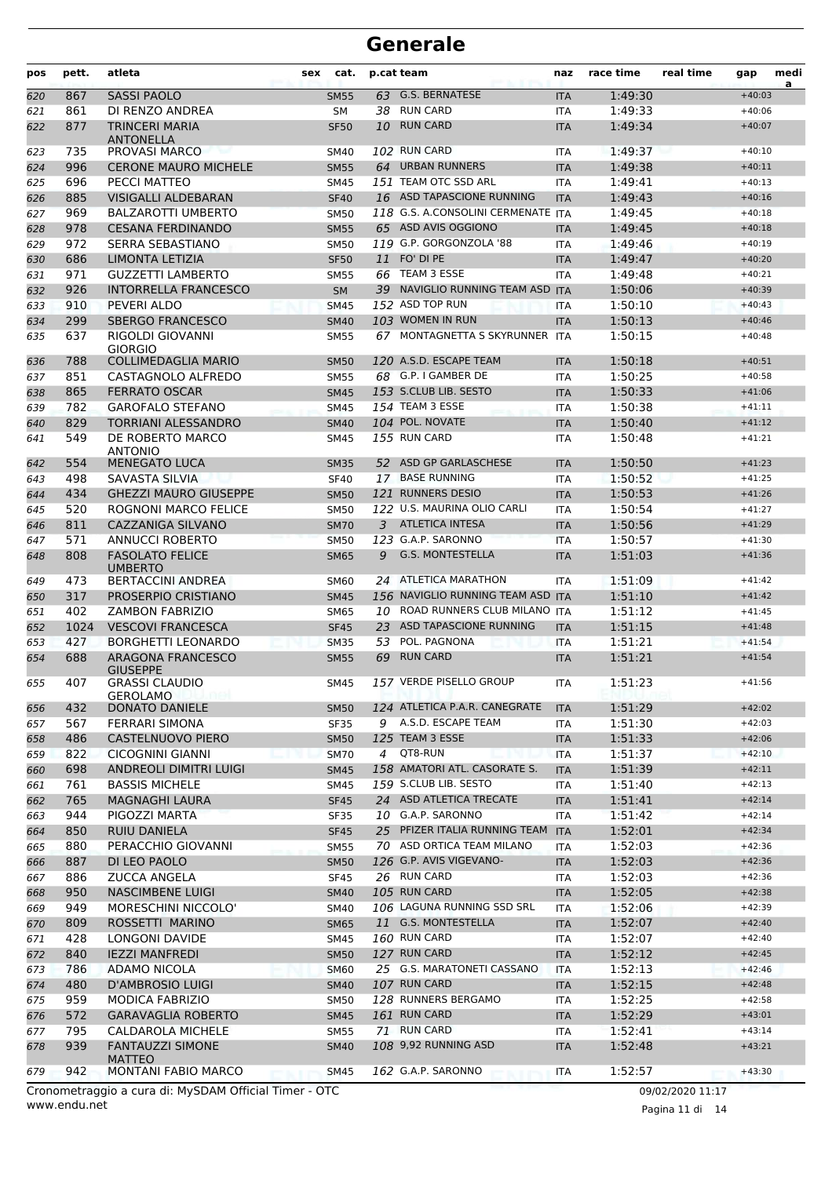| 63 G.S. BERNATESE<br><b>SASSI PAOLO</b><br>$+40:03$<br>620<br>867<br>1:49:30<br><b>SM55</b><br><b>ITA</b><br>38 RUN CARD<br>861<br>DI RENZO ANDREA<br>1:49:33<br>621<br><b>SM</b><br><b>ITA</b><br>$+40:06$<br><b>RUN CARD</b><br>877<br><b>TRINCERI MARIA</b><br>1:49:34<br>622<br><b>SF50</b><br>10<br><b>ITA</b><br>$+40:07$<br><b>ANTONELLA</b><br>PROVASI MARCO<br>102 RUN CARD<br>1:49:37<br>735<br>$+40:10$<br>623<br><b>SM40</b><br><b>ITA</b><br>996<br>64 URBAN RUNNERS<br><b>CERONE MAURO MICHELE</b><br>1:49:38<br><b>SM55</b><br><b>ITA</b><br>$+40:11$<br>624<br>151 TEAM OTC SSD ARL<br>696<br>PECCI MATTEO<br>1:49:41<br>625<br>SM45<br><b>ITA</b><br>$+40:13$<br>885<br><b>VISIGALLI ALDEBARAN</b><br>16 ASD TAPASCIONE RUNNING<br>1:49:43<br>626<br><b>SF40</b><br><b>ITA</b><br>$+40:16$<br>118 G.S. A.CONSOLINI CERMENATE ITA<br>969<br><b>BALZAROTTI UMBERTO</b><br>1:49:45<br>$+40:18$<br>627<br><b>SM50</b><br>65 ASD AVIS OGGIONO<br>978<br><b>CESANA FERDINANDO</b><br>1:49:45<br>628<br><b>SM55</b><br><b>ITA</b><br>$+40:18$<br>119 G.P. GORGONZOLA '88<br>972<br>SERRA SEBASTIANO<br>1:49:46<br>629<br><b>SM50</b><br><b>ITA</b><br>$+40:19$<br>11 FO' DI PE<br>686<br>LIMONTA LETIZIA<br>1:49:47<br>$+40:20$<br><b>SF50</b><br><b>ITA</b><br>630<br>66 TEAM 3 ESSE<br>971<br><b>GUZZETTI LAMBERTO</b><br>1:49:48<br>631<br><b>SM55</b><br><b>ITA</b><br>$+40:21$<br>926<br><b>INTORRELLA FRANCESCO</b><br>39 NAVIGLIO RUNNING TEAM ASD ITA<br>1:50:06<br>632<br><b>SM</b><br>$+40:39$<br>152 ASD TOP RUN<br>910<br>PEVERI ALDO<br>1:50:10<br>$+40:43$<br>633<br><b>SM45</b><br><b>ITA</b><br>103 WOMEN IN RUN<br>299<br><b>SBERGO FRANCESCO</b><br>1:50:13<br>634<br><b>SM40</b><br><b>ITA</b><br>$+40:46$<br>637<br>RIGOLDI GIOVANNI<br>67 MONTAGNETTA S SKYRUNNER ITA<br>1:50:15<br>$+40:48$<br>635<br><b>SM55</b><br><b>GIORGIO</b><br><b>COLLIMEDAGLIA MARIO</b><br>120 A.S.D. ESCAPE TEAM<br>1:50:18<br>788<br>$+40:51$<br>636<br><b>SM50</b><br><b>ITA</b><br>68 G.P. I GAMBER DE<br>851<br>CASTAGNOLO ALFREDO<br>1:50:25<br>$+40:58$<br>637<br><b>SM55</b><br><b>ITA</b><br>153 S.CLUB LIB. SESTO<br>865<br><b>FERRATO OSCAR</b><br>1:50:33<br>638<br><b>SM45</b><br><b>ITA</b><br>$+41:06$<br>782<br><b>GAROFALO STEFANO</b><br>154 TEAM 3 ESSE<br>1:50:38<br><b>SM45</b><br>$+41:11$<br>639<br><b>ITA</b><br>104 POL. NOVATE<br>829<br>TORRIANI ALESSANDRO<br>1:50:40<br>$+41:12$<br>640<br><b>SM40</b><br><b>ITA</b><br>549<br>DE ROBERTO MARCO<br>155 RUN CARD<br>SM45<br><b>ITA</b><br>1:50:48<br>$+41:21$<br>641<br><b>ANTONIO</b><br>52 ASD GP GARLASCHESE<br>642<br>554<br><b>MENEGATO LUCA</b><br>1:50:50<br>$+41:23$<br><b>SM35</b><br><b>ITA</b><br>498<br>SAVASTA SILVIA<br>17 BASE RUNNING<br>1:50:52<br>$+41:25$<br>643<br><b>SF40</b><br><b>ITA</b><br>434<br>121 RUNNERS DESIO<br><b>GHEZZI MAURO GIUSEPPE</b><br>1:50:53<br>$+41:26$<br><b>SM50</b><br><b>ITA</b><br>644<br>122 U.S. MAURINA OLIO CARLI<br>520<br><b>ROGNONI MARCO FELICE</b><br>1:50:54<br>645<br><b>SM50</b><br><b>ITA</b><br>$+41:27$<br>811<br>CAZZANIGA SILVANO<br><b>ATLETICA INTESA</b><br>1:50:56<br>3<br>$+41:29$<br>646<br><b>SM70</b><br><b>ITA</b><br>123 G.A.P. SARONNO<br>571<br>ANNUCCI ROBERTO<br>1:50:57<br>$+41:30$<br>647<br><b>SM50</b><br><b>ITA</b><br><b>G.S. MONTESTELLA</b><br>808<br><b>FASOLATO FELICE</b><br>1:51:03<br><b>SM65</b><br>9<br><b>ITA</b><br>$+41:36$<br>648<br><b>UMBERTO</b><br>24 ATLETICA MARATHON<br>1:51:09<br>473<br><b>BERTACCINI ANDREA</b><br><b>ITA</b><br>649<br>SM60<br>$+41:42$<br>317<br>PROSERPIO CRISTIANO<br>156 NAVIGLIO RUNNING TEAM ASD ITA<br>1:51:10<br>$+41:42$<br><b>SM45</b><br>650<br>402<br>10 ROAD RUNNERS CLUB MILANO ITA<br><b>ZAMBON FABRIZIO</b><br>1:51:12<br>651<br>SM65<br>$+41:45$<br>ASD TAPASCIONE RUNNING<br>1024<br><b>VESCOVI FRANCESCA</b><br>1:51:15<br>652<br><b>SF45</b><br>23<br>$+41:48$<br><b>ITA</b><br>POL. PAGNONA<br>427<br><b>BORGHETTI LEONARDO</b><br>53<br>1:51:21<br>$+41:54$<br>653<br><b>SM35</b><br><b>ITA</b><br><b>RUN CARD</b><br>688<br><b>ARAGONA FRANCESCO</b><br>69<br>1:51:21<br>654<br><b>SM55</b><br><b>ITA</b><br>$+41:54$<br><b>GIUSEPPE</b><br>157 VERDE PISELLO GROUP<br>1:51:23<br>407<br><b>GRASSI CLAUDIO</b><br>SM45<br>$+41:56$<br>655<br>ITA<br><b>GEROLAMO</b><br>124 ATLETICA P.A.R. CANEGRATE<br>432<br><b>DONATO DANIELE</b><br>1:51:29<br><b>SM50</b><br><b>ITA</b><br>$+42:02$<br>656<br>9 A.S.D. ESCAPE TEAM<br>1:51:30<br>567<br><b>FERRARI SIMONA</b><br>SF35<br>ITA<br>$+42:03$<br>657<br>125 TEAM 3 ESSE<br>$+42:06$<br>486<br><b>CASTELNUOVO PIERO</b><br><b>SM50</b><br>1:51:33<br><b>ITA</b><br>658<br>QT8-RUN<br>822<br><b>CICOGNINI GIANNI</b><br><b>SM70</b><br>4<br>ITA<br>1:51:37<br>$+42:10$<br>659<br>158 AMATORI ATL. CASORATE S.<br>698<br>ANDREOLI DIMITRI LUIGI<br><b>SM45</b><br><b>ITA</b><br>1:51:39<br>$+42:11$<br>660<br>159 S.CLUB LIB. SESTO<br>761<br><b>BASSIS MICHELE</b><br>1:51:40<br>$+42:13$<br>SM45<br>ITA<br>661<br>24 ASD ATLETICA TRECATE<br>765<br><b>MAGNAGHI LAURA</b><br>1:51:41<br>$+42:14$<br>662<br><b>SF45</b><br><b>ITA</b><br>10 G.A.P. SARONNO<br>944<br>PIGOZZI MARTA<br>SF35<br>ITA<br>1:51:42<br>$+42:14$<br>663<br>25 PFIZER ITALIA RUNNING TEAM ITA<br>1:52:01<br>$+42:34$<br>850<br><b>RUIU DANIELA</b><br><b>SF45</b><br>664<br>70 ASD ORTICA TEAM MILANO<br>880<br>PERACCHIO GIOVANNI<br><b>SM55</b><br>1:52:03<br>$+42:36$<br>ITA<br>665<br>126 G.P. AVIS VIGEVANO-<br>887<br>DI LEO PAOLO<br>1:52:03<br>$+42:36$<br><b>SM50</b><br><b>ITA</b><br>666<br>26 RUN CARD<br>$+42:36$<br>886<br><b>ZUCCA ANGELA</b><br><b>SF45</b><br>1:52:03<br>667<br><b>ITA</b><br>105 RUN CARD<br>950<br><b>NASCIMBENE LUIGI</b><br>1:52:05<br>$+42:38$<br><b>SM40</b><br><b>ITA</b><br>668<br>MORESCHINI NICCOLO'<br>106 LAGUNA RUNNING SSD SRL<br>949<br><b>ITA</b><br>1:52:06<br>$+42:39$<br><b>SM40</b><br>669<br>11 G.S. MONTESTELLA<br>809<br>ROSSETTI MARINO<br>1:52:07<br>$+42:40$<br><b>SM65</b><br><b>ITA</b><br>670<br>160 RUN CARD<br>428<br>LONGONI DAVIDE<br>1:52:07<br>SM45<br>ITA<br>$+42:40$<br>671<br>127 RUN CARD<br>1:52:12<br>840<br><b>IEZZI MANFREDI</b><br>$+42:45$<br><b>SM50</b><br><b>ITA</b><br>672<br>25 G.S. MARATONETI CASSANO<br>786<br>ADAMO NICOLA<br>1:52:13<br>$+42:46$<br><b>SM60</b><br><b>ITA</b><br>673<br>107 RUN CARD<br>480<br>D'AMBROSIO LUIGI<br>1:52:15<br><b>SM40</b><br><b>ITA</b><br>$+42:48$<br>674<br>128 RUNNERS BERGAMO<br>959<br>MODICA FABRIZIO<br>1:52:25<br>$+42:58$<br>675<br><b>SM50</b><br>ITA<br>161 RUN CARD<br>572<br>1:52:29<br><b>GARAVAGLIA ROBERTO</b><br>$+43:01$<br><b>SM45</b><br><b>ITA</b><br>676<br>71 RUN CARD<br>795<br>CALDAROLA MICHELE<br>1:52:41<br>$+43:14$<br><b>SM55</b><br>ITA<br>677<br>108 9,92 RUNNING ASD<br>939<br><b>FANTAUZZI SIMONE</b><br>1:52:48<br>$+43:21$<br><b>SM40</b><br><b>ITA</b><br>678<br><b>MATTEO</b><br>MONTANI FABIO MARCO<br>162 G.A.P. SARONNO<br>1:52:57<br>942<br>$+43:30$<br>SM45<br>ITA<br>679 | pos | pett. | atleta | sex | cat. | p.cat team | naz | race time | real time | gap | medi<br>a |
|--------------------------------------------------------------------------------------------------------------------------------------------------------------------------------------------------------------------------------------------------------------------------------------------------------------------------------------------------------------------------------------------------------------------------------------------------------------------------------------------------------------------------------------------------------------------------------------------------------------------------------------------------------------------------------------------------------------------------------------------------------------------------------------------------------------------------------------------------------------------------------------------------------------------------------------------------------------------------------------------------------------------------------------------------------------------------------------------------------------------------------------------------------------------------------------------------------------------------------------------------------------------------------------------------------------------------------------------------------------------------------------------------------------------------------------------------------------------------------------------------------------------------------------------------------------------------------------------------------------------------------------------------------------------------------------------------------------------------------------------------------------------------------------------------------------------------------------------------------------------------------------------------------------------------------------------------------------------------------------------------------------------------------------------------------------------------------------------------------------------------------------------------------------------------------------------------------------------------------------------------------------------------------------------------------------------------------------------------------------------------------------------------------------------------------------------------------------------------------------------------------------------------------------------------------------------------------------------------------------------------------------------------------------------------------------------------------------------------------------------------------------------------------------------------------------------------------------------------------------------------------------------------------------------------------------------------------------------------------------------------------------------------------------------------------------------------------------------------------------------------------------------------------------------------------------------------------------------------------------------------------------------------------------------------------------------------------------------------------------------------------------------------------------------------------------------------------------------------------------------------------------------------------------------------------------------------------------------------------------------------------------------------------------------------------------------------------------------------------------------------------------------------------------------------------------------------------------------------------------------------------------------------------------------------------------------------------------------------------------------------------------------------------------------------------------------------------------------------------------------------------------------------------------------------------------------------------------------------------------------------------------------------------------------------------------------------------------------------------------------------------------------------------------------------------------------------------------------------------------------------------------------------------------------------------------------------------------------------------------------------------------------------------------------------------------------------------------------------------------------------------------------------------------------------------------------------------------------------------------------------------------------------------------------------------------------------------------------------------------------------------------------------------------------------------------------------------------------------------------------------------------------------------------------------------------------------------------------------------------------------------------------------------------------------------------------------------------------------------------------------------------------------------------------------------------------------------------------------------------------------------------------------------------------------------------------------------------------------------------------------------------------------------------------------------------------------------------------------------------------------------------------------------------------------------------------------------------------------------------------------------------------------------------------------------------------------------------------------------------------------------------------------------------------------------------------------------------------------------------------------------------------------------------------------------------------------------------------------------------------------------------------------------------------------------------------------------------------------------------------------------------------------------------------------------------------------------------------------------------------------------------------------------------------------------------------------------------------------------------------------------------------------------------------------------------------------------------------------------------------------------------------------------------------------------------------------------------------------------------------------------------------------------------------------------------------------------------------------------------------------------------|-----|-------|--------|-----|------|------------|-----|-----------|-----------|-----|-----------|
|                                                                                                                                                                                                                                                                                                                                                                                                                                                                                                                                                                                                                                                                                                                                                                                                                                                                                                                                                                                                                                                                                                                                                                                                                                                                                                                                                                                                                                                                                                                                                                                                                                                                                                                                                                                                                                                                                                                                                                                                                                                                                                                                                                                                                                                                                                                                                                                                                                                                                                                                                                                                                                                                                                                                                                                                                                                                                                                                                                                                                                                                                                                                                                                                                                                                                                                                                                                                                                                                                                                                                                                                                                                                                                                                                                                                                                                                                                                                                                                                                                                                                                                                                                                                                                                                                                                                                                                                                                                                                                                                                                                                                                                                                                                                                                                                                                                                                                                                                                                                                                                                                                                                                                                                                                                                                                                                                                                                                                                                                                                                                                                                                                                                                                                                                                                                                                                                                                                                                                                                                                                                                                                                                                                                                                                                                                                                                                                                                                                                                                                                                                                                                                                                                                                                                                                                                                                                                                                                                                                                              |     |       |        |     |      |            |     |           |           |     |           |
|                                                                                                                                                                                                                                                                                                                                                                                                                                                                                                                                                                                                                                                                                                                                                                                                                                                                                                                                                                                                                                                                                                                                                                                                                                                                                                                                                                                                                                                                                                                                                                                                                                                                                                                                                                                                                                                                                                                                                                                                                                                                                                                                                                                                                                                                                                                                                                                                                                                                                                                                                                                                                                                                                                                                                                                                                                                                                                                                                                                                                                                                                                                                                                                                                                                                                                                                                                                                                                                                                                                                                                                                                                                                                                                                                                                                                                                                                                                                                                                                                                                                                                                                                                                                                                                                                                                                                                                                                                                                                                                                                                                                                                                                                                                                                                                                                                                                                                                                                                                                                                                                                                                                                                                                                                                                                                                                                                                                                                                                                                                                                                                                                                                                                                                                                                                                                                                                                                                                                                                                                                                                                                                                                                                                                                                                                                                                                                                                                                                                                                                                                                                                                                                                                                                                                                                                                                                                                                                                                                                                              |     |       |        |     |      |            |     |           |           |     |           |
|                                                                                                                                                                                                                                                                                                                                                                                                                                                                                                                                                                                                                                                                                                                                                                                                                                                                                                                                                                                                                                                                                                                                                                                                                                                                                                                                                                                                                                                                                                                                                                                                                                                                                                                                                                                                                                                                                                                                                                                                                                                                                                                                                                                                                                                                                                                                                                                                                                                                                                                                                                                                                                                                                                                                                                                                                                                                                                                                                                                                                                                                                                                                                                                                                                                                                                                                                                                                                                                                                                                                                                                                                                                                                                                                                                                                                                                                                                                                                                                                                                                                                                                                                                                                                                                                                                                                                                                                                                                                                                                                                                                                                                                                                                                                                                                                                                                                                                                                                                                                                                                                                                                                                                                                                                                                                                                                                                                                                                                                                                                                                                                                                                                                                                                                                                                                                                                                                                                                                                                                                                                                                                                                                                                                                                                                                                                                                                                                                                                                                                                                                                                                                                                                                                                                                                                                                                                                                                                                                                                                              |     |       |        |     |      |            |     |           |           |     |           |
|                                                                                                                                                                                                                                                                                                                                                                                                                                                                                                                                                                                                                                                                                                                                                                                                                                                                                                                                                                                                                                                                                                                                                                                                                                                                                                                                                                                                                                                                                                                                                                                                                                                                                                                                                                                                                                                                                                                                                                                                                                                                                                                                                                                                                                                                                                                                                                                                                                                                                                                                                                                                                                                                                                                                                                                                                                                                                                                                                                                                                                                                                                                                                                                                                                                                                                                                                                                                                                                                                                                                                                                                                                                                                                                                                                                                                                                                                                                                                                                                                                                                                                                                                                                                                                                                                                                                                                                                                                                                                                                                                                                                                                                                                                                                                                                                                                                                                                                                                                                                                                                                                                                                                                                                                                                                                                                                                                                                                                                                                                                                                                                                                                                                                                                                                                                                                                                                                                                                                                                                                                                                                                                                                                                                                                                                                                                                                                                                                                                                                                                                                                                                                                                                                                                                                                                                                                                                                                                                                                                                              |     |       |        |     |      |            |     |           |           |     |           |
|                                                                                                                                                                                                                                                                                                                                                                                                                                                                                                                                                                                                                                                                                                                                                                                                                                                                                                                                                                                                                                                                                                                                                                                                                                                                                                                                                                                                                                                                                                                                                                                                                                                                                                                                                                                                                                                                                                                                                                                                                                                                                                                                                                                                                                                                                                                                                                                                                                                                                                                                                                                                                                                                                                                                                                                                                                                                                                                                                                                                                                                                                                                                                                                                                                                                                                                                                                                                                                                                                                                                                                                                                                                                                                                                                                                                                                                                                                                                                                                                                                                                                                                                                                                                                                                                                                                                                                                                                                                                                                                                                                                                                                                                                                                                                                                                                                                                                                                                                                                                                                                                                                                                                                                                                                                                                                                                                                                                                                                                                                                                                                                                                                                                                                                                                                                                                                                                                                                                                                                                                                                                                                                                                                                                                                                                                                                                                                                                                                                                                                                                                                                                                                                                                                                                                                                                                                                                                                                                                                                                              |     |       |        |     |      |            |     |           |           |     |           |
|                                                                                                                                                                                                                                                                                                                                                                                                                                                                                                                                                                                                                                                                                                                                                                                                                                                                                                                                                                                                                                                                                                                                                                                                                                                                                                                                                                                                                                                                                                                                                                                                                                                                                                                                                                                                                                                                                                                                                                                                                                                                                                                                                                                                                                                                                                                                                                                                                                                                                                                                                                                                                                                                                                                                                                                                                                                                                                                                                                                                                                                                                                                                                                                                                                                                                                                                                                                                                                                                                                                                                                                                                                                                                                                                                                                                                                                                                                                                                                                                                                                                                                                                                                                                                                                                                                                                                                                                                                                                                                                                                                                                                                                                                                                                                                                                                                                                                                                                                                                                                                                                                                                                                                                                                                                                                                                                                                                                                                                                                                                                                                                                                                                                                                                                                                                                                                                                                                                                                                                                                                                                                                                                                                                                                                                                                                                                                                                                                                                                                                                                                                                                                                                                                                                                                                                                                                                                                                                                                                                                              |     |       |        |     |      |            |     |           |           |     |           |
|                                                                                                                                                                                                                                                                                                                                                                                                                                                                                                                                                                                                                                                                                                                                                                                                                                                                                                                                                                                                                                                                                                                                                                                                                                                                                                                                                                                                                                                                                                                                                                                                                                                                                                                                                                                                                                                                                                                                                                                                                                                                                                                                                                                                                                                                                                                                                                                                                                                                                                                                                                                                                                                                                                                                                                                                                                                                                                                                                                                                                                                                                                                                                                                                                                                                                                                                                                                                                                                                                                                                                                                                                                                                                                                                                                                                                                                                                                                                                                                                                                                                                                                                                                                                                                                                                                                                                                                                                                                                                                                                                                                                                                                                                                                                                                                                                                                                                                                                                                                                                                                                                                                                                                                                                                                                                                                                                                                                                                                                                                                                                                                                                                                                                                                                                                                                                                                                                                                                                                                                                                                                                                                                                                                                                                                                                                                                                                                                                                                                                                                                                                                                                                                                                                                                                                                                                                                                                                                                                                                                              |     |       |        |     |      |            |     |           |           |     |           |
|                                                                                                                                                                                                                                                                                                                                                                                                                                                                                                                                                                                                                                                                                                                                                                                                                                                                                                                                                                                                                                                                                                                                                                                                                                                                                                                                                                                                                                                                                                                                                                                                                                                                                                                                                                                                                                                                                                                                                                                                                                                                                                                                                                                                                                                                                                                                                                                                                                                                                                                                                                                                                                                                                                                                                                                                                                                                                                                                                                                                                                                                                                                                                                                                                                                                                                                                                                                                                                                                                                                                                                                                                                                                                                                                                                                                                                                                                                                                                                                                                                                                                                                                                                                                                                                                                                                                                                                                                                                                                                                                                                                                                                                                                                                                                                                                                                                                                                                                                                                                                                                                                                                                                                                                                                                                                                                                                                                                                                                                                                                                                                                                                                                                                                                                                                                                                                                                                                                                                                                                                                                                                                                                                                                                                                                                                                                                                                                                                                                                                                                                                                                                                                                                                                                                                                                                                                                                                                                                                                                                              |     |       |        |     |      |            |     |           |           |     |           |
|                                                                                                                                                                                                                                                                                                                                                                                                                                                                                                                                                                                                                                                                                                                                                                                                                                                                                                                                                                                                                                                                                                                                                                                                                                                                                                                                                                                                                                                                                                                                                                                                                                                                                                                                                                                                                                                                                                                                                                                                                                                                                                                                                                                                                                                                                                                                                                                                                                                                                                                                                                                                                                                                                                                                                                                                                                                                                                                                                                                                                                                                                                                                                                                                                                                                                                                                                                                                                                                                                                                                                                                                                                                                                                                                                                                                                                                                                                                                                                                                                                                                                                                                                                                                                                                                                                                                                                                                                                                                                                                                                                                                                                                                                                                                                                                                                                                                                                                                                                                                                                                                                                                                                                                                                                                                                                                                                                                                                                                                                                                                                                                                                                                                                                                                                                                                                                                                                                                                                                                                                                                                                                                                                                                                                                                                                                                                                                                                                                                                                                                                                                                                                                                                                                                                                                                                                                                                                                                                                                                                              |     |       |        |     |      |            |     |           |           |     |           |
|                                                                                                                                                                                                                                                                                                                                                                                                                                                                                                                                                                                                                                                                                                                                                                                                                                                                                                                                                                                                                                                                                                                                                                                                                                                                                                                                                                                                                                                                                                                                                                                                                                                                                                                                                                                                                                                                                                                                                                                                                                                                                                                                                                                                                                                                                                                                                                                                                                                                                                                                                                                                                                                                                                                                                                                                                                                                                                                                                                                                                                                                                                                                                                                                                                                                                                                                                                                                                                                                                                                                                                                                                                                                                                                                                                                                                                                                                                                                                                                                                                                                                                                                                                                                                                                                                                                                                                                                                                                                                                                                                                                                                                                                                                                                                                                                                                                                                                                                                                                                                                                                                                                                                                                                                                                                                                                                                                                                                                                                                                                                                                                                                                                                                                                                                                                                                                                                                                                                                                                                                                                                                                                                                                                                                                                                                                                                                                                                                                                                                                                                                                                                                                                                                                                                                                                                                                                                                                                                                                                                              |     |       |        |     |      |            |     |           |           |     |           |
|                                                                                                                                                                                                                                                                                                                                                                                                                                                                                                                                                                                                                                                                                                                                                                                                                                                                                                                                                                                                                                                                                                                                                                                                                                                                                                                                                                                                                                                                                                                                                                                                                                                                                                                                                                                                                                                                                                                                                                                                                                                                                                                                                                                                                                                                                                                                                                                                                                                                                                                                                                                                                                                                                                                                                                                                                                                                                                                                                                                                                                                                                                                                                                                                                                                                                                                                                                                                                                                                                                                                                                                                                                                                                                                                                                                                                                                                                                                                                                                                                                                                                                                                                                                                                                                                                                                                                                                                                                                                                                                                                                                                                                                                                                                                                                                                                                                                                                                                                                                                                                                                                                                                                                                                                                                                                                                                                                                                                                                                                                                                                                                                                                                                                                                                                                                                                                                                                                                                                                                                                                                                                                                                                                                                                                                                                                                                                                                                                                                                                                                                                                                                                                                                                                                                                                                                                                                                                                                                                                                                              |     |       |        |     |      |            |     |           |           |     |           |
|                                                                                                                                                                                                                                                                                                                                                                                                                                                                                                                                                                                                                                                                                                                                                                                                                                                                                                                                                                                                                                                                                                                                                                                                                                                                                                                                                                                                                                                                                                                                                                                                                                                                                                                                                                                                                                                                                                                                                                                                                                                                                                                                                                                                                                                                                                                                                                                                                                                                                                                                                                                                                                                                                                                                                                                                                                                                                                                                                                                                                                                                                                                                                                                                                                                                                                                                                                                                                                                                                                                                                                                                                                                                                                                                                                                                                                                                                                                                                                                                                                                                                                                                                                                                                                                                                                                                                                                                                                                                                                                                                                                                                                                                                                                                                                                                                                                                                                                                                                                                                                                                                                                                                                                                                                                                                                                                                                                                                                                                                                                                                                                                                                                                                                                                                                                                                                                                                                                                                                                                                                                                                                                                                                                                                                                                                                                                                                                                                                                                                                                                                                                                                                                                                                                                                                                                                                                                                                                                                                                                              |     |       |        |     |      |            |     |           |           |     |           |
|                                                                                                                                                                                                                                                                                                                                                                                                                                                                                                                                                                                                                                                                                                                                                                                                                                                                                                                                                                                                                                                                                                                                                                                                                                                                                                                                                                                                                                                                                                                                                                                                                                                                                                                                                                                                                                                                                                                                                                                                                                                                                                                                                                                                                                                                                                                                                                                                                                                                                                                                                                                                                                                                                                                                                                                                                                                                                                                                                                                                                                                                                                                                                                                                                                                                                                                                                                                                                                                                                                                                                                                                                                                                                                                                                                                                                                                                                                                                                                                                                                                                                                                                                                                                                                                                                                                                                                                                                                                                                                                                                                                                                                                                                                                                                                                                                                                                                                                                                                                                                                                                                                                                                                                                                                                                                                                                                                                                                                                                                                                                                                                                                                                                                                                                                                                                                                                                                                                                                                                                                                                                                                                                                                                                                                                                                                                                                                                                                                                                                                                                                                                                                                                                                                                                                                                                                                                                                                                                                                                                              |     |       |        |     |      |            |     |           |           |     |           |
|                                                                                                                                                                                                                                                                                                                                                                                                                                                                                                                                                                                                                                                                                                                                                                                                                                                                                                                                                                                                                                                                                                                                                                                                                                                                                                                                                                                                                                                                                                                                                                                                                                                                                                                                                                                                                                                                                                                                                                                                                                                                                                                                                                                                                                                                                                                                                                                                                                                                                                                                                                                                                                                                                                                                                                                                                                                                                                                                                                                                                                                                                                                                                                                                                                                                                                                                                                                                                                                                                                                                                                                                                                                                                                                                                                                                                                                                                                                                                                                                                                                                                                                                                                                                                                                                                                                                                                                                                                                                                                                                                                                                                                                                                                                                                                                                                                                                                                                                                                                                                                                                                                                                                                                                                                                                                                                                                                                                                                                                                                                                                                                                                                                                                                                                                                                                                                                                                                                                                                                                                                                                                                                                                                                                                                                                                                                                                                                                                                                                                                                                                                                                                                                                                                                                                                                                                                                                                                                                                                                                              |     |       |        |     |      |            |     |           |           |     |           |
|                                                                                                                                                                                                                                                                                                                                                                                                                                                                                                                                                                                                                                                                                                                                                                                                                                                                                                                                                                                                                                                                                                                                                                                                                                                                                                                                                                                                                                                                                                                                                                                                                                                                                                                                                                                                                                                                                                                                                                                                                                                                                                                                                                                                                                                                                                                                                                                                                                                                                                                                                                                                                                                                                                                                                                                                                                                                                                                                                                                                                                                                                                                                                                                                                                                                                                                                                                                                                                                                                                                                                                                                                                                                                                                                                                                                                                                                                                                                                                                                                                                                                                                                                                                                                                                                                                                                                                                                                                                                                                                                                                                                                                                                                                                                                                                                                                                                                                                                                                                                                                                                                                                                                                                                                                                                                                                                                                                                                                                                                                                                                                                                                                                                                                                                                                                                                                                                                                                                                                                                                                                                                                                                                                                                                                                                                                                                                                                                                                                                                                                                                                                                                                                                                                                                                                                                                                                                                                                                                                                                              |     |       |        |     |      |            |     |           |           |     |           |
|                                                                                                                                                                                                                                                                                                                                                                                                                                                                                                                                                                                                                                                                                                                                                                                                                                                                                                                                                                                                                                                                                                                                                                                                                                                                                                                                                                                                                                                                                                                                                                                                                                                                                                                                                                                                                                                                                                                                                                                                                                                                                                                                                                                                                                                                                                                                                                                                                                                                                                                                                                                                                                                                                                                                                                                                                                                                                                                                                                                                                                                                                                                                                                                                                                                                                                                                                                                                                                                                                                                                                                                                                                                                                                                                                                                                                                                                                                                                                                                                                                                                                                                                                                                                                                                                                                                                                                                                                                                                                                                                                                                                                                                                                                                                                                                                                                                                                                                                                                                                                                                                                                                                                                                                                                                                                                                                                                                                                                                                                                                                                                                                                                                                                                                                                                                                                                                                                                                                                                                                                                                                                                                                                                                                                                                                                                                                                                                                                                                                                                                                                                                                                                                                                                                                                                                                                                                                                                                                                                                                              |     |       |        |     |      |            |     |           |           |     |           |
|                                                                                                                                                                                                                                                                                                                                                                                                                                                                                                                                                                                                                                                                                                                                                                                                                                                                                                                                                                                                                                                                                                                                                                                                                                                                                                                                                                                                                                                                                                                                                                                                                                                                                                                                                                                                                                                                                                                                                                                                                                                                                                                                                                                                                                                                                                                                                                                                                                                                                                                                                                                                                                                                                                                                                                                                                                                                                                                                                                                                                                                                                                                                                                                                                                                                                                                                                                                                                                                                                                                                                                                                                                                                                                                                                                                                                                                                                                                                                                                                                                                                                                                                                                                                                                                                                                                                                                                                                                                                                                                                                                                                                                                                                                                                                                                                                                                                                                                                                                                                                                                                                                                                                                                                                                                                                                                                                                                                                                                                                                                                                                                                                                                                                                                                                                                                                                                                                                                                                                                                                                                                                                                                                                                                                                                                                                                                                                                                                                                                                                                                                                                                                                                                                                                                                                                                                                                                                                                                                                                                              |     |       |        |     |      |            |     |           |           |     |           |
|                                                                                                                                                                                                                                                                                                                                                                                                                                                                                                                                                                                                                                                                                                                                                                                                                                                                                                                                                                                                                                                                                                                                                                                                                                                                                                                                                                                                                                                                                                                                                                                                                                                                                                                                                                                                                                                                                                                                                                                                                                                                                                                                                                                                                                                                                                                                                                                                                                                                                                                                                                                                                                                                                                                                                                                                                                                                                                                                                                                                                                                                                                                                                                                                                                                                                                                                                                                                                                                                                                                                                                                                                                                                                                                                                                                                                                                                                                                                                                                                                                                                                                                                                                                                                                                                                                                                                                                                                                                                                                                                                                                                                                                                                                                                                                                                                                                                                                                                                                                                                                                                                                                                                                                                                                                                                                                                                                                                                                                                                                                                                                                                                                                                                                                                                                                                                                                                                                                                                                                                                                                                                                                                                                                                                                                                                                                                                                                                                                                                                                                                                                                                                                                                                                                                                                                                                                                                                                                                                                                                              |     |       |        |     |      |            |     |           |           |     |           |
|                                                                                                                                                                                                                                                                                                                                                                                                                                                                                                                                                                                                                                                                                                                                                                                                                                                                                                                                                                                                                                                                                                                                                                                                                                                                                                                                                                                                                                                                                                                                                                                                                                                                                                                                                                                                                                                                                                                                                                                                                                                                                                                                                                                                                                                                                                                                                                                                                                                                                                                                                                                                                                                                                                                                                                                                                                                                                                                                                                                                                                                                                                                                                                                                                                                                                                                                                                                                                                                                                                                                                                                                                                                                                                                                                                                                                                                                                                                                                                                                                                                                                                                                                                                                                                                                                                                                                                                                                                                                                                                                                                                                                                                                                                                                                                                                                                                                                                                                                                                                                                                                                                                                                                                                                                                                                                                                                                                                                                                                                                                                                                                                                                                                                                                                                                                                                                                                                                                                                                                                                                                                                                                                                                                                                                                                                                                                                                                                                                                                                                                                                                                                                                                                                                                                                                                                                                                                                                                                                                                                              |     |       |        |     |      |            |     |           |           |     |           |
|                                                                                                                                                                                                                                                                                                                                                                                                                                                                                                                                                                                                                                                                                                                                                                                                                                                                                                                                                                                                                                                                                                                                                                                                                                                                                                                                                                                                                                                                                                                                                                                                                                                                                                                                                                                                                                                                                                                                                                                                                                                                                                                                                                                                                                                                                                                                                                                                                                                                                                                                                                                                                                                                                                                                                                                                                                                                                                                                                                                                                                                                                                                                                                                                                                                                                                                                                                                                                                                                                                                                                                                                                                                                                                                                                                                                                                                                                                                                                                                                                                                                                                                                                                                                                                                                                                                                                                                                                                                                                                                                                                                                                                                                                                                                                                                                                                                                                                                                                                                                                                                                                                                                                                                                                                                                                                                                                                                                                                                                                                                                                                                                                                                                                                                                                                                                                                                                                                                                                                                                                                                                                                                                                                                                                                                                                                                                                                                                                                                                                                                                                                                                                                                                                                                                                                                                                                                                                                                                                                                                              |     |       |        |     |      |            |     |           |           |     |           |
|                                                                                                                                                                                                                                                                                                                                                                                                                                                                                                                                                                                                                                                                                                                                                                                                                                                                                                                                                                                                                                                                                                                                                                                                                                                                                                                                                                                                                                                                                                                                                                                                                                                                                                                                                                                                                                                                                                                                                                                                                                                                                                                                                                                                                                                                                                                                                                                                                                                                                                                                                                                                                                                                                                                                                                                                                                                                                                                                                                                                                                                                                                                                                                                                                                                                                                                                                                                                                                                                                                                                                                                                                                                                                                                                                                                                                                                                                                                                                                                                                                                                                                                                                                                                                                                                                                                                                                                                                                                                                                                                                                                                                                                                                                                                                                                                                                                                                                                                                                                                                                                                                                                                                                                                                                                                                                                                                                                                                                                                                                                                                                                                                                                                                                                                                                                                                                                                                                                                                                                                                                                                                                                                                                                                                                                                                                                                                                                                                                                                                                                                                                                                                                                                                                                                                                                                                                                                                                                                                                                                              |     |       |        |     |      |            |     |           |           |     |           |
|                                                                                                                                                                                                                                                                                                                                                                                                                                                                                                                                                                                                                                                                                                                                                                                                                                                                                                                                                                                                                                                                                                                                                                                                                                                                                                                                                                                                                                                                                                                                                                                                                                                                                                                                                                                                                                                                                                                                                                                                                                                                                                                                                                                                                                                                                                                                                                                                                                                                                                                                                                                                                                                                                                                                                                                                                                                                                                                                                                                                                                                                                                                                                                                                                                                                                                                                                                                                                                                                                                                                                                                                                                                                                                                                                                                                                                                                                                                                                                                                                                                                                                                                                                                                                                                                                                                                                                                                                                                                                                                                                                                                                                                                                                                                                                                                                                                                                                                                                                                                                                                                                                                                                                                                                                                                                                                                                                                                                                                                                                                                                                                                                                                                                                                                                                                                                                                                                                                                                                                                                                                                                                                                                                                                                                                                                                                                                                                                                                                                                                                                                                                                                                                                                                                                                                                                                                                                                                                                                                                                              |     |       |        |     |      |            |     |           |           |     |           |
|                                                                                                                                                                                                                                                                                                                                                                                                                                                                                                                                                                                                                                                                                                                                                                                                                                                                                                                                                                                                                                                                                                                                                                                                                                                                                                                                                                                                                                                                                                                                                                                                                                                                                                                                                                                                                                                                                                                                                                                                                                                                                                                                                                                                                                                                                                                                                                                                                                                                                                                                                                                                                                                                                                                                                                                                                                                                                                                                                                                                                                                                                                                                                                                                                                                                                                                                                                                                                                                                                                                                                                                                                                                                                                                                                                                                                                                                                                                                                                                                                                                                                                                                                                                                                                                                                                                                                                                                                                                                                                                                                                                                                                                                                                                                                                                                                                                                                                                                                                                                                                                                                                                                                                                                                                                                                                                                                                                                                                                                                                                                                                                                                                                                                                                                                                                                                                                                                                                                                                                                                                                                                                                                                                                                                                                                                                                                                                                                                                                                                                                                                                                                                                                                                                                                                                                                                                                                                                                                                                                                              |     |       |        |     |      |            |     |           |           |     |           |
|                                                                                                                                                                                                                                                                                                                                                                                                                                                                                                                                                                                                                                                                                                                                                                                                                                                                                                                                                                                                                                                                                                                                                                                                                                                                                                                                                                                                                                                                                                                                                                                                                                                                                                                                                                                                                                                                                                                                                                                                                                                                                                                                                                                                                                                                                                                                                                                                                                                                                                                                                                                                                                                                                                                                                                                                                                                                                                                                                                                                                                                                                                                                                                                                                                                                                                                                                                                                                                                                                                                                                                                                                                                                                                                                                                                                                                                                                                                                                                                                                                                                                                                                                                                                                                                                                                                                                                                                                                                                                                                                                                                                                                                                                                                                                                                                                                                                                                                                                                                                                                                                                                                                                                                                                                                                                                                                                                                                                                                                                                                                                                                                                                                                                                                                                                                                                                                                                                                                                                                                                                                                                                                                                                                                                                                                                                                                                                                                                                                                                                                                                                                                                                                                                                                                                                                                                                                                                                                                                                                                              |     |       |        |     |      |            |     |           |           |     |           |
|                                                                                                                                                                                                                                                                                                                                                                                                                                                                                                                                                                                                                                                                                                                                                                                                                                                                                                                                                                                                                                                                                                                                                                                                                                                                                                                                                                                                                                                                                                                                                                                                                                                                                                                                                                                                                                                                                                                                                                                                                                                                                                                                                                                                                                                                                                                                                                                                                                                                                                                                                                                                                                                                                                                                                                                                                                                                                                                                                                                                                                                                                                                                                                                                                                                                                                                                                                                                                                                                                                                                                                                                                                                                                                                                                                                                                                                                                                                                                                                                                                                                                                                                                                                                                                                                                                                                                                                                                                                                                                                                                                                                                                                                                                                                                                                                                                                                                                                                                                                                                                                                                                                                                                                                                                                                                                                                                                                                                                                                                                                                                                                                                                                                                                                                                                                                                                                                                                                                                                                                                                                                                                                                                                                                                                                                                                                                                                                                                                                                                                                                                                                                                                                                                                                                                                                                                                                                                                                                                                                                              |     |       |        |     |      |            |     |           |           |     |           |
|                                                                                                                                                                                                                                                                                                                                                                                                                                                                                                                                                                                                                                                                                                                                                                                                                                                                                                                                                                                                                                                                                                                                                                                                                                                                                                                                                                                                                                                                                                                                                                                                                                                                                                                                                                                                                                                                                                                                                                                                                                                                                                                                                                                                                                                                                                                                                                                                                                                                                                                                                                                                                                                                                                                                                                                                                                                                                                                                                                                                                                                                                                                                                                                                                                                                                                                                                                                                                                                                                                                                                                                                                                                                                                                                                                                                                                                                                                                                                                                                                                                                                                                                                                                                                                                                                                                                                                                                                                                                                                                                                                                                                                                                                                                                                                                                                                                                                                                                                                                                                                                                                                                                                                                                                                                                                                                                                                                                                                                                                                                                                                                                                                                                                                                                                                                                                                                                                                                                                                                                                                                                                                                                                                                                                                                                                                                                                                                                                                                                                                                                                                                                                                                                                                                                                                                                                                                                                                                                                                                                              |     |       |        |     |      |            |     |           |           |     |           |
|                                                                                                                                                                                                                                                                                                                                                                                                                                                                                                                                                                                                                                                                                                                                                                                                                                                                                                                                                                                                                                                                                                                                                                                                                                                                                                                                                                                                                                                                                                                                                                                                                                                                                                                                                                                                                                                                                                                                                                                                                                                                                                                                                                                                                                                                                                                                                                                                                                                                                                                                                                                                                                                                                                                                                                                                                                                                                                                                                                                                                                                                                                                                                                                                                                                                                                                                                                                                                                                                                                                                                                                                                                                                                                                                                                                                                                                                                                                                                                                                                                                                                                                                                                                                                                                                                                                                                                                                                                                                                                                                                                                                                                                                                                                                                                                                                                                                                                                                                                                                                                                                                                                                                                                                                                                                                                                                                                                                                                                                                                                                                                                                                                                                                                                                                                                                                                                                                                                                                                                                                                                                                                                                                                                                                                                                                                                                                                                                                                                                                                                                                                                                                                                                                                                                                                                                                                                                                                                                                                                                              |     |       |        |     |      |            |     |           |           |     |           |
|                                                                                                                                                                                                                                                                                                                                                                                                                                                                                                                                                                                                                                                                                                                                                                                                                                                                                                                                                                                                                                                                                                                                                                                                                                                                                                                                                                                                                                                                                                                                                                                                                                                                                                                                                                                                                                                                                                                                                                                                                                                                                                                                                                                                                                                                                                                                                                                                                                                                                                                                                                                                                                                                                                                                                                                                                                                                                                                                                                                                                                                                                                                                                                                                                                                                                                                                                                                                                                                                                                                                                                                                                                                                                                                                                                                                                                                                                                                                                                                                                                                                                                                                                                                                                                                                                                                                                                                                                                                                                                                                                                                                                                                                                                                                                                                                                                                                                                                                                                                                                                                                                                                                                                                                                                                                                                                                                                                                                                                                                                                                                                                                                                                                                                                                                                                                                                                                                                                                                                                                                                                                                                                                                                                                                                                                                                                                                                                                                                                                                                                                                                                                                                                                                                                                                                                                                                                                                                                                                                                                              |     |       |        |     |      |            |     |           |           |     |           |
|                                                                                                                                                                                                                                                                                                                                                                                                                                                                                                                                                                                                                                                                                                                                                                                                                                                                                                                                                                                                                                                                                                                                                                                                                                                                                                                                                                                                                                                                                                                                                                                                                                                                                                                                                                                                                                                                                                                                                                                                                                                                                                                                                                                                                                                                                                                                                                                                                                                                                                                                                                                                                                                                                                                                                                                                                                                                                                                                                                                                                                                                                                                                                                                                                                                                                                                                                                                                                                                                                                                                                                                                                                                                                                                                                                                                                                                                                                                                                                                                                                                                                                                                                                                                                                                                                                                                                                                                                                                                                                                                                                                                                                                                                                                                                                                                                                                                                                                                                                                                                                                                                                                                                                                                                                                                                                                                                                                                                                                                                                                                                                                                                                                                                                                                                                                                                                                                                                                                                                                                                                                                                                                                                                                                                                                                                                                                                                                                                                                                                                                                                                                                                                                                                                                                                                                                                                                                                                                                                                                                              |     |       |        |     |      |            |     |           |           |     |           |
|                                                                                                                                                                                                                                                                                                                                                                                                                                                                                                                                                                                                                                                                                                                                                                                                                                                                                                                                                                                                                                                                                                                                                                                                                                                                                                                                                                                                                                                                                                                                                                                                                                                                                                                                                                                                                                                                                                                                                                                                                                                                                                                                                                                                                                                                                                                                                                                                                                                                                                                                                                                                                                                                                                                                                                                                                                                                                                                                                                                                                                                                                                                                                                                                                                                                                                                                                                                                                                                                                                                                                                                                                                                                                                                                                                                                                                                                                                                                                                                                                                                                                                                                                                                                                                                                                                                                                                                                                                                                                                                                                                                                                                                                                                                                                                                                                                                                                                                                                                                                                                                                                                                                                                                                                                                                                                                                                                                                                                                                                                                                                                                                                                                                                                                                                                                                                                                                                                                                                                                                                                                                                                                                                                                                                                                                                                                                                                                                                                                                                                                                                                                                                                                                                                                                                                                                                                                                                                                                                                                                              |     |       |        |     |      |            |     |           |           |     |           |
|                                                                                                                                                                                                                                                                                                                                                                                                                                                                                                                                                                                                                                                                                                                                                                                                                                                                                                                                                                                                                                                                                                                                                                                                                                                                                                                                                                                                                                                                                                                                                                                                                                                                                                                                                                                                                                                                                                                                                                                                                                                                                                                                                                                                                                                                                                                                                                                                                                                                                                                                                                                                                                                                                                                                                                                                                                                                                                                                                                                                                                                                                                                                                                                                                                                                                                                                                                                                                                                                                                                                                                                                                                                                                                                                                                                                                                                                                                                                                                                                                                                                                                                                                                                                                                                                                                                                                                                                                                                                                                                                                                                                                                                                                                                                                                                                                                                                                                                                                                                                                                                                                                                                                                                                                                                                                                                                                                                                                                                                                                                                                                                                                                                                                                                                                                                                                                                                                                                                                                                                                                                                                                                                                                                                                                                                                                                                                                                                                                                                                                                                                                                                                                                                                                                                                                                                                                                                                                                                                                                                              |     |       |        |     |      |            |     |           |           |     |           |
|                                                                                                                                                                                                                                                                                                                                                                                                                                                                                                                                                                                                                                                                                                                                                                                                                                                                                                                                                                                                                                                                                                                                                                                                                                                                                                                                                                                                                                                                                                                                                                                                                                                                                                                                                                                                                                                                                                                                                                                                                                                                                                                                                                                                                                                                                                                                                                                                                                                                                                                                                                                                                                                                                                                                                                                                                                                                                                                                                                                                                                                                                                                                                                                                                                                                                                                                                                                                                                                                                                                                                                                                                                                                                                                                                                                                                                                                                                                                                                                                                                                                                                                                                                                                                                                                                                                                                                                                                                                                                                                                                                                                                                                                                                                                                                                                                                                                                                                                                                                                                                                                                                                                                                                                                                                                                                                                                                                                                                                                                                                                                                                                                                                                                                                                                                                                                                                                                                                                                                                                                                                                                                                                                                                                                                                                                                                                                                                                                                                                                                                                                                                                                                                                                                                                                                                                                                                                                                                                                                                                              |     |       |        |     |      |            |     |           |           |     |           |
|                                                                                                                                                                                                                                                                                                                                                                                                                                                                                                                                                                                                                                                                                                                                                                                                                                                                                                                                                                                                                                                                                                                                                                                                                                                                                                                                                                                                                                                                                                                                                                                                                                                                                                                                                                                                                                                                                                                                                                                                                                                                                                                                                                                                                                                                                                                                                                                                                                                                                                                                                                                                                                                                                                                                                                                                                                                                                                                                                                                                                                                                                                                                                                                                                                                                                                                                                                                                                                                                                                                                                                                                                                                                                                                                                                                                                                                                                                                                                                                                                                                                                                                                                                                                                                                                                                                                                                                                                                                                                                                                                                                                                                                                                                                                                                                                                                                                                                                                                                                                                                                                                                                                                                                                                                                                                                                                                                                                                                                                                                                                                                                                                                                                                                                                                                                                                                                                                                                                                                                                                                                                                                                                                                                                                                                                                                                                                                                                                                                                                                                                                                                                                                                                                                                                                                                                                                                                                                                                                                                                              |     |       |        |     |      |            |     |           |           |     |           |
|                                                                                                                                                                                                                                                                                                                                                                                                                                                                                                                                                                                                                                                                                                                                                                                                                                                                                                                                                                                                                                                                                                                                                                                                                                                                                                                                                                                                                                                                                                                                                                                                                                                                                                                                                                                                                                                                                                                                                                                                                                                                                                                                                                                                                                                                                                                                                                                                                                                                                                                                                                                                                                                                                                                                                                                                                                                                                                                                                                                                                                                                                                                                                                                                                                                                                                                                                                                                                                                                                                                                                                                                                                                                                                                                                                                                                                                                                                                                                                                                                                                                                                                                                                                                                                                                                                                                                                                                                                                                                                                                                                                                                                                                                                                                                                                                                                                                                                                                                                                                                                                                                                                                                                                                                                                                                                                                                                                                                                                                                                                                                                                                                                                                                                                                                                                                                                                                                                                                                                                                                                                                                                                                                                                                                                                                                                                                                                                                                                                                                                                                                                                                                                                                                                                                                                                                                                                                                                                                                                                                              |     |       |        |     |      |            |     |           |           |     |           |
|                                                                                                                                                                                                                                                                                                                                                                                                                                                                                                                                                                                                                                                                                                                                                                                                                                                                                                                                                                                                                                                                                                                                                                                                                                                                                                                                                                                                                                                                                                                                                                                                                                                                                                                                                                                                                                                                                                                                                                                                                                                                                                                                                                                                                                                                                                                                                                                                                                                                                                                                                                                                                                                                                                                                                                                                                                                                                                                                                                                                                                                                                                                                                                                                                                                                                                                                                                                                                                                                                                                                                                                                                                                                                                                                                                                                                                                                                                                                                                                                                                                                                                                                                                                                                                                                                                                                                                                                                                                                                                                                                                                                                                                                                                                                                                                                                                                                                                                                                                                                                                                                                                                                                                                                                                                                                                                                                                                                                                                                                                                                                                                                                                                                                                                                                                                                                                                                                                                                                                                                                                                                                                                                                                                                                                                                                                                                                                                                                                                                                                                                                                                                                                                                                                                                                                                                                                                                                                                                                                                                              |     |       |        |     |      |            |     |           |           |     |           |
|                                                                                                                                                                                                                                                                                                                                                                                                                                                                                                                                                                                                                                                                                                                                                                                                                                                                                                                                                                                                                                                                                                                                                                                                                                                                                                                                                                                                                                                                                                                                                                                                                                                                                                                                                                                                                                                                                                                                                                                                                                                                                                                                                                                                                                                                                                                                                                                                                                                                                                                                                                                                                                                                                                                                                                                                                                                                                                                                                                                                                                                                                                                                                                                                                                                                                                                                                                                                                                                                                                                                                                                                                                                                                                                                                                                                                                                                                                                                                                                                                                                                                                                                                                                                                                                                                                                                                                                                                                                                                                                                                                                                                                                                                                                                                                                                                                                                                                                                                                                                                                                                                                                                                                                                                                                                                                                                                                                                                                                                                                                                                                                                                                                                                                                                                                                                                                                                                                                                                                                                                                                                                                                                                                                                                                                                                                                                                                                                                                                                                                                                                                                                                                                                                                                                                                                                                                                                                                                                                                                                              |     |       |        |     |      |            |     |           |           |     |           |
|                                                                                                                                                                                                                                                                                                                                                                                                                                                                                                                                                                                                                                                                                                                                                                                                                                                                                                                                                                                                                                                                                                                                                                                                                                                                                                                                                                                                                                                                                                                                                                                                                                                                                                                                                                                                                                                                                                                                                                                                                                                                                                                                                                                                                                                                                                                                                                                                                                                                                                                                                                                                                                                                                                                                                                                                                                                                                                                                                                                                                                                                                                                                                                                                                                                                                                                                                                                                                                                                                                                                                                                                                                                                                                                                                                                                                                                                                                                                                                                                                                                                                                                                                                                                                                                                                                                                                                                                                                                                                                                                                                                                                                                                                                                                                                                                                                                                                                                                                                                                                                                                                                                                                                                                                                                                                                                                                                                                                                                                                                                                                                                                                                                                                                                                                                                                                                                                                                                                                                                                                                                                                                                                                                                                                                                                                                                                                                                                                                                                                                                                                                                                                                                                                                                                                                                                                                                                                                                                                                                                              |     |       |        |     |      |            |     |           |           |     |           |
|                                                                                                                                                                                                                                                                                                                                                                                                                                                                                                                                                                                                                                                                                                                                                                                                                                                                                                                                                                                                                                                                                                                                                                                                                                                                                                                                                                                                                                                                                                                                                                                                                                                                                                                                                                                                                                                                                                                                                                                                                                                                                                                                                                                                                                                                                                                                                                                                                                                                                                                                                                                                                                                                                                                                                                                                                                                                                                                                                                                                                                                                                                                                                                                                                                                                                                                                                                                                                                                                                                                                                                                                                                                                                                                                                                                                                                                                                                                                                                                                                                                                                                                                                                                                                                                                                                                                                                                                                                                                                                                                                                                                                                                                                                                                                                                                                                                                                                                                                                                                                                                                                                                                                                                                                                                                                                                                                                                                                                                                                                                                                                                                                                                                                                                                                                                                                                                                                                                                                                                                                                                                                                                                                                                                                                                                                                                                                                                                                                                                                                                                                                                                                                                                                                                                                                                                                                                                                                                                                                                                              |     |       |        |     |      |            |     |           |           |     |           |
|                                                                                                                                                                                                                                                                                                                                                                                                                                                                                                                                                                                                                                                                                                                                                                                                                                                                                                                                                                                                                                                                                                                                                                                                                                                                                                                                                                                                                                                                                                                                                                                                                                                                                                                                                                                                                                                                                                                                                                                                                                                                                                                                                                                                                                                                                                                                                                                                                                                                                                                                                                                                                                                                                                                                                                                                                                                                                                                                                                                                                                                                                                                                                                                                                                                                                                                                                                                                                                                                                                                                                                                                                                                                                                                                                                                                                                                                                                                                                                                                                                                                                                                                                                                                                                                                                                                                                                                                                                                                                                                                                                                                                                                                                                                                                                                                                                                                                                                                                                                                                                                                                                                                                                                                                                                                                                                                                                                                                                                                                                                                                                                                                                                                                                                                                                                                                                                                                                                                                                                                                                                                                                                                                                                                                                                                                                                                                                                                                                                                                                                                                                                                                                                                                                                                                                                                                                                                                                                                                                                                              |     |       |        |     |      |            |     |           |           |     |           |
|                                                                                                                                                                                                                                                                                                                                                                                                                                                                                                                                                                                                                                                                                                                                                                                                                                                                                                                                                                                                                                                                                                                                                                                                                                                                                                                                                                                                                                                                                                                                                                                                                                                                                                                                                                                                                                                                                                                                                                                                                                                                                                                                                                                                                                                                                                                                                                                                                                                                                                                                                                                                                                                                                                                                                                                                                                                                                                                                                                                                                                                                                                                                                                                                                                                                                                                                                                                                                                                                                                                                                                                                                                                                                                                                                                                                                                                                                                                                                                                                                                                                                                                                                                                                                                                                                                                                                                                                                                                                                                                                                                                                                                                                                                                                                                                                                                                                                                                                                                                                                                                                                                                                                                                                                                                                                                                                                                                                                                                                                                                                                                                                                                                                                                                                                                                                                                                                                                                                                                                                                                                                                                                                                                                                                                                                                                                                                                                                                                                                                                                                                                                                                                                                                                                                                                                                                                                                                                                                                                                                              |     |       |        |     |      |            |     |           |           |     |           |
|                                                                                                                                                                                                                                                                                                                                                                                                                                                                                                                                                                                                                                                                                                                                                                                                                                                                                                                                                                                                                                                                                                                                                                                                                                                                                                                                                                                                                                                                                                                                                                                                                                                                                                                                                                                                                                                                                                                                                                                                                                                                                                                                                                                                                                                                                                                                                                                                                                                                                                                                                                                                                                                                                                                                                                                                                                                                                                                                                                                                                                                                                                                                                                                                                                                                                                                                                                                                                                                                                                                                                                                                                                                                                                                                                                                                                                                                                                                                                                                                                                                                                                                                                                                                                                                                                                                                                                                                                                                                                                                                                                                                                                                                                                                                                                                                                                                                                                                                                                                                                                                                                                                                                                                                                                                                                                                                                                                                                                                                                                                                                                                                                                                                                                                                                                                                                                                                                                                                                                                                                                                                                                                                                                                                                                                                                                                                                                                                                                                                                                                                                                                                                                                                                                                                                                                                                                                                                                                                                                                                              |     |       |        |     |      |            |     |           |           |     |           |
|                                                                                                                                                                                                                                                                                                                                                                                                                                                                                                                                                                                                                                                                                                                                                                                                                                                                                                                                                                                                                                                                                                                                                                                                                                                                                                                                                                                                                                                                                                                                                                                                                                                                                                                                                                                                                                                                                                                                                                                                                                                                                                                                                                                                                                                                                                                                                                                                                                                                                                                                                                                                                                                                                                                                                                                                                                                                                                                                                                                                                                                                                                                                                                                                                                                                                                                                                                                                                                                                                                                                                                                                                                                                                                                                                                                                                                                                                                                                                                                                                                                                                                                                                                                                                                                                                                                                                                                                                                                                                                                                                                                                                                                                                                                                                                                                                                                                                                                                                                                                                                                                                                                                                                                                                                                                                                                                                                                                                                                                                                                                                                                                                                                                                                                                                                                                                                                                                                                                                                                                                                                                                                                                                                                                                                                                                                                                                                                                                                                                                                                                                                                                                                                                                                                                                                                                                                                                                                                                                                                                              |     |       |        |     |      |            |     |           |           |     |           |
|                                                                                                                                                                                                                                                                                                                                                                                                                                                                                                                                                                                                                                                                                                                                                                                                                                                                                                                                                                                                                                                                                                                                                                                                                                                                                                                                                                                                                                                                                                                                                                                                                                                                                                                                                                                                                                                                                                                                                                                                                                                                                                                                                                                                                                                                                                                                                                                                                                                                                                                                                                                                                                                                                                                                                                                                                                                                                                                                                                                                                                                                                                                                                                                                                                                                                                                                                                                                                                                                                                                                                                                                                                                                                                                                                                                                                                                                                                                                                                                                                                                                                                                                                                                                                                                                                                                                                                                                                                                                                                                                                                                                                                                                                                                                                                                                                                                                                                                                                                                                                                                                                                                                                                                                                                                                                                                                                                                                                                                                                                                                                                                                                                                                                                                                                                                                                                                                                                                                                                                                                                                                                                                                                                                                                                                                                                                                                                                                                                                                                                                                                                                                                                                                                                                                                                                                                                                                                                                                                                                                              |     |       |        |     |      |            |     |           |           |     |           |
|                                                                                                                                                                                                                                                                                                                                                                                                                                                                                                                                                                                                                                                                                                                                                                                                                                                                                                                                                                                                                                                                                                                                                                                                                                                                                                                                                                                                                                                                                                                                                                                                                                                                                                                                                                                                                                                                                                                                                                                                                                                                                                                                                                                                                                                                                                                                                                                                                                                                                                                                                                                                                                                                                                                                                                                                                                                                                                                                                                                                                                                                                                                                                                                                                                                                                                                                                                                                                                                                                                                                                                                                                                                                                                                                                                                                                                                                                                                                                                                                                                                                                                                                                                                                                                                                                                                                                                                                                                                                                                                                                                                                                                                                                                                                                                                                                                                                                                                                                                                                                                                                                                                                                                                                                                                                                                                                                                                                                                                                                                                                                                                                                                                                                                                                                                                                                                                                                                                                                                                                                                                                                                                                                                                                                                                                                                                                                                                                                                                                                                                                                                                                                                                                                                                                                                                                                                                                                                                                                                                                              |     |       |        |     |      |            |     |           |           |     |           |
|                                                                                                                                                                                                                                                                                                                                                                                                                                                                                                                                                                                                                                                                                                                                                                                                                                                                                                                                                                                                                                                                                                                                                                                                                                                                                                                                                                                                                                                                                                                                                                                                                                                                                                                                                                                                                                                                                                                                                                                                                                                                                                                                                                                                                                                                                                                                                                                                                                                                                                                                                                                                                                                                                                                                                                                                                                                                                                                                                                                                                                                                                                                                                                                                                                                                                                                                                                                                                                                                                                                                                                                                                                                                                                                                                                                                                                                                                                                                                                                                                                                                                                                                                                                                                                                                                                                                                                                                                                                                                                                                                                                                                                                                                                                                                                                                                                                                                                                                                                                                                                                                                                                                                                                                                                                                                                                                                                                                                                                                                                                                                                                                                                                                                                                                                                                                                                                                                                                                                                                                                                                                                                                                                                                                                                                                                                                                                                                                                                                                                                                                                                                                                                                                                                                                                                                                                                                                                                                                                                                                              |     |       |        |     |      |            |     |           |           |     |           |
|                                                                                                                                                                                                                                                                                                                                                                                                                                                                                                                                                                                                                                                                                                                                                                                                                                                                                                                                                                                                                                                                                                                                                                                                                                                                                                                                                                                                                                                                                                                                                                                                                                                                                                                                                                                                                                                                                                                                                                                                                                                                                                                                                                                                                                                                                                                                                                                                                                                                                                                                                                                                                                                                                                                                                                                                                                                                                                                                                                                                                                                                                                                                                                                                                                                                                                                                                                                                                                                                                                                                                                                                                                                                                                                                                                                                                                                                                                                                                                                                                                                                                                                                                                                                                                                                                                                                                                                                                                                                                                                                                                                                                                                                                                                                                                                                                                                                                                                                                                                                                                                                                                                                                                                                                                                                                                                                                                                                                                                                                                                                                                                                                                                                                                                                                                                                                                                                                                                                                                                                                                                                                                                                                                                                                                                                                                                                                                                                                                                                                                                                                                                                                                                                                                                                                                                                                                                                                                                                                                                                              |     |       |        |     |      |            |     |           |           |     |           |
|                                                                                                                                                                                                                                                                                                                                                                                                                                                                                                                                                                                                                                                                                                                                                                                                                                                                                                                                                                                                                                                                                                                                                                                                                                                                                                                                                                                                                                                                                                                                                                                                                                                                                                                                                                                                                                                                                                                                                                                                                                                                                                                                                                                                                                                                                                                                                                                                                                                                                                                                                                                                                                                                                                                                                                                                                                                                                                                                                                                                                                                                                                                                                                                                                                                                                                                                                                                                                                                                                                                                                                                                                                                                                                                                                                                                                                                                                                                                                                                                                                                                                                                                                                                                                                                                                                                                                                                                                                                                                                                                                                                                                                                                                                                                                                                                                                                                                                                                                                                                                                                                                                                                                                                                                                                                                                                                                                                                                                                                                                                                                                                                                                                                                                                                                                                                                                                                                                                                                                                                                                                                                                                                                                                                                                                                                                                                                                                                                                                                                                                                                                                                                                                                                                                                                                                                                                                                                                                                                                                                              |     |       |        |     |      |            |     |           |           |     |           |
|                                                                                                                                                                                                                                                                                                                                                                                                                                                                                                                                                                                                                                                                                                                                                                                                                                                                                                                                                                                                                                                                                                                                                                                                                                                                                                                                                                                                                                                                                                                                                                                                                                                                                                                                                                                                                                                                                                                                                                                                                                                                                                                                                                                                                                                                                                                                                                                                                                                                                                                                                                                                                                                                                                                                                                                                                                                                                                                                                                                                                                                                                                                                                                                                                                                                                                                                                                                                                                                                                                                                                                                                                                                                                                                                                                                                                                                                                                                                                                                                                                                                                                                                                                                                                                                                                                                                                                                                                                                                                                                                                                                                                                                                                                                                                                                                                                                                                                                                                                                                                                                                                                                                                                                                                                                                                                                                                                                                                                                                                                                                                                                                                                                                                                                                                                                                                                                                                                                                                                                                                                                                                                                                                                                                                                                                                                                                                                                                                                                                                                                                                                                                                                                                                                                                                                                                                                                                                                                                                                                                              |     |       |        |     |      |            |     |           |           |     |           |
|                                                                                                                                                                                                                                                                                                                                                                                                                                                                                                                                                                                                                                                                                                                                                                                                                                                                                                                                                                                                                                                                                                                                                                                                                                                                                                                                                                                                                                                                                                                                                                                                                                                                                                                                                                                                                                                                                                                                                                                                                                                                                                                                                                                                                                                                                                                                                                                                                                                                                                                                                                                                                                                                                                                                                                                                                                                                                                                                                                                                                                                                                                                                                                                                                                                                                                                                                                                                                                                                                                                                                                                                                                                                                                                                                                                                                                                                                                                                                                                                                                                                                                                                                                                                                                                                                                                                                                                                                                                                                                                                                                                                                                                                                                                                                                                                                                                                                                                                                                                                                                                                                                                                                                                                                                                                                                                                                                                                                                                                                                                                                                                                                                                                                                                                                                                                                                                                                                                                                                                                                                                                                                                                                                                                                                                                                                                                                                                                                                                                                                                                                                                                                                                                                                                                                                                                                                                                                                                                                                                                              |     |       |        |     |      |            |     |           |           |     |           |
|                                                                                                                                                                                                                                                                                                                                                                                                                                                                                                                                                                                                                                                                                                                                                                                                                                                                                                                                                                                                                                                                                                                                                                                                                                                                                                                                                                                                                                                                                                                                                                                                                                                                                                                                                                                                                                                                                                                                                                                                                                                                                                                                                                                                                                                                                                                                                                                                                                                                                                                                                                                                                                                                                                                                                                                                                                                                                                                                                                                                                                                                                                                                                                                                                                                                                                                                                                                                                                                                                                                                                                                                                                                                                                                                                                                                                                                                                                                                                                                                                                                                                                                                                                                                                                                                                                                                                                                                                                                                                                                                                                                                                                                                                                                                                                                                                                                                                                                                                                                                                                                                                                                                                                                                                                                                                                                                                                                                                                                                                                                                                                                                                                                                                                                                                                                                                                                                                                                                                                                                                                                                                                                                                                                                                                                                                                                                                                                                                                                                                                                                                                                                                                                                                                                                                                                                                                                                                                                                                                                                              |     |       |        |     |      |            |     |           |           |     |           |
|                                                                                                                                                                                                                                                                                                                                                                                                                                                                                                                                                                                                                                                                                                                                                                                                                                                                                                                                                                                                                                                                                                                                                                                                                                                                                                                                                                                                                                                                                                                                                                                                                                                                                                                                                                                                                                                                                                                                                                                                                                                                                                                                                                                                                                                                                                                                                                                                                                                                                                                                                                                                                                                                                                                                                                                                                                                                                                                                                                                                                                                                                                                                                                                                                                                                                                                                                                                                                                                                                                                                                                                                                                                                                                                                                                                                                                                                                                                                                                                                                                                                                                                                                                                                                                                                                                                                                                                                                                                                                                                                                                                                                                                                                                                                                                                                                                                                                                                                                                                                                                                                                                                                                                                                                                                                                                                                                                                                                                                                                                                                                                                                                                                                                                                                                                                                                                                                                                                                                                                                                                                                                                                                                                                                                                                                                                                                                                                                                                                                                                                                                                                                                                                                                                                                                                                                                                                                                                                                                                                                              |     |       |        |     |      |            |     |           |           |     |           |
|                                                                                                                                                                                                                                                                                                                                                                                                                                                                                                                                                                                                                                                                                                                                                                                                                                                                                                                                                                                                                                                                                                                                                                                                                                                                                                                                                                                                                                                                                                                                                                                                                                                                                                                                                                                                                                                                                                                                                                                                                                                                                                                                                                                                                                                                                                                                                                                                                                                                                                                                                                                                                                                                                                                                                                                                                                                                                                                                                                                                                                                                                                                                                                                                                                                                                                                                                                                                                                                                                                                                                                                                                                                                                                                                                                                                                                                                                                                                                                                                                                                                                                                                                                                                                                                                                                                                                                                                                                                                                                                                                                                                                                                                                                                                                                                                                                                                                                                                                                                                                                                                                                                                                                                                                                                                                                                                                                                                                                                                                                                                                                                                                                                                                                                                                                                                                                                                                                                                                                                                                                                                                                                                                                                                                                                                                                                                                                                                                                                                                                                                                                                                                                                                                                                                                                                                                                                                                                                                                                                                              |     |       |        |     |      |            |     |           |           |     |           |
|                                                                                                                                                                                                                                                                                                                                                                                                                                                                                                                                                                                                                                                                                                                                                                                                                                                                                                                                                                                                                                                                                                                                                                                                                                                                                                                                                                                                                                                                                                                                                                                                                                                                                                                                                                                                                                                                                                                                                                                                                                                                                                                                                                                                                                                                                                                                                                                                                                                                                                                                                                                                                                                                                                                                                                                                                                                                                                                                                                                                                                                                                                                                                                                                                                                                                                                                                                                                                                                                                                                                                                                                                                                                                                                                                                                                                                                                                                                                                                                                                                                                                                                                                                                                                                                                                                                                                                                                                                                                                                                                                                                                                                                                                                                                                                                                                                                                                                                                                                                                                                                                                                                                                                                                                                                                                                                                                                                                                                                                                                                                                                                                                                                                                                                                                                                                                                                                                                                                                                                                                                                                                                                                                                                                                                                                                                                                                                                                                                                                                                                                                                                                                                                                                                                                                                                                                                                                                                                                                                                                              |     |       |        |     |      |            |     |           |           |     |           |
|                                                                                                                                                                                                                                                                                                                                                                                                                                                                                                                                                                                                                                                                                                                                                                                                                                                                                                                                                                                                                                                                                                                                                                                                                                                                                                                                                                                                                                                                                                                                                                                                                                                                                                                                                                                                                                                                                                                                                                                                                                                                                                                                                                                                                                                                                                                                                                                                                                                                                                                                                                                                                                                                                                                                                                                                                                                                                                                                                                                                                                                                                                                                                                                                                                                                                                                                                                                                                                                                                                                                                                                                                                                                                                                                                                                                                                                                                                                                                                                                                                                                                                                                                                                                                                                                                                                                                                                                                                                                                                                                                                                                                                                                                                                                                                                                                                                                                                                                                                                                                                                                                                                                                                                                                                                                                                                                                                                                                                                                                                                                                                                                                                                                                                                                                                                                                                                                                                                                                                                                                                                                                                                                                                                                                                                                                                                                                                                                                                                                                                                                                                                                                                                                                                                                                                                                                                                                                                                                                                                                              |     |       |        |     |      |            |     |           |           |     |           |
|                                                                                                                                                                                                                                                                                                                                                                                                                                                                                                                                                                                                                                                                                                                                                                                                                                                                                                                                                                                                                                                                                                                                                                                                                                                                                                                                                                                                                                                                                                                                                                                                                                                                                                                                                                                                                                                                                                                                                                                                                                                                                                                                                                                                                                                                                                                                                                                                                                                                                                                                                                                                                                                                                                                                                                                                                                                                                                                                                                                                                                                                                                                                                                                                                                                                                                                                                                                                                                                                                                                                                                                                                                                                                                                                                                                                                                                                                                                                                                                                                                                                                                                                                                                                                                                                                                                                                                                                                                                                                                                                                                                                                                                                                                                                                                                                                                                                                                                                                                                                                                                                                                                                                                                                                                                                                                                                                                                                                                                                                                                                                                                                                                                                                                                                                                                                                                                                                                                                                                                                                                                                                                                                                                                                                                                                                                                                                                                                                                                                                                                                                                                                                                                                                                                                                                                                                                                                                                                                                                                                              |     |       |        |     |      |            |     |           |           |     |           |
|                                                                                                                                                                                                                                                                                                                                                                                                                                                                                                                                                                                                                                                                                                                                                                                                                                                                                                                                                                                                                                                                                                                                                                                                                                                                                                                                                                                                                                                                                                                                                                                                                                                                                                                                                                                                                                                                                                                                                                                                                                                                                                                                                                                                                                                                                                                                                                                                                                                                                                                                                                                                                                                                                                                                                                                                                                                                                                                                                                                                                                                                                                                                                                                                                                                                                                                                                                                                                                                                                                                                                                                                                                                                                                                                                                                                                                                                                                                                                                                                                                                                                                                                                                                                                                                                                                                                                                                                                                                                                                                                                                                                                                                                                                                                                                                                                                                                                                                                                                                                                                                                                                                                                                                                                                                                                                                                                                                                                                                                                                                                                                                                                                                                                                                                                                                                                                                                                                                                                                                                                                                                                                                                                                                                                                                                                                                                                                                                                                                                                                                                                                                                                                                                                                                                                                                                                                                                                                                                                                                                              |     |       |        |     |      |            |     |           |           |     |           |
|                                                                                                                                                                                                                                                                                                                                                                                                                                                                                                                                                                                                                                                                                                                                                                                                                                                                                                                                                                                                                                                                                                                                                                                                                                                                                                                                                                                                                                                                                                                                                                                                                                                                                                                                                                                                                                                                                                                                                                                                                                                                                                                                                                                                                                                                                                                                                                                                                                                                                                                                                                                                                                                                                                                                                                                                                                                                                                                                                                                                                                                                                                                                                                                                                                                                                                                                                                                                                                                                                                                                                                                                                                                                                                                                                                                                                                                                                                                                                                                                                                                                                                                                                                                                                                                                                                                                                                                                                                                                                                                                                                                                                                                                                                                                                                                                                                                                                                                                                                                                                                                                                                                                                                                                                                                                                                                                                                                                                                                                                                                                                                                                                                                                                                                                                                                                                                                                                                                                                                                                                                                                                                                                                                                                                                                                                                                                                                                                                                                                                                                                                                                                                                                                                                                                                                                                                                                                                                                                                                                                              |     |       |        |     |      |            |     |           |           |     |           |
|                                                                                                                                                                                                                                                                                                                                                                                                                                                                                                                                                                                                                                                                                                                                                                                                                                                                                                                                                                                                                                                                                                                                                                                                                                                                                                                                                                                                                                                                                                                                                                                                                                                                                                                                                                                                                                                                                                                                                                                                                                                                                                                                                                                                                                                                                                                                                                                                                                                                                                                                                                                                                                                                                                                                                                                                                                                                                                                                                                                                                                                                                                                                                                                                                                                                                                                                                                                                                                                                                                                                                                                                                                                                                                                                                                                                                                                                                                                                                                                                                                                                                                                                                                                                                                                                                                                                                                                                                                                                                                                                                                                                                                                                                                                                                                                                                                                                                                                                                                                                                                                                                                                                                                                                                                                                                                                                                                                                                                                                                                                                                                                                                                                                                                                                                                                                                                                                                                                                                                                                                                                                                                                                                                                                                                                                                                                                                                                                                                                                                                                                                                                                                                                                                                                                                                                                                                                                                                                                                                                                              |     |       |        |     |      |            |     |           |           |     |           |
|                                                                                                                                                                                                                                                                                                                                                                                                                                                                                                                                                                                                                                                                                                                                                                                                                                                                                                                                                                                                                                                                                                                                                                                                                                                                                                                                                                                                                                                                                                                                                                                                                                                                                                                                                                                                                                                                                                                                                                                                                                                                                                                                                                                                                                                                                                                                                                                                                                                                                                                                                                                                                                                                                                                                                                                                                                                                                                                                                                                                                                                                                                                                                                                                                                                                                                                                                                                                                                                                                                                                                                                                                                                                                                                                                                                                                                                                                                                                                                                                                                                                                                                                                                                                                                                                                                                                                                                                                                                                                                                                                                                                                                                                                                                                                                                                                                                                                                                                                                                                                                                                                                                                                                                                                                                                                                                                                                                                                                                                                                                                                                                                                                                                                                                                                                                                                                                                                                                                                                                                                                                                                                                                                                                                                                                                                                                                                                                                                                                                                                                                                                                                                                                                                                                                                                                                                                                                                                                                                                                                              |     |       |        |     |      |            |     |           |           |     |           |
|                                                                                                                                                                                                                                                                                                                                                                                                                                                                                                                                                                                                                                                                                                                                                                                                                                                                                                                                                                                                                                                                                                                                                                                                                                                                                                                                                                                                                                                                                                                                                                                                                                                                                                                                                                                                                                                                                                                                                                                                                                                                                                                                                                                                                                                                                                                                                                                                                                                                                                                                                                                                                                                                                                                                                                                                                                                                                                                                                                                                                                                                                                                                                                                                                                                                                                                                                                                                                                                                                                                                                                                                                                                                                                                                                                                                                                                                                                                                                                                                                                                                                                                                                                                                                                                                                                                                                                                                                                                                                                                                                                                                                                                                                                                                                                                                                                                                                                                                                                                                                                                                                                                                                                                                                                                                                                                                                                                                                                                                                                                                                                                                                                                                                                                                                                                                                                                                                                                                                                                                                                                                                                                                                                                                                                                                                                                                                                                                                                                                                                                                                                                                                                                                                                                                                                                                                                                                                                                                                                                                              |     |       |        |     |      |            |     |           |           |     |           |

www.endu.net Cronometraggio a cura di: MySDAM Official Timer - OTC 09/02/2020 11:17

Pagina 11 di 14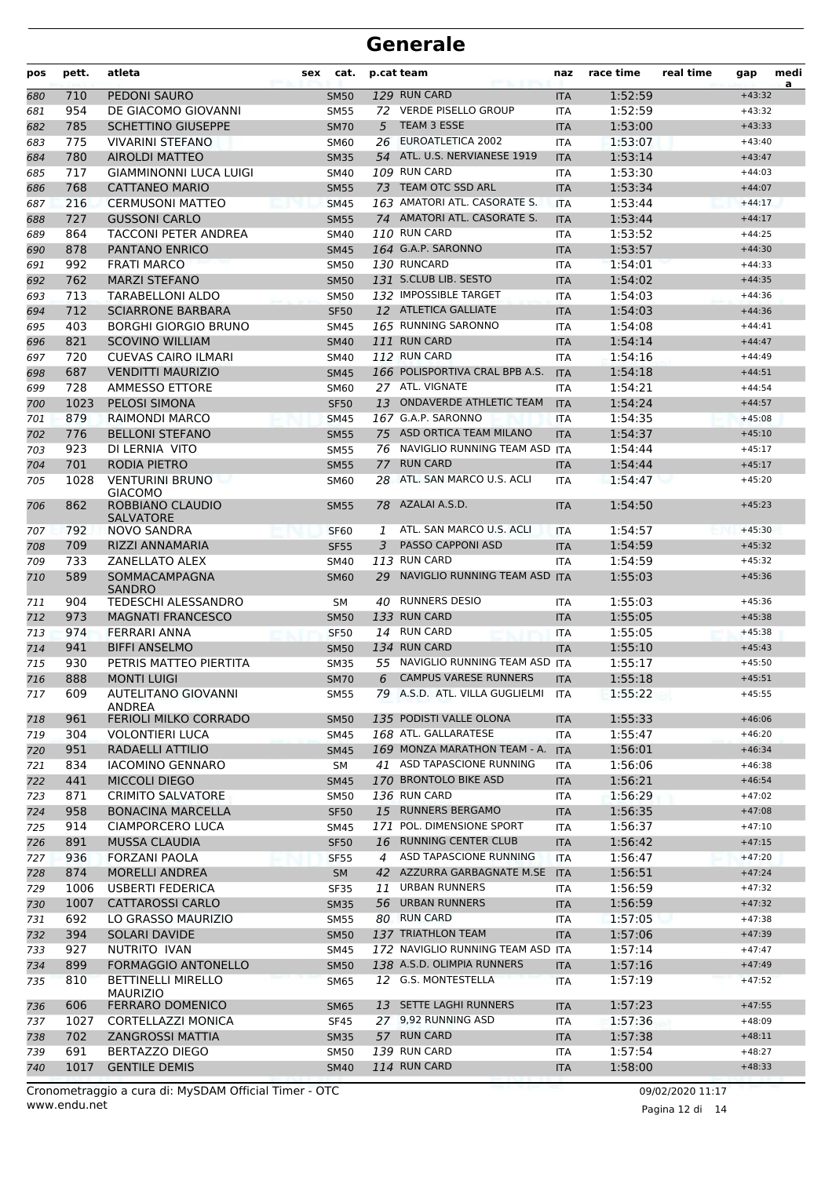| pos | pett. | atleta                                                | cat.<br>sex      |    | p.cat team                                    | naz        | race time          | real time | gap      | medi<br>a |
|-----|-------|-------------------------------------------------------|------------------|----|-----------------------------------------------|------------|--------------------|-----------|----------|-----------|
| 680 | 710   | PEDONI SAURO                                          | <b>SM50</b>      |    | 129 RUN CARD                                  | <b>ITA</b> | 1:52:59            |           | $+43:32$ |           |
| 681 | 954   | DE GIACOMO GIOVANNI                                   | <b>SM55</b>      | 72 | <b>VERDE PISELLO GROUP</b>                    | <b>ITA</b> | 1:52:59            |           | $+43:32$ |           |
| 682 | 785   | <b>SCHETTINO GIUSEPPE</b>                             | <b>SM70</b>      | 5  | TEAM 3 ESSE                                   | <b>ITA</b> | 1:53:00            |           | $+43:33$ |           |
| 683 | 775   | <b>VIVARINI STEFANO</b>                               | SM60             |    | 26 EUROATLETICA 2002                          | <b>ITA</b> | 1:53:07            |           | $+43:40$ |           |
| 684 | 780   | <b>AIROLDI MATTEO</b>                                 | <b>SM35</b>      |    | 54 ATL. U.S. NERVIANESE 1919                  | <b>ITA</b> | 1:53:14            |           | $+43:47$ |           |
| 685 | 717   | GIAMMINONNI LUCA LUIGI                                | SM40             |    | 109 RUN CARD                                  | <b>ITA</b> | 1:53:30            |           | $+44:03$ |           |
| 686 | 768   | <b>CATTANEO MARIO</b>                                 | <b>SM55</b>      |    | 73 TEAM OTC SSD ARL                           | <b>ITA</b> | 1:53:34            |           | $+44:07$ |           |
| 687 | 216   | <b>CERMUSONI MATTEO</b>                               | <b>SM45</b>      |    | 163 AMATORI ATL. CASORATE S.                  | <b>ITA</b> | 1:53:44            |           | $+44:17$ |           |
| 688 | 727   | <b>GUSSONI CARLO</b>                                  | <b>SM55</b>      |    | 74 AMATORI ATL. CASORATE S.                   | <b>ITA</b> | 1:53:44            |           | $+44:17$ |           |
| 689 | 864   | <b>TACCONI PETER ANDREA</b>                           | <b>SM40</b>      |    | 110 RUN CARD                                  | <b>ITA</b> | 1:53:52            |           | $+44:25$ |           |
| 690 | 878   | <b>PANTANO ENRICO</b>                                 | <b>SM45</b>      |    | 164 G.A.P. SARONNO                            | <b>ITA</b> | 1:53:57            |           | $+44:30$ |           |
| 691 | 992   | <b>FRATI MARCO</b>                                    | <b>SM50</b>      |    | 130 RUNCARD                                   | <b>ITA</b> | 1:54:01            |           | $+44:33$ |           |
| 692 | 762   | <b>MARZI STEFANO</b>                                  | <b>SM50</b>      |    | 131 S.CLUB LIB. SESTO                         | <b>ITA</b> | 1:54:02            |           | $+44:35$ |           |
| 693 | 713   | TARABELLONI ALDO                                      | <b>SM50</b>      |    | 132 IMPOSSIBLE TARGET                         | <b>ITA</b> | 1:54:03            |           | $+44:36$ |           |
| 694 | 712   | <b>SCIARRONE BARBARA</b>                              | <b>SF50</b>      |    | 12 ATLETICA GALLIATE                          | <b>ITA</b> | 1:54:03            |           | $+44:36$ |           |
| 695 | 403   | <b>BORGHI GIORGIO BRUNO</b>                           | <b>SM45</b>      |    | 165 RUNNING SARONNO                           | <b>ITA</b> | 1:54:08            |           | $+44:41$ |           |
| 696 | 821   | <b>SCOVINO WILLIAM</b>                                | <b>SM40</b>      |    | 111 RUN CARD                                  | <b>ITA</b> | 1:54:14            |           | $+44:47$ |           |
| 697 | 720   | <b>CUEVAS CAIRO ILMARI</b>                            | <b>SM40</b>      |    | 112 RUN CARD                                  | <b>ITA</b> | 1:54:16            |           | $+44:49$ |           |
| 698 | 687   | <b>VENDITTI MAURIZIO</b>                              | <b>SM45</b>      |    | 166 POLISPORTIVA CRAL BPB A.S.                | <b>ITA</b> | 1:54:18            |           | $+44:51$ |           |
| 699 | 728   | <b>AMMESSO ETTORE</b>                                 | <b>SM60</b>      |    | 27 ATL. VIGNATE                               | <b>ITA</b> | 1:54:21            |           | $+44:54$ |           |
| 700 | 1023  | PELOSI SIMONA                                         | <b>SF50</b>      |    | 13 ONDAVERDE ATHLETIC TEAM                    | <b>ITA</b> | 1:54:24            |           | $+44:57$ |           |
| 701 | 879   | <b>RAIMONDI MARCO</b>                                 | <b>SM45</b>      |    | 167 G.A.P. SARONNO                            | <b>ITA</b> | 1:54:35            |           | $+45:08$ |           |
| 702 | 776   | <b>BELLONI STEFANO</b>                                | <b>SM55</b>      |    | 75 ASD ORTICA TEAM MILANO                     | <b>ITA</b> | 1:54:37            |           | $+45:10$ |           |
| 703 | 923   | DI LERNIA VITO                                        | <b>SM55</b>      |    | 76 NAVIGLIO RUNNING TEAM ASD                  | <b>ITA</b> | 1:54:44            |           | $+45:17$ |           |
| 704 | 701   | RODIA PIETRO                                          | <b>SM55</b>      | 77 | <b>RUN CARD</b>                               | <b>ITA</b> | 1:54:44            |           | $+45:17$ |           |
| 705 | 1028  | <b>VENTURINI BRUNO</b>                                | SM60             |    | 28 ATL. SAN MARCO U.S. ACLI                   | <b>ITA</b> | 1:54:47            |           | $+45:20$ |           |
| 706 | 862   | <b>GIACOMO</b><br>ROBBIANO CLAUDIO                    | <b>SM55</b>      | 78 | AZALAI A.S.D.                                 | <b>ITA</b> | 1:54:50            |           | $+45:23$ |           |
|     |       | <b>SALVATORE</b>                                      |                  |    | ATL. SAN MARCO U.S. ACLI                      |            |                    |           |          |           |
| 707 | 792   | <b>NOVO SANDRA</b>                                    | SF <sub>60</sub> | 1  |                                               | <b>ITA</b> | 1:54:57            |           | $+45:30$ |           |
| 708 | 709   | RIZZI ANNAMARIA                                       | <b>SF55</b>      | 3  | <b>PASSO CAPPONI ASD</b>                      | <b>ITA</b> | 1:54:59            |           | $+45:32$ |           |
| 709 | 733   | <b>ZANELLATO ALEX</b>                                 | <b>SM40</b>      |    | 113 RUN CARD<br>NAVIGLIO RUNNING TEAM ASD ITA | <b>ITA</b> | 1:54:59            |           | $+45:32$ |           |
| 710 | 589   | SOMMACAMPAGNA<br><b>SANDRO</b><br>TEDESCHI ALESSANDRO | <b>SM60</b>      | 29 | <b>RUNNERS DESIO</b>                          |            | 1:55:03<br>1:55:03 |           | $+45:36$ |           |
| 711 | 904   |                                                       | SΜ               | 40 |                                               | ITA        |                    |           | $+45:36$ |           |
| 712 | 973   | <b>MAGNATI FRANCESCO</b>                              | <b>SM50</b>      |    | 133 RUN CARD                                  | <b>ITA</b> | 1:55:05            |           | $+45:38$ |           |
| 713 | 974   | <b>FERRARI ANNA</b>                                   | <b>SF50</b>      |    | 14 RUN CARD                                   | <b>ITA</b> | 1:55:05            |           | $+45:38$ |           |
| 714 | 941   | <b>BIFFI ANSELMO</b>                                  | <b>SM50</b>      |    | 134 RUN CARD                                  | <b>ITA</b> | 1:55:10            |           | $+45:43$ |           |
| 715 | 930   | PETRIS MATTEO PIERTITA                                | <b>SM35</b>      |    | 55 NAVIGLIO RUNNING TEAM ASD ITA              |            | 1:55:17            |           | $+45:50$ |           |
| 716 | 888   | <b>MONTI LUIGI</b>                                    | <b>SM70</b>      | 6  | <b>CAMPUS VARESE RUNNERS</b>                  | <b>ITA</b> | 1:55:18            |           | $+45:51$ |           |
| 717 | 609   | AUTELITANO GIOVANNI<br>ANDREA                         | <b>SM55</b>      |    | 79 A.S.D. ATL. VILLA GUGLIELMI                | ITA        | 1:55:22            |           | $+45:55$ |           |
| 718 | 961   | <b>FERIOLI MILKO CORRADO</b>                          | <b>SM50</b>      |    | 135 PODISTI VALLE OLONA                       | <b>ITA</b> | 1:55:33            |           | $+46:06$ |           |
| 719 | 304   | <b>VOLONTIERI LUCA</b>                                | <b>SM45</b>      |    | 168 ATL. GALLARATESE                          | ITA        | 1:55:47            |           | $+46:20$ |           |
| 720 | 951   | RADAELLI ATTILIO                                      | <b>SM45</b>      |    | 169 MONZA MARATHON TEAM - A.                  | <b>ITA</b> | 1:56:01            |           | $+46:34$ |           |
| 721 | 834   | <b>IACOMINO GENNARO</b>                               | SM               |    | 41 ASD TAPASCIONE RUNNING                     | ITA        | 1:56:06            |           | $+46:38$ |           |
| 722 | 441   | <b>MICCOLI DIEGO</b>                                  | <b>SM45</b>      |    | 170 BRONTOLO BIKE ASD                         | <b>ITA</b> | 1:56:21            |           | $+46:54$ |           |
| 723 | 871   | <b>CRIMITO SALVATORE</b>                              | <b>SM50</b>      |    | 136 RUN CARD                                  | ITA        | 1:56:29            |           | $+47:02$ |           |
| 724 | 958   | <b>BONACINA MARCELLA</b>                              | <b>SF50</b>      |    | 15 RUNNERS BERGAMO                            | <b>ITA</b> | 1:56:35            |           | $+47:08$ |           |
| 725 | 914   | CIAMPORCERO LUCA                                      | SM45             |    | 171 POL. DIMENSIONE SPORT                     | ITA        | 1:56:37            |           | $+47:10$ |           |
| 726 | 891   | <b>MUSSA CLAUDIA</b>                                  | <b>SF50</b>      |    | 16 RUNNING CENTER CLUB                        | <b>ITA</b> | 1:56:42            |           | $+47:15$ |           |
| 727 | 936   | FORZANI PAOLA                                         | SF <sub>55</sub> | 4  | ASD TAPASCIONE RUNNING                        | <b>ITA</b> | 1:56:47            |           | $+47:20$ |           |
| 728 | 874   | <b>MORELLI ANDREA</b>                                 | <b>SM</b>        |    | 42 AZZURRA GARBAGNATE M.SE                    | <b>ITA</b> | 1:56:51            |           | $+47:24$ |           |
| 729 | 1006  | USBERTI FEDERICA                                      | <b>SF35</b>      | 11 | URBAN RUNNERS                                 | ITA        | 1:56:59            |           | $+47:32$ |           |
| 730 | 1007  | CATTAROSSI CARLO                                      | <b>SM35</b>      | 56 | <b>URBAN RUNNERS</b>                          | <b>ITA</b> | 1:56:59            |           | $+47:32$ |           |
| 731 | 692   | LO GRASSO MAURIZIO                                    | SM55             |    | 80 RUN CARD                                   | ITA        | 1:57:05            |           | $+47:38$ |           |
| 732 | 394   | SOLARI DAVIDE                                         | <b>SM50</b>      |    | 137 TRIATHLON TEAM                            | <b>ITA</b> | 1:57:06            |           | $+47:39$ |           |
| 733 | 927   | NUTRITO IVAN                                          | SM45             |    | 172 NAVIGLIO RUNNING TEAM ASD ITA             |            | 1:57:14            |           | $+47:47$ |           |
| 734 | 899   | FORMAGGIO ANTONELLO                                   | <b>SM50</b>      |    | 138 A.S.D. OLIMPIA RUNNERS                    | <b>ITA</b> | 1:57:16            |           | $+47:49$ |           |
| 735 | 810   | <b>BETTINELLI MIRELLO</b>                             | SM65             |    | 12 G.S. MONTESTELLA                           | ITA        | 1:57:19            |           | $+47:52$ |           |
|     |       | <b>MAURIZIO</b>                                       |                  |    |                                               |            |                    |           |          |           |
| 736 | 606   | <b>FERRARO DOMENICO</b>                               | SM65             |    | 13 SETTE LAGHI RUNNERS                        | <b>ITA</b> | 1:57:23            |           | $+47:55$ |           |
| 737 | 1027  | CORTELLAZZI MONICA                                    | SF45             |    | 27 9,92 RUNNING ASD                           | ITA        | 1:57:36            |           | $+48:09$ |           |
| 738 | 702   | ZANGROSSI MATTIA                                      | <b>SM35</b>      |    | 57 RUN CARD                                   | <b>ITA</b> | 1:57:38            |           | $+48:11$ |           |
| 739 | 691   | BERTAZZO DIEGO                                        | SM50             |    | 139 RUN CARD                                  | ITA        | 1:57:54            |           | $+48:27$ |           |
| 740 | 1017  | <b>GENTILE DEMIS</b>                                  | <b>SM40</b>      |    | 114 RUN CARD                                  | <b>ITA</b> | 1:58:00            |           | $+48:33$ |           |

Pagina 12 di 14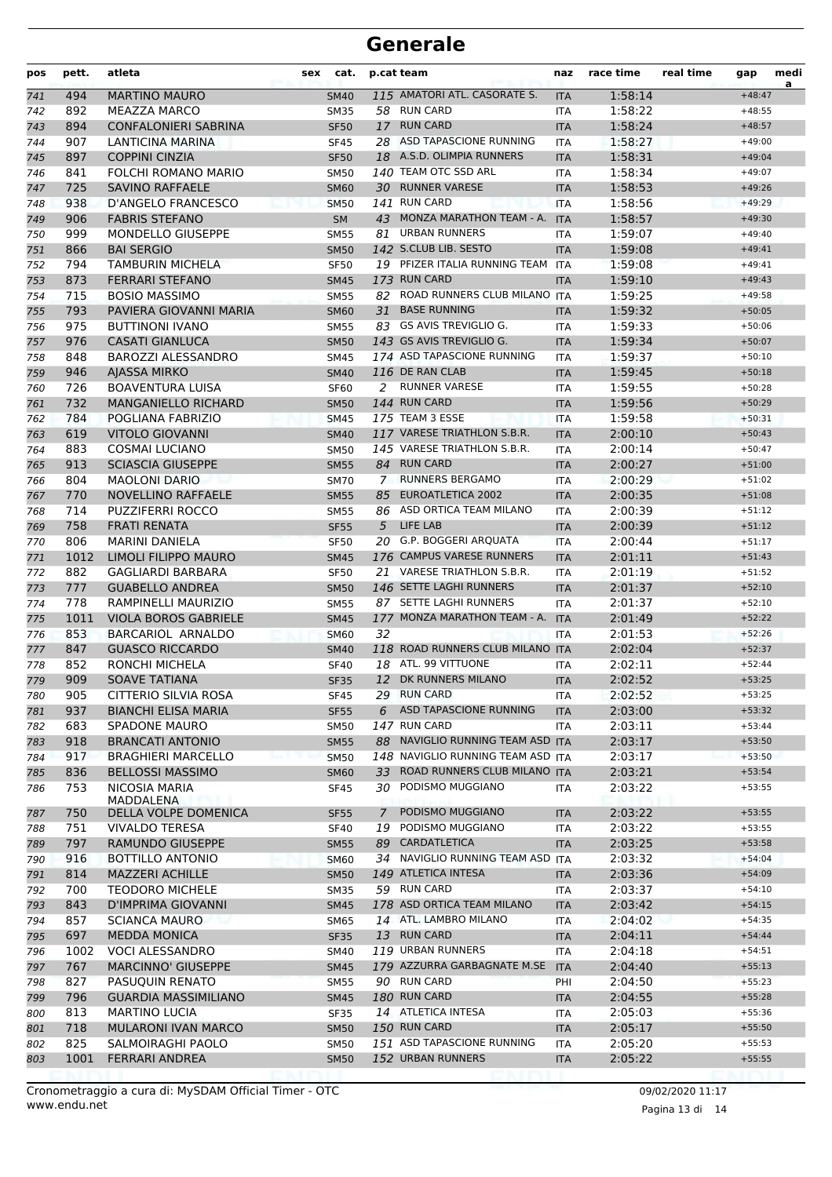| pos        | pett.      | atleta                                  | sex | cat.                       |                | p.cat team                                     | naz                      | race time          | real time | gap                  | medi<br>a |
|------------|------------|-----------------------------------------|-----|----------------------------|----------------|------------------------------------------------|--------------------------|--------------------|-----------|----------------------|-----------|
| 741        | 494        | <b>MARTINO MAURO</b>                    |     | <b>SM40</b>                |                | 115 AMATORI ATL. CASORATE S.                   | <b>ITA</b>               | 1:58:14            |           | $+48:47$             |           |
| 742        | 892        | MEAZZA MARCO                            |     | <b>SM35</b>                |                | 58 RUN CARD                                    | <b>ITA</b>               | 1:58:22            |           | $+48:55$             |           |
| 743        | 894        | <b>CONFALONIERI SABRINA</b>             |     | <b>SF50</b>                | 17             | <b>RUN CARD</b>                                | <b>ITA</b>               | 1:58:24            |           | $+48:57$             |           |
| 744        | 907        | LANTICINA MARINA                        |     | <b>SF45</b>                |                | 28 ASD TAPASCIONE RUNNING                      | <b>ITA</b>               | 1:58:27            |           | $+49:00$             |           |
| 745        | 897        | <b>COPPINI CINZIA</b>                   |     | <b>SF50</b>                |                | 18 A.S.D. OLIMPIA RUNNERS                      | <b>ITA</b>               | 1:58:31            |           | $+49:04$             |           |
| 746        | 841        | FOLCHI ROMANO MARIO                     |     | <b>SM50</b>                |                | 140 TEAM OTC SSD ARL                           | <b>ITA</b>               | 1:58:34            |           | $+49:07$             |           |
| 747        | 725        | <b>SAVINO RAFFAELE</b>                  |     | <b>SM60</b>                |                | 30 RUNNER VARESE                               | <b>ITA</b>               | 1:58:53            |           | $+49:26$             |           |
| 748        | 938        | D'ANGELO FRANCESCO                      |     | <b>SM50</b>                |                | 141 RUN CARD                                   | <b>ITA</b>               | 1:58:56            |           | $+49:29$             |           |
| 749        | 906        | <b>FABRIS STEFANO</b>                   |     | <b>SM</b>                  |                | 43 MONZA MARATHON TEAM - A.                    | <b>ITA</b>               | 1:58:57            |           | $+49:30$             |           |
| 750        | 999        | MONDELLO GIUSEPPE                       |     | <b>SM55</b>                | 81             | <b>URBAN RUNNERS</b>                           | <b>ITA</b>               | 1:59:07            |           | $+49:40$             |           |
| 751        | 866        | <b>BAI SERGIO</b>                       |     | <b>SM50</b>                |                | 142 S.CLUB LIB. SESTO                          | <b>ITA</b>               | 1:59:08            |           | $+49:41$             |           |
| 752        | 794        | TAMBURIN MICHELA                        |     | <b>SF50</b>                |                | 19 PFIZER ITALIA RUNNING TEAM                  | <b>ITA</b>               | 1:59:08            |           | $+49:41$             |           |
| 753        | 873        | <b>FERRARI STEFANO</b>                  |     | <b>SM45</b>                |                | 173 RUN CARD                                   | <b>ITA</b>               | 1:59:10            |           | $+49:43$             |           |
| 754        | 715        | <b>BOSIO MASSIMO</b>                    |     | <b>SM55</b>                |                | 82 ROAD RUNNERS CLUB MILANO ITA                |                          | 1:59:25            |           | $+49:58$             |           |
| 755        | 793        | PAVIERA GIOVANNI MARIA                  |     | <b>SM60</b>                | 31             | <b>BASE RUNNING</b><br>83 GS AVIS TREVIGLIO G. | <b>ITA</b>               | 1:59:32            |           | $+50:05$             |           |
| 756        | 975        | <b>BUTTINONI IVANO</b>                  |     | <b>SM55</b>                |                | 143 GS AVIS TREVIGLIO G.                       | <b>ITA</b>               | 1:59:33            |           | $+50:06$             |           |
| 757        | 976        | <b>CASATI GIANLUCA</b>                  |     | <b>SM50</b>                |                | 174 ASD TAPASCIONE RUNNING                     | <b>ITA</b>               | 1:59:34            |           | $+50:07$             |           |
| 758        | 848<br>946 | BAROZZI ALESSANDRO                      |     | <b>SM45</b><br><b>SM40</b> |                | 116 DE RAN CLAB                                | <b>ITA</b>               | 1:59:37<br>1:59:45 |           | $+50:10$<br>$+50:18$ |           |
| 759<br>760 | 726        | AJASSA MIRKO<br><b>BOAVENTURA LUISA</b> |     | <b>SF60</b>                |                | 2 RUNNER VARESE                                | <b>ITA</b><br><b>ITA</b> | 1:59:55            |           | $+50:28$             |           |
| 761        | 732        | <b>MANGANIELLO RICHARD</b>              |     | <b>SM50</b>                |                | 144 RUN CARD                                   | <b>ITA</b>               | 1:59:56            |           | $+50:29$             |           |
| 762        | 784        | POGLIANA FABRIZIO                       |     | <b>SM45</b>                |                | 175 TEAM 3 ESSE                                | <b>ITA</b>               | 1:59:58            |           | $+50:31$             |           |
| 763        | 619        | VITOLO GIOVANNI                         |     | <b>SM40</b>                |                | 117 VARESE TRIATHLON S.B.R.                    | <b>ITA</b>               | 2:00:10            |           | $+50:43$             |           |
| 764        | 883        | <b>COSMAI LUCIANO</b>                   |     | <b>SM50</b>                |                | 145 VARESE TRIATHLON S.B.R.                    | <b>ITA</b>               | 2:00:14            |           | $+50:47$             |           |
| 765        | 913        | <b>SCIASCIA GIUSEPPE</b>                |     | <b>SM55</b>                |                | 84 RUN CARD                                    | <b>ITA</b>               | 2:00:27            |           | $+51:00$             |           |
| 766        | 804        | <b>MAOLONI DARIO</b>                    |     | <b>SM70</b>                | $7\phantom{0}$ | <b>RUNNERS BERGAMO</b>                         | <b>ITA</b>               | 2:00:29            |           | $+51:02$             |           |
| 767        | 770        | <b>NOVELLINO RAFFAELE</b>               |     | <b>SM55</b>                | 85             | <b>EUROATLETICA 2002</b>                       | <b>ITA</b>               | 2:00:35            |           | $+51:08$             |           |
| 768        | 714        | <b>PUZZIFERRI ROCCO</b>                 |     | <b>SM55</b>                |                | 86 ASD ORTICA TEAM MILANO                      | <b>ITA</b>               | 2:00:39            |           | $+51:12$             |           |
| 769        | 758        | <b>FRATI RENATA</b>                     |     | <b>SF55</b>                | 5              | LIFE LAB                                       | <b>ITA</b>               | 2:00:39            |           | $+51:12$             |           |
| 770        | 806        | MARINI DANIELA                          |     | <b>SF50</b>                |                | 20 G.P. BOGGERI ARQUATA                        | <b>ITA</b>               | 2:00:44            |           | $+51:17$             |           |
| 771        | 1012       | LIMOLI FILIPPO MAURO                    |     | <b>SM45</b>                |                | 176 CAMPUS VARESE RUNNERS                      | <b>ITA</b>               | 2:01:11            |           | $+51:43$             |           |
| 772        | 882        | <b>GAGLIARDI BARBARA</b>                |     | <b>SF50</b>                |                | 21 VARESE TRIATHLON S.B.R.                     | <b>ITA</b>               | 2:01:19            |           | $+51:52$             |           |
| 773        | 777        | <b>GUABELLO ANDREA</b>                  |     | <b>SM50</b>                |                | 146 SETTE LAGHI RUNNERS                        | <b>ITA</b>               | 2:01:37            |           | $+52:10$             |           |
| 774        | 778        | RAMPINELLI MAURIZIO                     |     | <b>SM55</b>                |                | 87 SETTE LAGHI RUNNERS                         | <b>ITA</b>               | 2:01:37            |           | $+52:10$             |           |
| 775        | 1011       | <b>VIOLA BOROS GABRIELE</b>             |     | <b>SM45</b>                |                | 177 MONZA MARATHON TEAM - A.                   | <b>ITA</b>               | 2:01:49            |           | $+52:22$             |           |
| 776        | 853        | <b>BARCARIOL ARNALDO</b>                |     | <b>SM60</b>                | 32             |                                                | <b>ITA</b>               | 2:01:53            |           | $+52:26$             |           |
| 777        | 847        | <b>GUASCO RICCARDO</b>                  |     | <b>SM40</b>                |                | 118 ROAD RUNNERS CLUB MILANO ITA               |                          | 2:02:04            |           | $+52:37$             |           |
| 778        | 852        | RONCHI MICHELA                          |     | <b>SF40</b>                |                | 18 ATL. 99 VITTUONE                            | <b>ITA</b>               | 2:02:11            |           | $+52:44$             |           |
| 779        | 909        | <b>SOAVE TATIANA</b>                    |     | <b>SF35</b>                |                | 12 DK RUNNERS MILANO                           | <b>ITA</b>               | 2:02:52            |           | $+53:25$             |           |
| 780        | 905        | CITTERIO SILVIA ROSA                    |     | <b>SF45</b>                |                | 29 RUN CARD                                    | ITA                      | 2:02:52            |           | $+53:25$             |           |
| 781        | 937        | <b>BIANCHI ELISA MARIA</b>              |     | <b>SF55</b>                | 6              | <b>ASD TAPASCIONE RUNNING</b>                  | <b>ITA</b>               | 2:03:00            |           | $+53:32$             |           |
| 782        | 683        | <b>SPADONE MAURO</b>                    |     | SM50                       |                | 147 RUN CARD                                   | <b>ITA</b>               | 2:03:11            |           | $+53:44$             |           |
| 783        | 918        | <b>BRANCATI ANTONIO</b>                 |     | <b>SM55</b>                |                | 88 NAVIGLIO RUNNING TEAM ASD ITA               |                          | 2:03:17            |           | $+53:50$             |           |
| 784        | 917        | <b>BRAGHIERI MARCELLO</b>               |     | <b>SM50</b>                |                | 148 NAVIGLIO RUNNING TEAM ASD ITA              |                          | 2:03:17            |           | $+53:50$             |           |
| 785        | 836        | <b>BELLOSSI MASSIMO</b>                 |     | <b>SM60</b>                | 33             | ROAD RUNNERS CLUB MILANO ITA                   |                          | 2:03:21            |           | $+53:54$             |           |
| 786        | 753        | NICOSIA MARIA<br>MADDALENA              |     | SF45                       | 30             | PODISMO MUGGIANO                               | ITA                      | 2:03:22            |           | $+53:55$             |           |
| 787        | 750        | DELLA VOLPE DOMENICA                    |     | <b>SF55</b>                | 7              | PODISMO MUGGIANO                               | <b>ITA</b>               | 2:03:22            |           | $+53:55$             |           |
| 788        | 751        | <b>VIVALDO TERESA</b>                   |     | <b>SF40</b>                | 19             | PODISMO MUGGIANO                               | <b>ITA</b>               | 2:03:22            |           | $+53:55$             |           |
| 789        | 797        | <b>RAMUNDO GIUSEPPE</b>                 |     | <b>SM55</b>                |                | 89 CARDATLETICA                                | <b>ITA</b>               | 2:03:25            |           | $+53:58$             |           |
| 790        | 916        | <b>BOTTILLO ANTONIO</b>                 |     | <b>SM60</b>                |                | 34 NAVIGLIO RUNNING TEAM ASD ITA               |                          | 2:03:32            |           | $+54:04$             |           |
| 791        | 814        | <b>MAZZERI ACHILLE</b>                  |     | <b>SM50</b>                |                | 149 ATLETICA INTESA                            | <b>ITA</b>               | 2:03:36            |           | $+54:09$             |           |
| 792        | 700        | <b>TEODORO MICHELE</b>                  |     | <b>SM35</b>                |                | 59 RUN CARD                                    | ITA                      | 2:03:37            |           | $+54:10$             |           |
| 793        | 843        | D'IMPRIMA GIOVANNI                      |     | <b>SM45</b>                |                | 178 ASD ORTICA TEAM MILANO                     | <b>ITA</b>               | 2:03:42            |           | $+54:15$             |           |
| 794        | 857        | <b>SCIANCA MAURO</b>                    |     | SM65                       |                | 14 ATL. LAMBRO MILANO                          | ITA                      | 2:04:02            |           | $+54:35$             |           |
| 795        | 697        | <b>MEDDA MONICA</b>                     |     | <b>SF35</b>                |                | 13 RUN CARD                                    | <b>ITA</b>               | 2:04:11            |           | $+54:44$             |           |
| 796        | 1002       | <b>VOCI ALESSANDRO</b>                  |     | SM40                       |                | 119 URBAN RUNNERS                              | <b>ITA</b>               | 2:04:18            |           | $+54:51$             |           |
| 797        | 767        | <b>MARCINNO' GIUSEPPE</b>               |     | <b>SM45</b>                |                | 179 AZZURRA GARBAGNATE M.SE ITA                |                          | 2:04:40            |           | $+55:13$             |           |
| 798        | 827        | PASUQUIN RENATO                         |     | <b>SM55</b>                |                | 90 RUN CARD                                    | PHI                      | 2:04:50            |           | $+55:23$             |           |
| 799        | 796        | <b>GUARDIA MASSIMILIANO</b>             |     | <b>SM45</b>                |                | 180 RUN CARD                                   | <b>ITA</b>               | 2:04:55            |           | $+55:28$             |           |
| 800        | 813        | MARTINO LUCIA                           |     | <b>SF35</b>                |                | 14 ATLETICA INTESA                             | ITA                      | 2:05:03            |           | $+55:36$             |           |
| 801        | 718        | <b>MULARONI IVAN MARCO</b>              |     | <b>SM50</b>                |                | 150 RUN CARD                                   | <b>ITA</b>               | 2:05:17            |           | $+55:50$             |           |
| 802        | 825        | SALMOIRAGHI PAOLO                       |     | <b>SM50</b>                |                | 151 ASD TAPASCIONE RUNNING                     | ITA                      | 2:05:20            |           | $+55:53$             |           |
| 803        | 1001       | <b>FERRARI ANDREA</b>                   |     | <b>SM50</b>                |                | 152 URBAN RUNNERS                              | <b>ITA</b>               | 2:05:22            |           | $+55:55$             |           |
|            |            |                                         |     |                            |                |                                                |                          |                    |           |                      |           |

Pagina 13 di 14